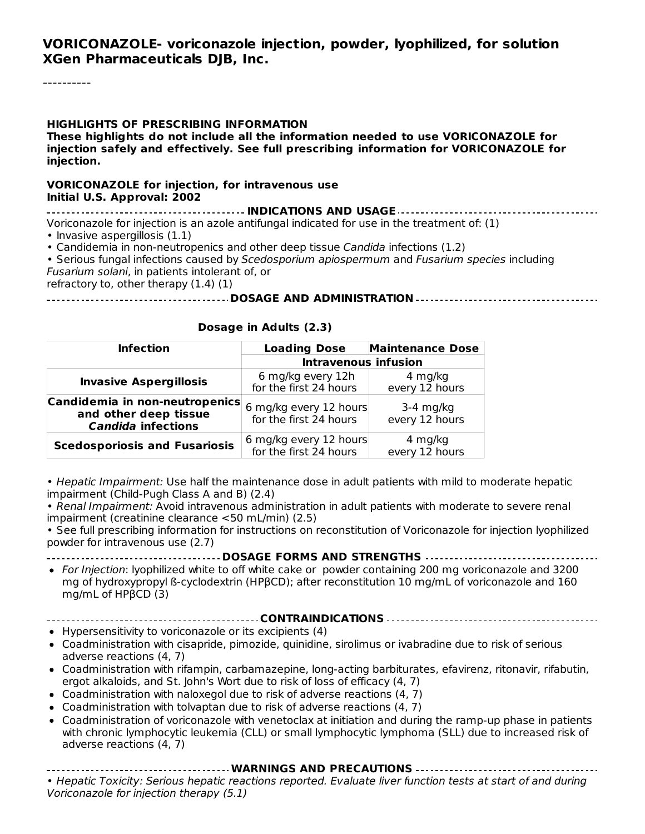#### **VORICONAZOLE- voriconazole injection, powder, lyophilized, for solution XGen Pharmaceuticals DJB, Inc.**

#### **HIGHLIGHTS OF PRESCRIBING INFORMATION**

**These highlights do not include all the information needed to use VORICONAZOLE for injection safely and effectively. See full prescribing information for VORICONAZOLE for injection.**

#### **VORICONAZOLE for injection, for intravenous use Initial U.S. Approval: 2002**

**INDICATIONS AND USAGE**

Voriconazole for injection is an azole antifungal indicated for use in the treatment of: (1)

• Invasive aspergillosis (1.1)

• Candidemia in non-neutropenics and other deep tissue Candida infections (1.2)

• Serious fungal infections caused by Scedosporium apiospermum and Fusarium species including Fusarium solani, in patients intolerant of, or

refractory to, other therapy (1.4) (1)

#### **DOSAGE AND ADMINISTRATION**

#### **Dosage in Adults (2.3)**

| <b>Infection</b>                                                                     | <b>Loading Dose</b>                              | <b>Maintenance Dose</b>       |
|--------------------------------------------------------------------------------------|--------------------------------------------------|-------------------------------|
|                                                                                      | <b>Intravenous infusion</b>                      |                               |
| <b>Invasive Aspergillosis</b>                                                        | 6 mg/kg every 12h                                | 4 mg/kg                       |
|                                                                                      | for the first 24 hours                           | every 12 hours                |
| Candidemia in non-neutropenics<br>and other deep tissue<br><b>Candida infections</b> | 6 mg/kg every 12 hours<br>for the first 24 hours | $3-4$ mg/kg<br>every 12 hours |
| <b>Scedosporiosis and Fusariosis</b>                                                 | 6 mg/kg every 12 hours<br>for the first 24 hours | 4 mg/kg<br>every 12 hours     |

• Hepatic Impairment: Use half the maintenance dose in adult patients with mild to moderate hepatic impairment (Child-Pugh Class A and B) (2.4)

• Renal Impairment: Avoid intravenous administration in adult patients with moderate to severe renal impairment (creatinine clearance <50 mL/min) (2.5)

• See full prescribing information for instructions on reconstitution of Voriconazole for injection lyophilized powder for intravenous use (2.7)

**DOSAGE FORMS AND STRENGTHS**

- For Injection: Ivophilized white to off white cake or powder containing 200 mg voriconazole and 3200 mg of hydroxypropyl ß-cyclodextrin (HPβCD); after reconstitution 10 mg/mL of voriconazole and 160 mg/mL of HPβCD (3)
- **CONTRAINDICATIONS**
- Hypersensitivity to voriconazole or its excipients (4)
- Coadministration with cisapride, pimozide, quinidine, sirolimus or ivabradine due to risk of serious adverse reactions (4, 7)
- Coadministration with rifampin, carbamazepine, long-acting barbiturates, efavirenz, ritonavir, rifabutin, ergot alkaloids, and St. John's Wort due to risk of loss of efficacy (4, 7)
- Coadministration with naloxegol due to risk of adverse reactions (4, 7)
- Coadministration with tolvaptan due to risk of adverse reactions (4, 7)
- Coadministration of voriconazole with venetoclax at initiation and during the ramp-up phase in patients with chronic lymphocytic leukemia (CLL) or small lymphocytic lymphoma (SLL) due to increased risk of adverse reactions (4, 7)

**WARNINGS AND PRECAUTIONS**

• Hepatic Toxicity: Serious hepatic reactions reported. Evaluate liver function tests at start of and during Voriconazole for injection therapy (5.1)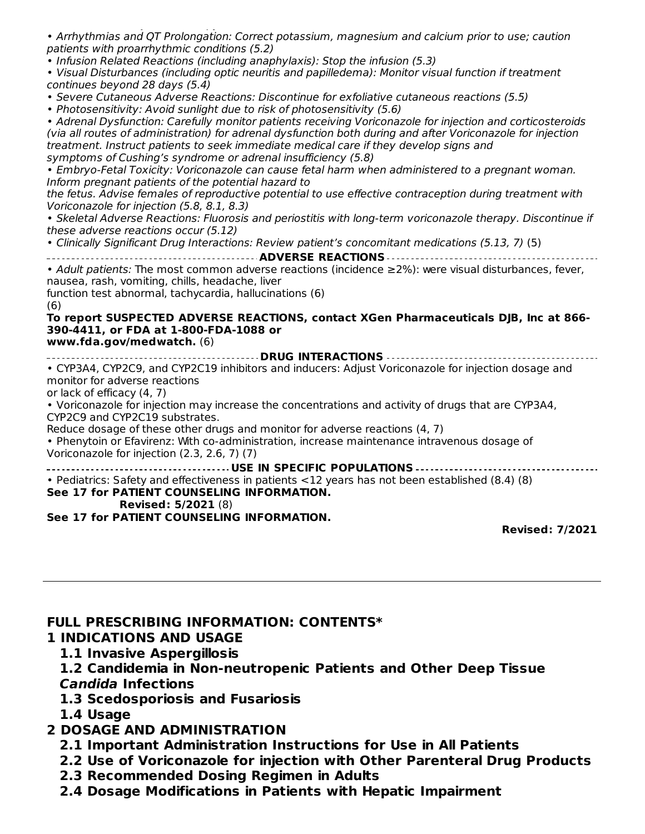Voriconazole for injection therapy (5.1) • Arrhythmias and QT Prolongation: Correct potassium, magnesium and calcium prior to use; caution patients with proarrhythmic conditions (5.2)

• Infusion Related Reactions (including anaphylaxis): Stop the infusion (5.3)

• Visual Disturbances (including optic neuritis and papilledema): Monitor visual function if treatment continues beyond 28 days (5.4)

• Severe Cutaneous Adverse Reactions: Discontinue for exfoliative cutaneous reactions (5.5)

• Photosensitivity: Avoid sunlight due to risk of photosensitivity (5.6)

• Adrenal Dysfunction: Carefully monitor patients receiving Voriconazole for injection and corticosteroids (via all routes of administration) for adrenal dysfunction both during and after Voriconazole for injection treatment. Instruct patients to seek immediate medical care if they develop signs and symptoms of Cushing's syndrome or adrenal insufficiency (5.8)

• Embryo-Fetal Toxicity: Voriconazole can cause fetal harm when administered to a pregnant woman. Inform pregnant patients of the potential hazard to

the fetus. Advise females of reproductive potential to use effective contraception during treatment with Voriconazole for injection (5.8, 8.1, 8.3)

• Skeletal Adverse Reactions: Fluorosis and periostitis with long-term voriconazole therapy. Discontinue if these adverse reactions occur (5.12)

• Clinically Significant Drug Interactions: Review patient's concomitant medications (5.13, 7) (5)

**ADVERSE REACTIONS**

• Adult patients: The most common adverse reactions (incidence ≥2%): were visual disturbances, fever, nausea, rash, vomiting, chills, headache, liver

function test abnormal, tachycardia, hallucinations (6) (6)

**To report SUSPECTED ADVERSE REACTIONS, contact XGen Pharmaceuticals DJB, Inc at 866- 390-4411, or FDA at 1-800-FDA-1088 or www.fda.gov/medwatch.** (6)

**DRUG INTERACTIONS** • CYP3A4, CYP2C9, and CYP2C19 inhibitors and inducers: Adjust Voriconazole for injection dosage and monitor for adverse reactions or lack of efficacy (4, 7) • Voriconazole for injection may increase the concentrations and activity of drugs that are CYP3A4, CYP2C9 and CYP2C19 substrates. Reduce dosage of these other drugs and monitor for adverse reactions (4, 7)

• Phenytoin or Efavirenz: With co-administration, increase maintenance intravenous dosage of Voriconazole for injection (2.3, 2.6, 7) (7)

**USE IN SPECIFIC POPULATIONS**

• Pediatrics: Safety and effectiveness in patients <12 years has not been established (8.4) (8)

#### **See 17 for PATIENT COUNSELING INFORMATION.**

**Revised: 5/2021** (8)

**See 17 for PATIENT COUNSELING INFORMATION.**

**Revised: 7/2021**

#### **FULL PRESCRIBING INFORMATION: CONTENTS\***

#### **1 INDICATIONS AND USAGE**

**1.1 Invasive Aspergillosis**

**1.2 Candidemia in Non-neutropenic Patients and Other Deep Tissue Candida Infections**

**1.3 Scedosporiosis and Fusariosis**

**1.4 Usage**

#### **2 DOSAGE AND ADMINISTRATION**

**2.1 Important Administration Instructions for Use in All Patients**

- **2.2 Use of Voriconazole for injection with Other Parenteral Drug Products**
- **2.3 Recommended Dosing Regimen in Adults**
- **2.4 Dosage Modifications in Patients with Hepatic Impairment**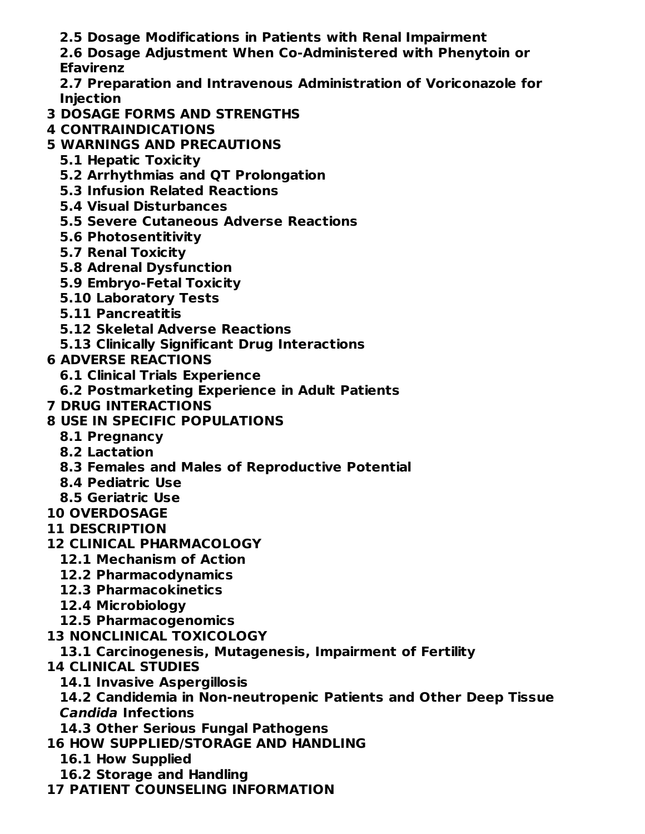**2.5 Dosage Modifications in Patients with Renal Impairment**

**2.6 Dosage Adjustment When Co-Administered with Phenytoin or Efavirenz**

**2.7 Preparation and Intravenous Administration of Voriconazole for Injection**

- **3 DOSAGE FORMS AND STRENGTHS**
- **4 CONTRAINDICATIONS**
- **5 WARNINGS AND PRECAUTIONS**
	- **5.1 Hepatic Toxicity**
	- **5.2 Arrhythmias and QT Prolongation**
	- **5.3 Infusion Related Reactions**
	- **5.4 Visual Disturbances**
	- **5.5 Severe Cutaneous Adverse Reactions**
	- **5.6 Photosentitivity**
	- **5.7 Renal Toxicity**
	- **5.8 Adrenal Dysfunction**
	- **5.9 Embryo-Fetal Toxicity**
	- **5.10 Laboratory Tests**
	- **5.11 Pancreatitis**
	- **5.12 Skeletal Adverse Reactions**
	- **5.13 Clinically Significant Drug Interactions**
- **6 ADVERSE REACTIONS**
	- **6.1 Clinical Trials Experience**
	- **6.2 Postmarketing Experience in Adult Patients**
- **7 DRUG INTERACTIONS**
- **8 USE IN SPECIFIC POPULATIONS**
	- **8.1 Pregnancy**
	- **8.2 Lactation**
	- **8.3 Females and Males of Reproductive Potential**
	- **8.4 Pediatric Use**
	- **8.5 Geriatric Use**
- **10 OVERDOSAGE**
- **11 DESCRIPTION**
- **12 CLINICAL PHARMACOLOGY**
	- **12.1 Mechanism of Action**
	- **12.2 Pharmacodynamics**
	- **12.3 Pharmacokinetics**
	- **12.4 Microbiology**
	- **12.5 Pharmacogenomics**
- **13 NONCLINICAL TOXICOLOGY**
- **13.1 Carcinogenesis, Mutagenesis, Impairment of Fertility**
- **14 CLINICAL STUDIES**
	- **14.1 Invasive Aspergillosis**
	- **14.2 Candidemia in Non-neutropenic Patients and Other Deep Tissue Candida Infections**
- **14.3 Other Serious Fungal Pathogens**
- **16 HOW SUPPLIED/STORAGE AND HANDLING**
	- **16.1 How Supplied**
	- **16.2 Storage and Handling**
- **17 PATIENT COUNSELING INFORMATION**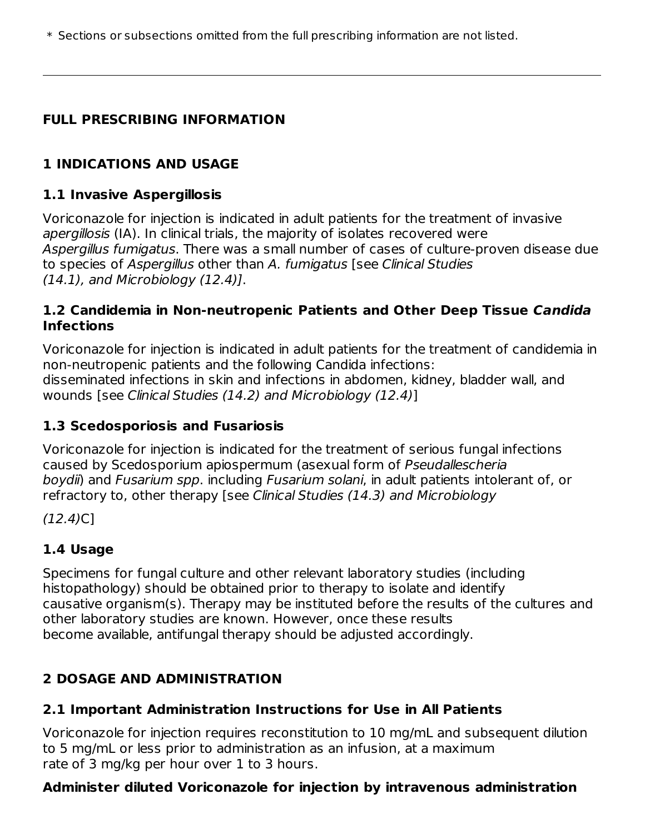$\ast$  Sections or subsections omitted from the full prescribing information are not listed.

### **FULL PRESCRIBING INFORMATION**

### **1 INDICATIONS AND USAGE**

### **1.1 Invasive Aspergillosis**

Voriconazole for injection is indicated in adult patients for the treatment of invasive apergillosis (IA). In clinical trials, the majority of isolates recovered were Aspergillus fumigatus. There was a small number of cases of culture-proven disease due to species of Aspergillus other than A. fumigatus [see Clinical Studies  $(14.1)$ , and Microbiology  $(12.4)$ .

#### **1.2 Candidemia in Non-neutropenic Patients and Other Deep Tissue Candida Infections**

Voriconazole for injection is indicated in adult patients for the treatment of candidemia in non-neutropenic patients and the following Candida infections: disseminated infections in skin and infections in abdomen, kidney, bladder wall, and wounds [see Clinical Studies (14.2) and Microbiology (12.4)]

### **1.3 Scedosporiosis and Fusariosis**

Voriconazole for injection is indicated for the treatment of serious fungal infections caused by Scedosporium apiospermum (asexual form of Pseudallescheria boydii) and Fusarium spp. including Fusarium solani, in adult patients intolerant of, or refractory to, other therapy [see Clinical Studies (14.3) and Microbiology

(12.4)C]

### **1.4 Usage**

Specimens for fungal culture and other relevant laboratory studies (including histopathology) should be obtained prior to therapy to isolate and identify causative organism(s). Therapy may be instituted before the results of the cultures and other laboratory studies are known. However, once these results become available, antifungal therapy should be adjusted accordingly.

# **2 DOSAGE AND ADMINISTRATION**

### **2.1 Important Administration Instructions for Use in All Patients**

Voriconazole for injection requires reconstitution to 10 mg/mL and subsequent dilution to 5 mg/mL or less prior to administration as an infusion, at a maximum rate of 3 mg/kg per hour over 1 to 3 hours.

### **Administer diluted Voriconazole for injection by intravenous administration**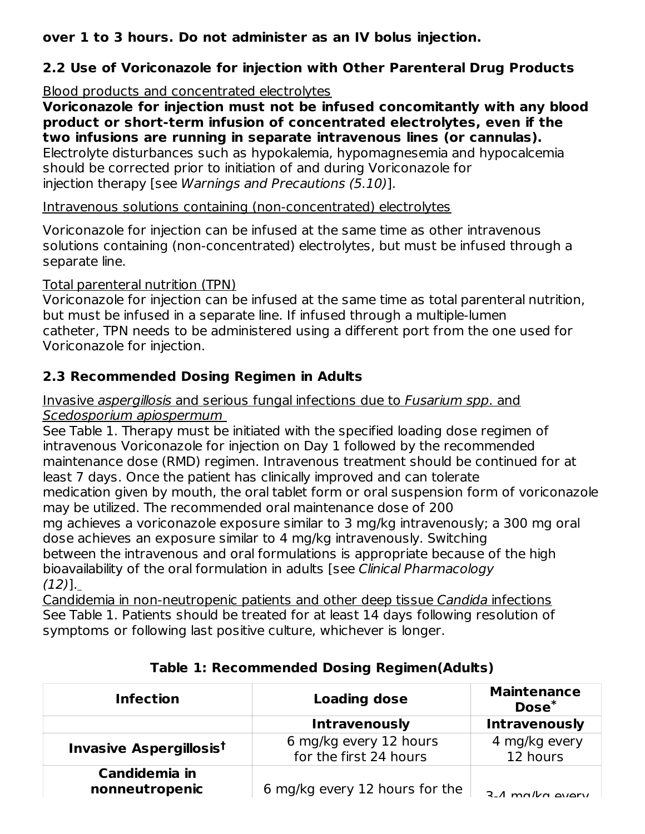#### **over 1 to 3 hours. Do not administer as an IV bolus injection.**

### **2.2 Use of Voriconazole for injection with Other Parenteral Drug Products**

Blood products and concentrated electrolytes

**Voriconazole for injection must not be infused concomitantly with any blood product or short-term infusion of concentrated electrolytes, even if the two infusions are running in separate intravenous lines (or cannulas).** Electrolyte disturbances such as hypokalemia, hypomagnesemia and hypocalcemia should be corrected prior to initiation of and during Voriconazole for injection therapy [see Warnings and Precautions (5.10)].

#### Intravenous solutions containing (non-concentrated) electrolytes

Voriconazole for injection can be infused at the same time as other intravenous solutions containing (non-concentrated) electrolytes, but must be infused through a separate line.

#### Total parenteral nutrition (TPN)

Voriconazole for injection can be infused at the same time as total parenteral nutrition, but must be infused in a separate line. If infused through a multiple-lumen catheter, TPN needs to be administered using a different port from the one used for Voriconazole for injection.

### **2.3 Recommended Dosing Regimen in Adults**

#### Invasive aspergillosis and serious fungal infections due to Fusarium spp. and Scedosporium apiospermum

See Table 1. Therapy must be initiated with the specified loading dose regimen of intravenous Voriconazole for injection on Day 1 followed by the recommended maintenance dose (RMD) regimen. Intravenous treatment should be continued for at least 7 days. Once the patient has clinically improved and can tolerate medication given by mouth, the oral tablet form or oral suspension form of voriconazole may be utilized. The recommended oral maintenance dose of 200 mg achieves a voriconazole exposure similar to 3 mg/kg intravenously; a 300 mg oral dose achieves an exposure similar to 4 mg/kg intravenously. Switching between the intravenous and oral formulations is appropriate because of the high bioavailability of the oral formulation in adults [see Clinical Pharmacology  $(12)$ ].

Candidemia in non-neutropenic patients and other deep tissue Candida infections See Table 1. Patients should be treated for at least 14 days following resolution of symptoms or following last positive culture, whichever is longer.

| <b>Infection</b>                    | <b>Loading dose</b>                              | <b>Maintenance</b><br>Dose <sup>*</sup> |
|-------------------------------------|--------------------------------------------------|-----------------------------------------|
|                                     | <b>Intravenously</b>                             | <b>Intravenously</b>                    |
| Invasive Aspergillosis <sup>t</sup> | 6 mg/kg every 12 hours<br>for the first 24 hours | 4 mg/kg every<br>12 hours               |
| Candidemia in<br>nonneutropenic     | 6 mg/kg every 12 hours for the                   | $2$ malka overv                         |

### **Table 1: Recommended Dosing Regimen(Adults)**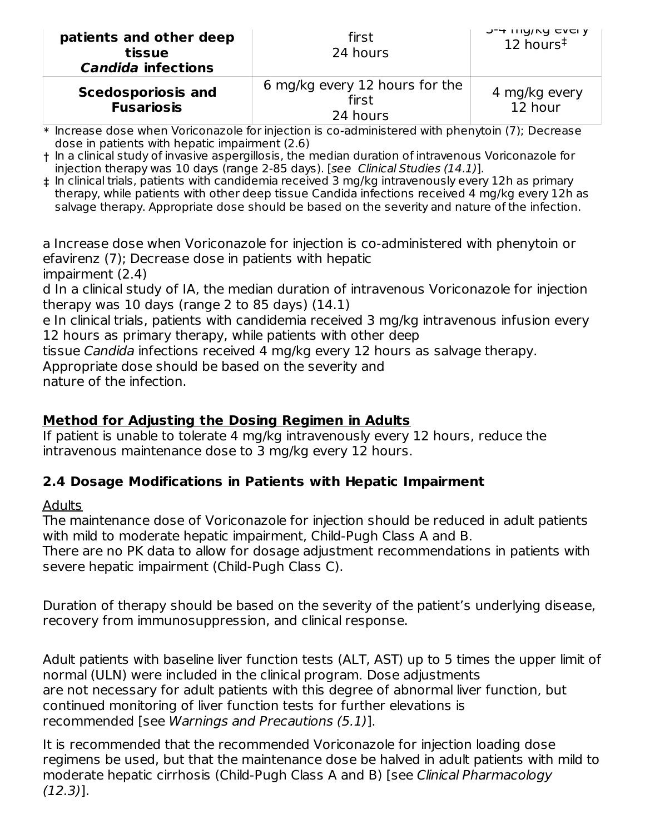| patients and other deep<br>tissue<br><b>Candida infections</b> | first<br>24 hours                                   | $J - H$ $\cup$ $J \wedge J$ $C$<br>$12$ hours <sup><math>\ddagger</math></sup> |
|----------------------------------------------------------------|-----------------------------------------------------|--------------------------------------------------------------------------------|
| <b>Scedosporiosis and</b><br><b>Fusariosis</b>                 | 6 mg/kg every 12 hours for the<br>first<br>24 hours | 4 mg/kg every<br>12 hour                                                       |

\* Increase dose when Voriconazole for injection is co-administered with phenytoin (7); Decrease dose in patients with hepatic impairment (2.6)

† In a clinical study of invasive aspergillosis, the median duration of intravenous Voriconazole for injection therapy was 10 days (range 2-85 days). [see Clinical Studies (14.1)].

‡ In clinical trials, patients with candidemia received 3 mg/kg intravenously every 12h as primary therapy, while patients with other deep tissue Candida infections received 4 mg/kg every 12h as salvage therapy. Appropriate dose should be based on the severity and nature of the infection.

a Increase dose when Voriconazole for injection is co-administered with phenytoin or efavirenz (7); Decrease dose in patients with hepatic

impairment (2.4)

d In a clinical study of IA, the median duration of intravenous Voriconazole for injection therapy was 10 days (range 2 to 85 days)  $(14.1)$ 

e In clinical trials, patients with candidemia received 3 mg/kg intravenous infusion every 12 hours as primary therapy, while patients with other deep

tissue Candida infections received 4 mg/kg every 12 hours as salvage therapy.

Appropriate dose should be based on the severity and

nature of the infection.

### **Method for Adjusting the Dosing Regimen in Adults**

If patient is unable to tolerate 4 mg/kg intravenously every 12 hours, reduce the intravenous maintenance dose to 3 mg/kg every 12 hours.

### **2.4 Dosage Modifications in Patients with Hepatic Impairment**

**Adults** 

The maintenance dose of Voriconazole for injection should be reduced in adult patients with mild to moderate hepatic impairment, Child-Pugh Class A and B.

There are no PK data to allow for dosage adjustment recommendations in patients with severe hepatic impairment (Child-Pugh Class C).

Duration of therapy should be based on the severity of the patient's underlying disease, recovery from immunosuppression, and clinical response.

Adult patients with baseline liver function tests (ALT, AST) up to 5 times the upper limit of normal (ULN) were included in the clinical program. Dose adjustments are not necessary for adult patients with this degree of abnormal liver function, but continued monitoring of liver function tests for further elevations is recommended [see Warnings and Precautions (5.1)].

It is recommended that the recommended Voriconazole for injection loading dose regimens be used, but that the maintenance dose be halved in adult patients with mild to moderate hepatic cirrhosis (Child-Pugh Class A and B) [see Clinical Pharmacology (12.3)].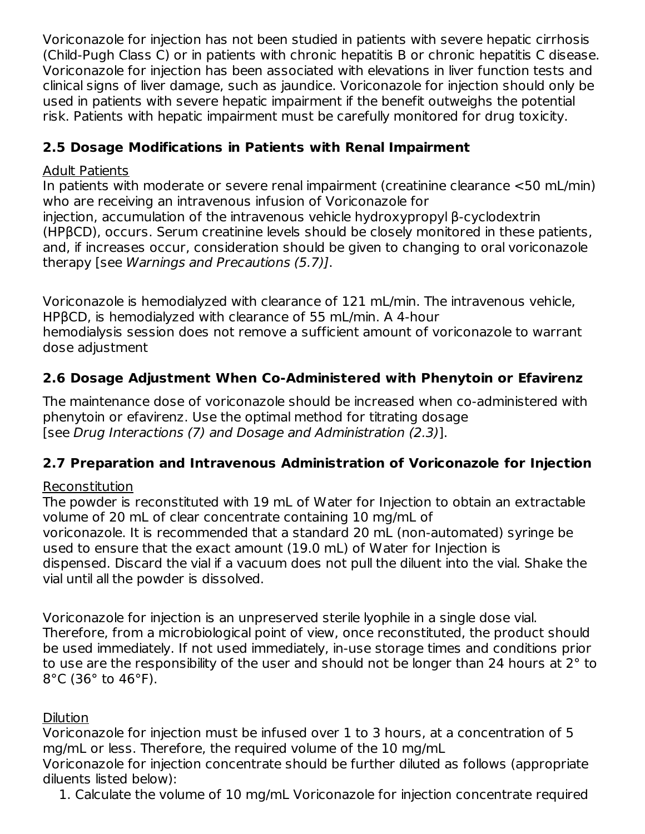Voriconazole for injection has not been studied in patients with severe hepatic cirrhosis (Child-Pugh Class C) or in patients with chronic hepatitis B or chronic hepatitis C disease. Voriconazole for injection has been associated with elevations in liver function tests and clinical signs of liver damage, such as jaundice. Voriconazole for injection should only be used in patients with severe hepatic impairment if the benefit outweighs the potential risk. Patients with hepatic impairment must be carefully monitored for drug toxicity.

### **2.5 Dosage Modifications in Patients with Renal Impairment**

#### Adult Patients

In patients with moderate or severe renal impairment (creatinine clearance <50 mL/min) who are receiving an intravenous infusion of Voriconazole for injection, accumulation of the intravenous vehicle hydroxypropyl β-cyclodextrin (HPβCD), occurs. Serum creatinine levels should be closely monitored in these patients, and, if increases occur, consideration should be given to changing to oral voriconazole therapy [see Warnings and Precautions (5.7)].

Voriconazole is hemodialyzed with clearance of 121 mL/min. The intravenous vehicle, HPβCD, is hemodialyzed with clearance of 55 mL/min. A 4-hour

hemodialysis session does not remove a sufficient amount of voriconazole to warrant dose adjustment

### **2.6 Dosage Adjustment When Co-Administered with Phenytoin or Efavirenz**

The maintenance dose of voriconazole should be increased when co-administered with phenytoin or efavirenz. Use the optimal method for titrating dosage [see Drug Interactions (7) and Dosage and Administration (2.3)].

### **2.7 Preparation and Intravenous Administration of Voriconazole for Injection**

### Reconstitution

The powder is reconstituted with 19 mL of Water for Injection to obtain an extractable volume of 20 mL of clear concentrate containing 10 mg/mL of voriconazole. It is recommended that a standard 20 mL (non-automated) syringe be used to ensure that the exact amount (19.0 mL) of Water for Injection is dispensed. Discard the vial if a vacuum does not pull the diluent into the vial. Shake the vial until all the powder is dissolved.

Voriconazole for injection is an unpreserved sterile lyophile in a single dose vial. Therefore, from a microbiological point of view, once reconstituted, the product should be used immediately. If not used immediately, in-use storage times and conditions prior to use are the responsibility of the user and should not be longer than 24 hours at 2° to 8°C (36° to 46°F).

### **Dilution**

Voriconazole for injection must be infused over 1 to 3 hours, at a concentration of 5 mg/mL or less. Therefore, the required volume of the 10 mg/mL

Voriconazole for injection concentrate should be further diluted as follows (appropriate diluents listed below):

1. Calculate the volume of 10 mg/mL Voriconazole for injection concentrate required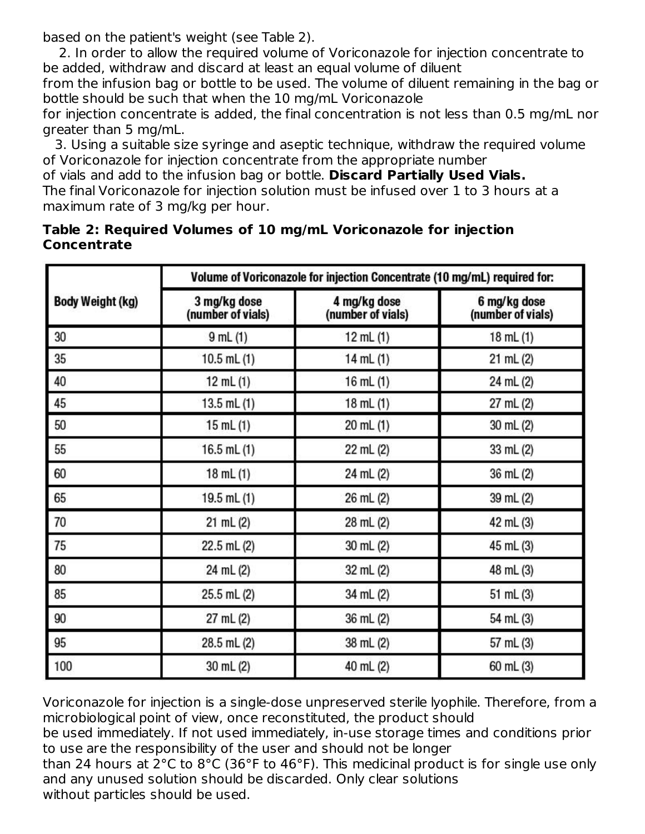based on the patient's weight (see Table 2).

2. In order to allow the required volume of Voriconazole for injection concentrate to be added, withdraw and discard at least an equal volume of diluent

from the infusion bag or bottle to be used. The volume of diluent remaining in the bag or bottle should be such that when the 10 mg/mL Voriconazole

for injection concentrate is added, the final concentration is not less than 0.5 mg/mL nor greater than 5 mg/mL.

3. Using a suitable size syringe and aseptic technique, withdraw the required volume of Voriconazole for injection concentrate from the appropriate number

of vials and add to the infusion bag or bottle. **Discard Partially Used Vials.** The final Voriconazole for injection solution must be infused over 1 to 3 hours at a maximum rate of 3 mg/kg per hour.

#### **Table 2: Required Volumes of 10 mg/mL Voriconazole for injection Concentrate**

|                  | Volume of Voriconazole for injection Concentrate (10 mg/mL) required for: |                                   |                                   |
|------------------|---------------------------------------------------------------------------|-----------------------------------|-----------------------------------|
| Body Weight (kg) | 3 mg/kg dose<br>(number of vials)                                         | 4 mg/kg dose<br>(number of vials) | 6 mg/kg dose<br>(number of vials) |
| 30               | 9 mL(1)                                                                   | 12 mL $(1)$                       | $18$ mL $(1)$                     |
| 35               | $10.5$ mL $(1)$                                                           | 14 mL $(1)$                       | 21 mL (2)                         |
| 40               | 12 mL(1)                                                                  | 16 mL $(1)$                       | 24 mL (2)                         |
| 45               | 13.5 $mL(1)$                                                              | 18 mL $(1)$                       | 27 mL (2)                         |
| 50               | $15$ mL $(1)$                                                             | 20 mL (1)                         | $30$ mL $(2)$                     |
| 55               | 16.5 mL $(1)$                                                             | 22 mL (2)                         | 33 mL (2)                         |
| 60               | $18$ mL $(1)$                                                             | 24 mL (2)                         | 36 mL (2)                         |
| 65               | 19.5 mL $(1)$                                                             | 26 mL (2)                         | 39 mL (2)                         |
| 70               | $21$ mL $(2)$                                                             | 28 mL (2)                         | 42 mL (3)                         |
| 75               | 22.5 mL (2)                                                               | $30$ mL $(2)$                     | 45 mL (3)                         |
| 80               | 24 mL (2)                                                                 | 32 mL (2)                         | 48 mL (3)                         |
| 85               | 25.5 mL (2)                                                               | 34 mL (2)                         | 51 mL $(3)$                       |
| 90               | $27$ mL $(2)$                                                             | 36 mL (2)                         | 54 mL (3)                         |
| 95               | 28.5 mL (2)                                                               | 38 mL (2)                         | 57 mL (3)                         |
| 100              | 30 mL (2)                                                                 | 40 mL (2)                         | 60 mL (3)                         |

Voriconazole for injection is a single-dose unpreserved sterile lyophile. Therefore, from a microbiological point of view, once reconstituted, the product should be used immediately. If not used immediately, in-use storage times and conditions prior to use are the responsibility of the user and should not be longer than 24 hours at 2°C to 8°C (36°F to 46°F). This medicinal product is for single use only and any unused solution should be discarded. Only clear solutions without particles should be used.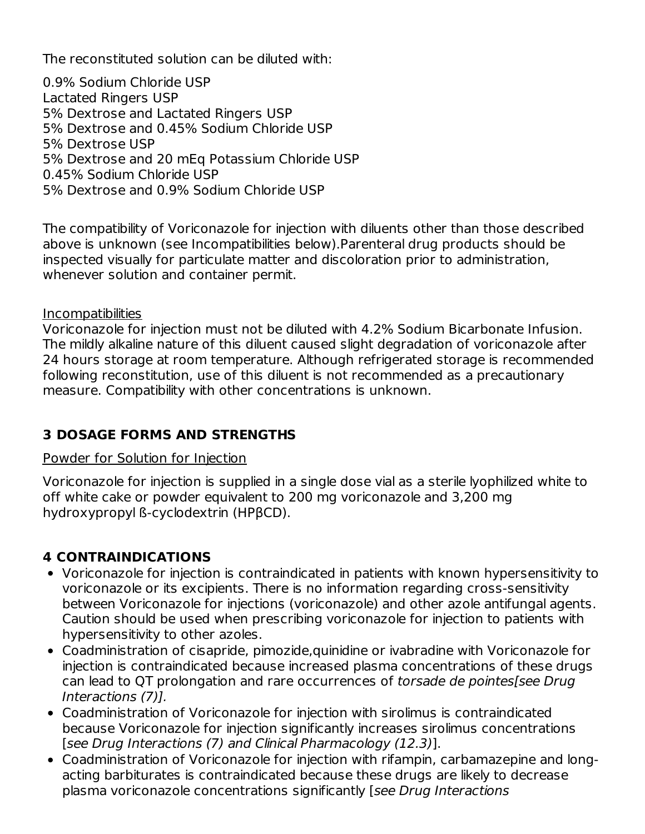The reconstituted solution can be diluted with:

0.9% Sodium Chloride USP Lactated Ringers USP 5% Dextrose and Lactated Ringers USP 5% Dextrose and 0.45% Sodium Chloride USP 5% Dextrose USP 5% Dextrose and 20 mEq Potassium Chloride USP 0.45% Sodium Chloride USP 5% Dextrose and 0.9% Sodium Chloride USP

The compatibility of Voriconazole for injection with diluents other than those described above is unknown (see Incompatibilities below).Parenteral drug products should be inspected visually for particulate matter and discoloration prior to administration, whenever solution and container permit.

#### **Incompatibilities**

Voriconazole for injection must not be diluted with 4.2% Sodium Bicarbonate Infusion. The mildly alkaline nature of this diluent caused slight degradation of voriconazole after 24 hours storage at room temperature. Although refrigerated storage is recommended following reconstitution, use of this diluent is not recommended as a precautionary measure. Compatibility with other concentrations is unknown.

### **3 DOSAGE FORMS AND STRENGTHS**

#### Powder for Solution for Injection

Voriconazole for injection is supplied in a single dose vial as a sterile lyophilized white to off white cake or powder equivalent to 200 mg voriconazole and 3,200 mg hydroxypropyl ß-cyclodextrin (HPβCD).

### **4 CONTRAINDICATIONS**

- Voriconazole for injection is contraindicated in patients with known hypersensitivity to voriconazole or its excipients. There is no information regarding cross-sensitivity between Voriconazole for injections (voriconazole) and other azole antifungal agents. Caution should be used when prescribing voriconazole for injection to patients with hypersensitivity to other azoles.
- Coadministration of cisapride, pimozide,quinidine or ivabradine with Voriconazole for injection is contraindicated because increased plasma concentrations of these drugs can lead to QT prolongation and rare occurrences of torsade de pointes[see Drug Interactions (7)].
- Coadministration of Voriconazole for injection with sirolimus is contraindicated because Voriconazole for injection significantly increases sirolimus concentrations [see Drug Interactions (7) and Clinical Pharmacology (12.3)].
- Coadministration of Voriconazole for injection with rifampin, carbamazepine and longacting barbiturates is contraindicated because these drugs are likely to decrease plasma voriconazole concentrations significantly [see Drug Interactions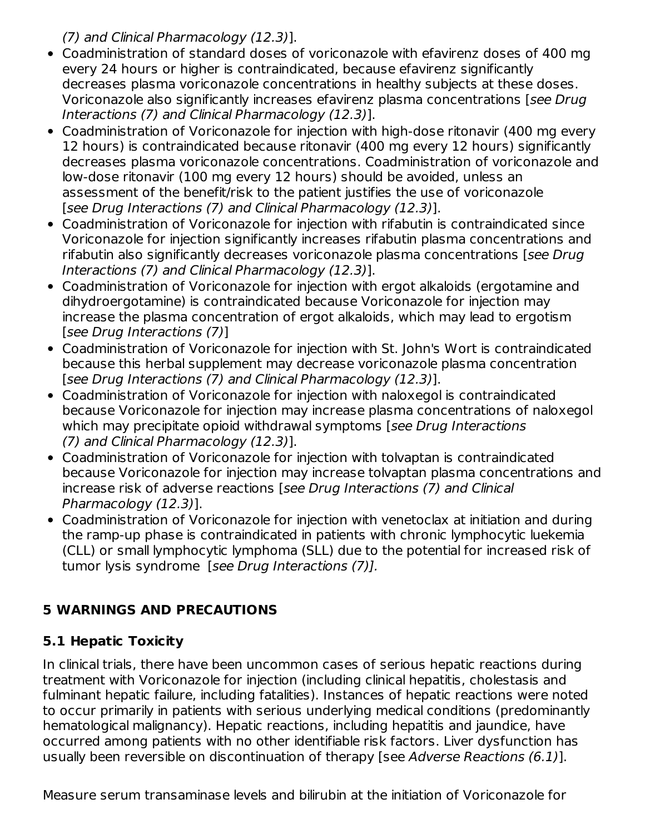(7) and Clinical Pharmacology (12.3)].

- Coadministration of standard doses of voriconazole with efavirenz doses of 400 mg every 24 hours or higher is contraindicated, because efavirenz significantly decreases plasma voriconazole concentrations in healthy subjects at these doses. Voriconazole also significantly increases efavirenz plasma concentrations [see Drug Interactions (7) and Clinical Pharmacology (12.3)].
- Coadministration of Voriconazole for injection with high-dose ritonavir (400 mg every 12 hours) is contraindicated because ritonavir (400 mg every 12 hours) significantly decreases plasma voriconazole concentrations. Coadministration of voriconazole and low-dose ritonavir (100 mg every 12 hours) should be avoided, unless an assessment of the benefit/risk to the patient justifies the use of voriconazole [see Drug Interactions (7) and Clinical Pharmacology (12.3)].
- Coadministration of Voriconazole for injection with rifabutin is contraindicated since Voriconazole for injection significantly increases rifabutin plasma concentrations and rifabutin also significantly decreases voriconazole plasma concentrations [see Drug Interactions (7) and Clinical Pharmacology (12.3)].
- Coadministration of Voriconazole for injection with ergot alkaloids (ergotamine and dihydroergotamine) is contraindicated because Voriconazole for injection may increase the plasma concentration of ergot alkaloids, which may lead to ergotism [see Drug Interactions (7)]
- Coadministration of Voriconazole for injection with St. John's Wort is contraindicated because this herbal supplement may decrease voriconazole plasma concentration [see Drug Interactions (7) and Clinical Pharmacology (12.3)].
- Coadministration of Voriconazole for injection with naloxegol is contraindicated because Voriconazole for injection may increase plasma concentrations of naloxegol which may precipitate opioid withdrawal symptoms [see Drug Interactions (7) and Clinical Pharmacology (12.3)].
- Coadministration of Voriconazole for injection with tolvaptan is contraindicated because Voriconazole for injection may increase tolvaptan plasma concentrations and increase risk of adverse reactions [see Drug Interactions (7) and Clinical Pharmacology (12.3)].
- Coadministration of Voriconazole for injection with venetoclax at initiation and during the ramp-up phase is contraindicated in patients with chronic lymphocytic luekemia (CLL) or small lymphocytic lymphoma (SLL) due to the potential for increased risk of tumor lysis syndrome [see Drug Interactions (7)].

# **5 WARNINGS AND PRECAUTIONS**

# **5.1 Hepatic Toxicity**

In clinical trials, there have been uncommon cases of serious hepatic reactions during treatment with Voriconazole for injection (including clinical hepatitis, cholestasis and fulminant hepatic failure, including fatalities). Instances of hepatic reactions were noted to occur primarily in patients with serious underlying medical conditions (predominantly hematological malignancy). Hepatic reactions, including hepatitis and jaundice, have occurred among patients with no other identifiable risk factors. Liver dysfunction has usually been reversible on discontinuation of therapy [see Adverse Reactions (6.1)].

Measure serum transaminase levels and bilirubin at the initiation of Voriconazole for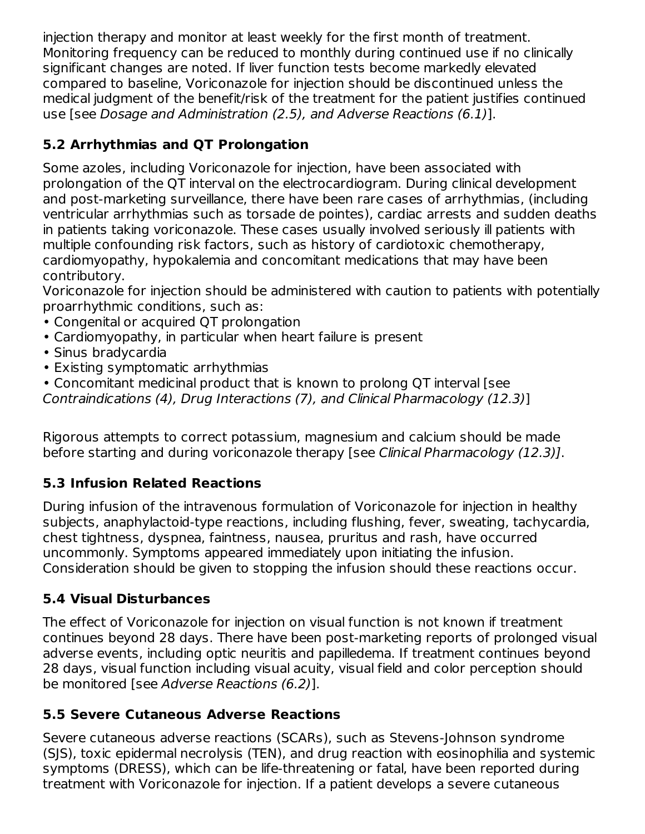injection therapy and monitor at least weekly for the first month of treatment. Monitoring frequency can be reduced to monthly during continued use if no clinically significant changes are noted. If liver function tests become markedly elevated compared to baseline, Voriconazole for injection should be discontinued unless the medical judgment of the benefit/risk of the treatment for the patient justifies continued use [see Dosage and Administration (2.5), and Adverse Reactions (6.1)].

# **5.2 Arrhythmias and QT Prolongation**

Some azoles, including Voriconazole for injection, have been associated with prolongation of the QT interval on the electrocardiogram. During clinical development and post-marketing surveillance, there have been rare cases of arrhythmias, (including ventricular arrhythmias such as torsade de pointes), cardiac arrests and sudden deaths in patients taking voriconazole. These cases usually involved seriously ill patients with multiple confounding risk factors, such as history of cardiotoxic chemotherapy, cardiomyopathy, hypokalemia and concomitant medications that may have been contributory.

Voriconazole for injection should be administered with caution to patients with potentially proarrhythmic conditions, such as:

- Congenital or acquired QT prolongation
- Cardiomyopathy, in particular when heart failure is present
- Sinus bradycardia
- Existing symptomatic arrhythmias
- Concomitant medicinal product that is known to prolong QT interval [see

Contraindications (4), Drug Interactions (7), and Clinical Pharmacology (12.3)]

Rigorous attempts to correct potassium, magnesium and calcium should be made before starting and during voriconazole therapy [see Clinical Pharmacology (12.3)].

### **5.3 Infusion Related Reactions**

During infusion of the intravenous formulation of Voriconazole for injection in healthy subjects, anaphylactoid-type reactions, including flushing, fever, sweating, tachycardia, chest tightness, dyspnea, faintness, nausea, pruritus and rash, have occurred uncommonly. Symptoms appeared immediately upon initiating the infusion. Consideration should be given to stopping the infusion should these reactions occur.

### **5.4 Visual Disturbances**

The effect of Voriconazole for injection on visual function is not known if treatment continues beyond 28 days. There have been post-marketing reports of prolonged visual adverse events, including optic neuritis and papilledema. If treatment continues beyond 28 days, visual function including visual acuity, visual field and color perception should be monitored [see Adverse Reactions (6.2)].

### **5.5 Severe Cutaneous Adverse Reactions**

Severe cutaneous adverse reactions (SCARs), such as Stevens-Johnson syndrome (SJS), toxic epidermal necrolysis (TEN), and drug reaction with eosinophilia and systemic symptoms (DRESS), which can be life-threatening or fatal, have been reported during treatment with Voriconazole for injection. If a patient develops a severe cutaneous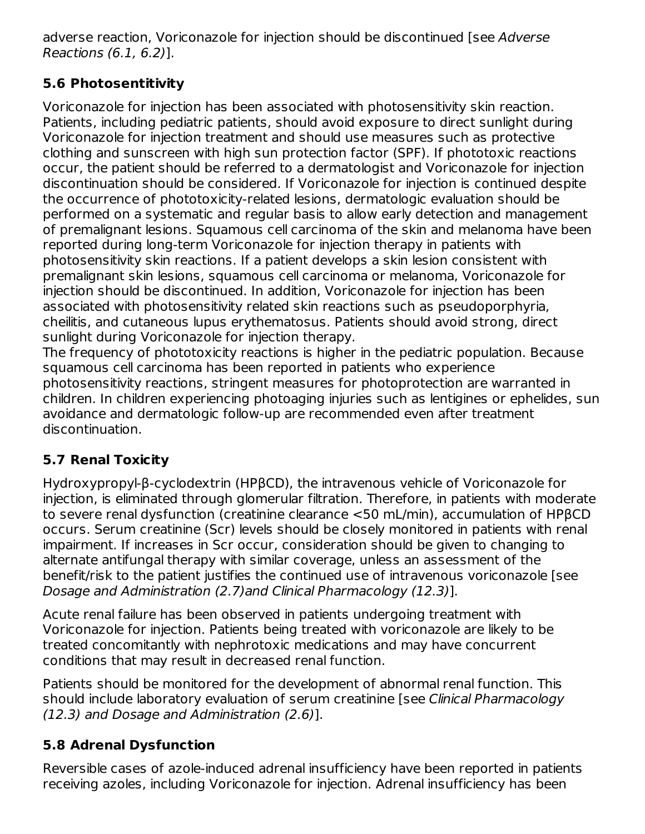adverse reaction, Voriconazole for injection should be discontinued [see Adverse Reactions (6.1, 6.2)].

# **5.6 Photosentitivity**

Voriconazole for injection has been associated with photosensitivity skin reaction. Patients, including pediatric patients, should avoid exposure to direct sunlight during Voriconazole for injection treatment and should use measures such as protective clothing and sunscreen with high sun protection factor (SPF). If phototoxic reactions occur, the patient should be referred to a dermatologist and Voriconazole for injection discontinuation should be considered. If Voriconazole for injection is continued despite the occurrence of phototoxicity-related lesions, dermatologic evaluation should be performed on a systematic and regular basis to allow early detection and management of premalignant lesions. Squamous cell carcinoma of the skin and melanoma have been reported during long-term Voriconazole for injection therapy in patients with photosensitivity skin reactions. If a patient develops a skin lesion consistent with premalignant skin lesions, squamous cell carcinoma or melanoma, Voriconazole for injection should be discontinued. In addition, Voriconazole for injection has been associated with photosensitivity related skin reactions such as pseudoporphyria, cheilitis, and cutaneous lupus erythematosus. Patients should avoid strong, direct sunlight during Voriconazole for injection therapy.

The frequency of phototoxicity reactions is higher in the pediatric population. Because squamous cell carcinoma has been reported in patients who experience photosensitivity reactions, stringent measures for photoprotection are warranted in children. In children experiencing photoaging injuries such as lentigines or ephelides, sun avoidance and dermatologic follow-up are recommended even after treatment discontinuation.

# **5.7 Renal Toxicity**

Hydroxypropyl-β-cyclodextrin (HPβCD), the intravenous vehicle of Voriconazole for injection, is eliminated through glomerular filtration. Therefore, in patients with moderate to severe renal dysfunction (creatinine clearance <50 mL/min), accumulation of HPβCD occurs. Serum creatinine (Scr) levels should be closely monitored in patients with renal impairment. If increases in Scr occur, consideration should be given to changing to alternate antifungal therapy with similar coverage, unless an assessment of the benefit/risk to the patient justifies the continued use of intravenous voriconazole [see Dosage and Administration (2.7)and Clinical Pharmacology (12.3)].

Acute renal failure has been observed in patients undergoing treatment with Voriconazole for injection. Patients being treated with voriconazole are likely to be treated concomitantly with nephrotoxic medications and may have concurrent conditions that may result in decreased renal function.

Patients should be monitored for the development of abnormal renal function. This should include laboratory evaluation of serum creatinine [see Clinical Pharmacology (12.3) and Dosage and Administration (2.6)].

# **5.8 Adrenal Dysfunction**

Reversible cases of azole-induced adrenal insufficiency have been reported in patients receiving azoles, including Voriconazole for injection. Adrenal insufficiency has been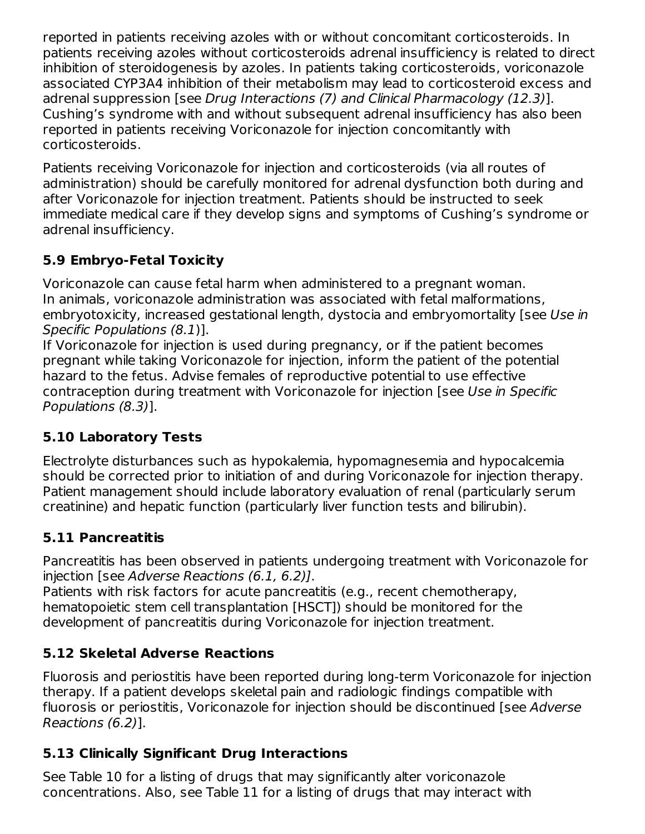reported in patients receiving azoles with or without concomitant corticosteroids. In patients receiving azoles without corticosteroids adrenal insufficiency is related to direct inhibition of steroidogenesis by azoles. In patients taking corticosteroids, voriconazole associated CYP3A4 inhibition of their metabolism may lead to corticosteroid excess and adrenal suppression [see Drug Interactions (7) and Clinical Pharmacology (12.3)]. Cushing's syndrome with and without subsequent adrenal insufficiency has also been reported in patients receiving Voriconazole for injection concomitantly with corticosteroids.

Patients receiving Voriconazole for injection and corticosteroids (via all routes of administration) should be carefully monitored for adrenal dysfunction both during and after Voriconazole for injection treatment. Patients should be instructed to seek immediate medical care if they develop signs and symptoms of Cushing's syndrome or adrenal insufficiency.

# **5.9 Embryo-Fetal Toxicity**

Voriconazole can cause fetal harm when administered to a pregnant woman. In animals, voriconazole administration was associated with fetal malformations, embryotoxicity, increased gestational length, dystocia and embryomortality [see Use in Specific Populations (8.1)].

If Voriconazole for injection is used during pregnancy, or if the patient becomes pregnant while taking Voriconazole for injection, inform the patient of the potential hazard to the fetus. Advise females of reproductive potential to use effective contraception during treatment with Voriconazole for injection [see Use in Specific Populations (8.3)].

# **5.10 Laboratory Tests**

Electrolyte disturbances such as hypokalemia, hypomagnesemia and hypocalcemia should be corrected prior to initiation of and during Voriconazole for injection therapy. Patient management should include laboratory evaluation of renal (particularly serum creatinine) and hepatic function (particularly liver function tests and bilirubin).

# **5.11 Pancreatitis**

Pancreatitis has been observed in patients undergoing treatment with Voriconazole for injection [see Adverse Reactions (6.1, 6.2)].

Patients with risk factors for acute pancreatitis (e.g., recent chemotherapy, hematopoietic stem cell transplantation [HSCT]) should be monitored for the development of pancreatitis during Voriconazole for injection treatment.

# **5.12 Skeletal Adverse Reactions**

Fluorosis and periostitis have been reported during long-term Voriconazole for injection therapy. If a patient develops skeletal pain and radiologic findings compatible with fluorosis or periostitis, Voriconazole for injection should be discontinued [see Adverse Reactions (6.2)].

# **5.13 Clinically Significant Drug Interactions**

See Table 10 for a listing of drugs that may significantly alter voriconazole concentrations. Also, see Table 11 for a listing of drugs that may interact with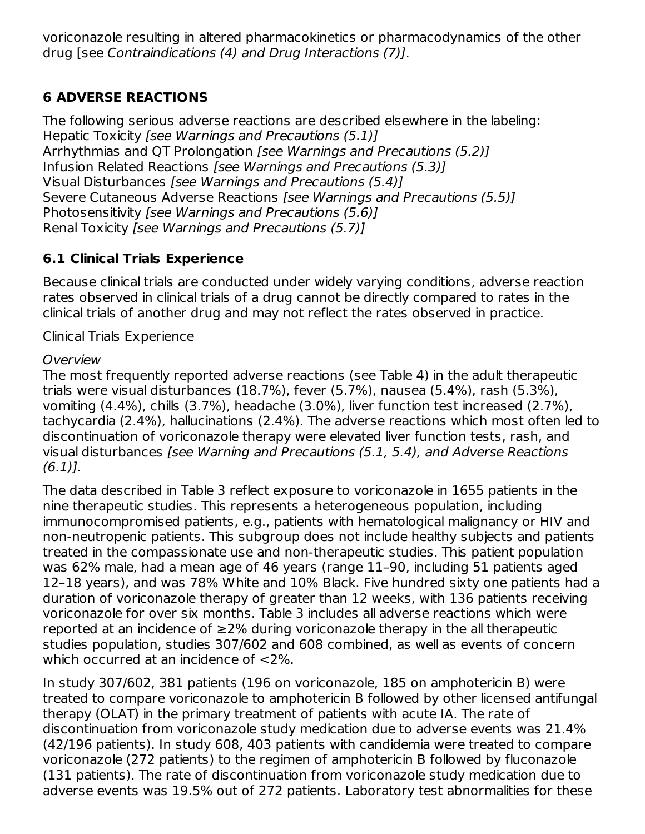voriconazole resulting in altered pharmacokinetics or pharmacodynamics of the other drug [see Contraindications (4) and Drug Interactions (7)].

### **6 ADVERSE REACTIONS**

The following serious adverse reactions are described elsewhere in the labeling: Hepatic Toxicity [see Warnings and Precautions (5.1)] Arrhythmias and QT Prolongation [see Warnings and Precautions (5.2)] Infusion Related Reactions [see Warnings and Precautions (5.3)] Visual Disturbances [see Warnings and Precautions (5.4)] Severe Cutaneous Adverse Reactions [see Warnings and Precautions (5.5)] Photosensitivity [see Warnings and Precautions (5.6)] Renal Toxicity [see Warnings and Precautions (5.7)]

### **6.1 Clinical Trials Experience**

Because clinical trials are conducted under widely varying conditions, adverse reaction rates observed in clinical trials of a drug cannot be directly compared to rates in the clinical trials of another drug and may not reflect the rates observed in practice.

#### Clinical Trials Experience

#### **Overview**

The most frequently reported adverse reactions (see Table 4) in the adult therapeutic trials were visual disturbances (18.7%), fever (5.7%), nausea (5.4%), rash (5.3%), vomiting (4.4%), chills (3.7%), headache (3.0%), liver function test increased (2.7%), tachycardia (2.4%), hallucinations (2.4%). The adverse reactions which most often led to discontinuation of voriconazole therapy were elevated liver function tests, rash, and visual disturbances [see Warning and Precautions (5.1, 5.4), and Adverse Reactions  $(6.1)$ ].

The data described in Table 3 reflect exposure to voriconazole in 1655 patients in the nine therapeutic studies. This represents a heterogeneous population, including immunocompromised patients, e.g., patients with hematological malignancy or HIV and non-neutropenic patients. This subgroup does not include healthy subjects and patients treated in the compassionate use and non-therapeutic studies. This patient population was 62% male, had a mean age of 46 years (range 11–90, including 51 patients aged 12–18 years), and was 78% White and 10% Black. Five hundred sixty one patients had a duration of voriconazole therapy of greater than 12 weeks, with 136 patients receiving voriconazole for over six months. Table 3 includes all adverse reactions which were reported at an incidence of ≥2% during voriconazole therapy in the all therapeutic studies population, studies 307/602 and 608 combined, as well as events of concern which occurred at an incidence of <2%.

In study 307/602, 381 patients (196 on voriconazole, 185 on amphotericin B) were treated to compare voriconazole to amphotericin B followed by other licensed antifungal therapy (OLAT) in the primary treatment of patients with acute IA. The rate of discontinuation from voriconazole study medication due to adverse events was 21.4% (42/196 patients). In study 608, 403 patients with candidemia were treated to compare voriconazole (272 patients) to the regimen of amphotericin B followed by fluconazole (131 patients). The rate of discontinuation from voriconazole study medication due to adverse events was 19.5% out of 272 patients. Laboratory test abnormalities for these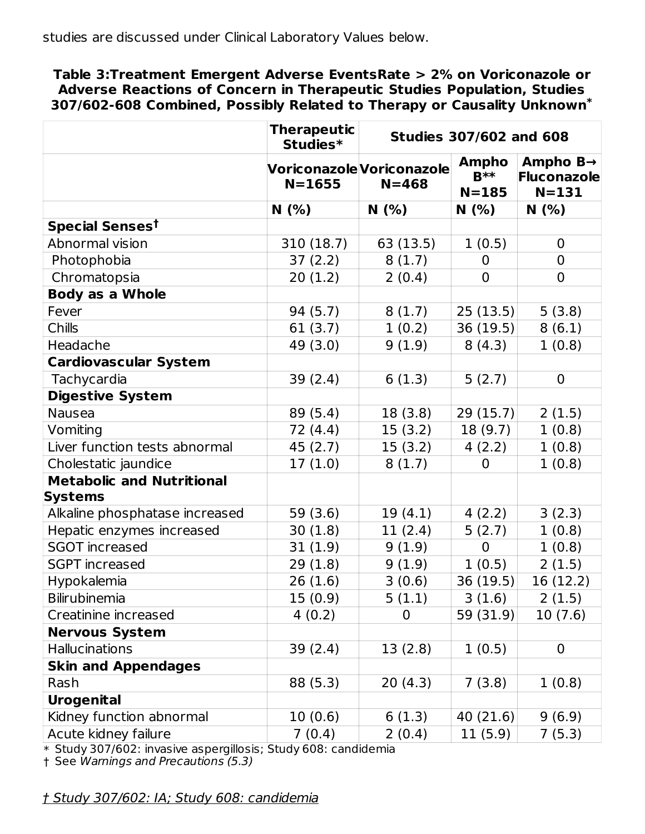**Table 3:Treatment Emergent Adverse EventsRate > 2% on Voriconazole or Adverse Reactions of Concern in Therapeutic Studies Population, Studies 307/602-608 Combined, Possibly Related to Therapy or Causality Unknown \***

|                                  | <b>Therapeutic</b><br>Studies* | <b>Studies 307/602 and 608</b>                |                                     |                                                  |
|----------------------------------|--------------------------------|-----------------------------------------------|-------------------------------------|--------------------------------------------------|
|                                  | $N = 1655$                     | <b>Voriconazole Voriconazole</b><br>$N = 468$ | <b>Ampho</b><br>$B***$<br>$N = 185$ | Ampho $B\rightarrow$<br>Fluconazole<br>$N = 131$ |
|                                  | N(% )                          | N(% )                                         | N(% )                               | N(% )                                            |
| Special Senses <sup>t</sup>      |                                |                                               |                                     |                                                  |
| Abnormal vision                  | 310 (18.7)                     | 63 (13.5)                                     | 1(0.5)                              | $\mathbf 0$                                      |
| Photophobia                      | 37(2.2)                        | 8(1.7)                                        | $\mathbf 0$                         | $\mathbf 0$                                      |
| Chromatopsia                     | 20(1.2)                        | 2(0.4)                                        | $\mathbf 0$                         | $\overline{0}$                                   |
| <b>Body as a Whole</b>           |                                |                                               |                                     |                                                  |
| Fever                            | 94 (5.7)                       | 8(1.7)                                        | 25(13.5)                            | 5(3.8)                                           |
| Chills                           | 61(3.7)                        | 1(0.2)                                        | 36 $(19.5)$                         | 8(6.1)                                           |
| Headache                         | 49 (3.0)                       | 9(1.9)                                        | 8(4.3)                              | 1(0.8)                                           |
| <b>Cardiovascular System</b>     |                                |                                               |                                     |                                                  |
| Tachycardia                      | 39(2.4)                        | 6(1.3)                                        | 5(2.7)                              | $\mathbf 0$                                      |
| <b>Digestive System</b>          |                                |                                               |                                     |                                                  |
| <b>Nausea</b>                    | 89 (5.4)                       | 18(3.8)                                       | 29(15.7)                            | 2(1.5)                                           |
| Vomiting                         | 72 (4.4)                       | 15(3.2)                                       | 18(9.7)                             | 1(0.8)                                           |
| Liver function tests abnormal    | 45 (2.7)                       | 15(3.2)                                       | 4(2.2)                              | 1(0.8)                                           |
| Cholestatic jaundice             | 17(1.0)                        | 8(1.7)                                        | $\overline{0}$                      | 1(0.8)                                           |
| <b>Metabolic and Nutritional</b> |                                |                                               |                                     |                                                  |
| <b>Systems</b>                   |                                |                                               |                                     |                                                  |
| Alkaline phosphatase increased   | 59 (3.6)                       | 19(4.1)                                       | 4(2.2)                              | 3(2.3)                                           |
| Hepatic enzymes increased        | 30(1.8)                        | 11(2.4)                                       | 5(2.7)                              | 1(0.8)                                           |
| <b>SGOT</b> increased            | 31(1.9)                        | 9(1.9)                                        | $\Omega$                            | 1(0.8)                                           |
| <b>SGPT</b> increased            | 29(1.8)                        | 9(1.9)                                        | 1(0.5)                              | 2(1.5)                                           |
| Hypokalemia                      | 26 (1.6)                       | 3(0.6)                                        | 36 (19.5)                           | 16 (12.2)                                        |
| <b>Bilirubinemia</b>             | 15 (0.9)                       | 5(1.1)                                        | 3(1.6)                              | 2(1.5)                                           |
| Creatinine increased             | 4(0.2)                         | $\mathbf 0$                                   | 59 (31.9)                           | 10(7.6)                                          |
| <b>Nervous System</b>            |                                |                                               |                                     |                                                  |
| <b>Hallucinations</b>            | 39 (2.4)                       | 13(2.8)                                       | 1(0.5)                              | 0                                                |
| <b>Skin and Appendages</b>       |                                |                                               |                                     |                                                  |
| Rash                             | 88 (5.3)                       | 20(4.3)                                       | 7(3.8)                              | 1(0.8)                                           |
| <b>Urogenital</b>                |                                |                                               |                                     |                                                  |
| Kidney function abnormal         | 10(0.6)                        | 6(1.3)                                        | 40 (21.6)                           | 9(6.9)                                           |
| Acute kidney failure             | 7(0.4)                         | 2(0.4)                                        | 11(5.9)                             | 7(5.3)                                           |

\* Study 307/602: invasive aspergillosis; Study 608: candidemia

† See Warnings and Precautions (5.3)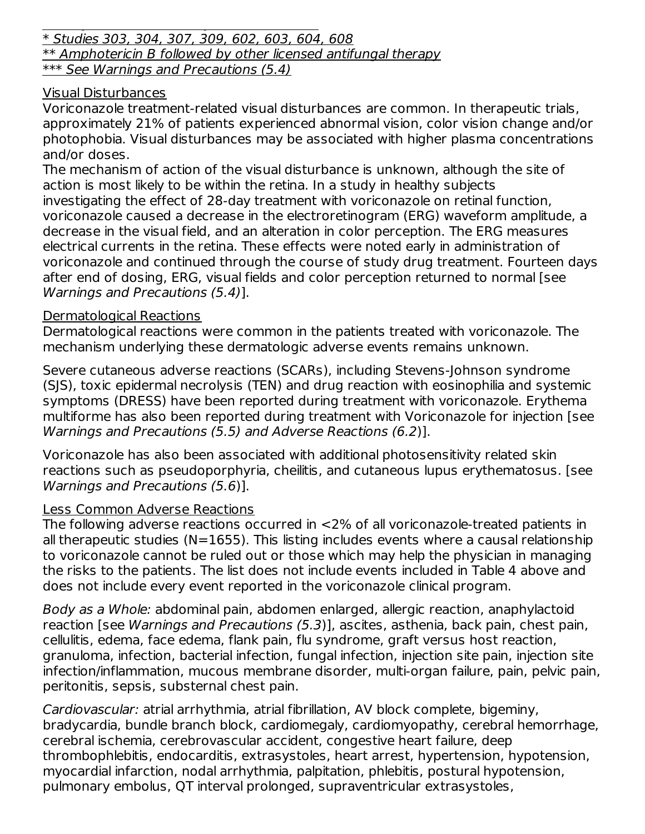<u>† Study 307/602: IA; Study 307/602: IA; Study 608: Candidate minister in Study 60</u> \* Studies 303, 304, 307, 309, 602, 603, 604, 608  $**$  Amphotericin B followed by other licensed antifungal therapy \*\*\* See Warnings and Precautions (5.4)

#### Visual Disturbances

Voriconazole treatment-related visual disturbances are common. In therapeutic trials, approximately 21% of patients experienced abnormal vision, color vision change and/or photophobia. Visual disturbances may be associated with higher plasma concentrations and/or doses.

The mechanism of action of the visual disturbance is unknown, although the site of action is most likely to be within the retina. In a study in healthy subjects investigating the effect of 28-day treatment with voriconazole on retinal function, voriconazole caused a decrease in the electroretinogram (ERG) waveform amplitude, a decrease in the visual field, and an alteration in color perception. The ERG measures electrical currents in the retina. These effects were noted early in administration of voriconazole and continued through the course of study drug treatment. Fourteen days after end of dosing, ERG, visual fields and color perception returned to normal [see Warnings and Precautions (5.4)].

#### Dermatological Reactions

Dermatological reactions were common in the patients treated with voriconazole. The mechanism underlying these dermatologic adverse events remains unknown.

Severe cutaneous adverse reactions (SCARs), including Stevens-Johnson syndrome (SJS), toxic epidermal necrolysis (TEN) and drug reaction with eosinophilia and systemic symptoms (DRESS) have been reported during treatment with voriconazole. Erythema multiforme has also been reported during treatment with Voriconazole for injection [see Warnings and Precautions (5.5) and Adverse Reactions (6.2)].

Voriconazole has also been associated with additional photosensitivity related skin reactions such as pseudoporphyria, cheilitis, and cutaneous lupus erythematosus. [see Warnings and Precautions (5.6)].

#### Less Common Adverse Reactions

The following adverse reactions occurred in <2% of all voriconazole-treated patients in all therapeutic studies ( $N=1655$ ). This listing includes events where a causal relationship to voriconazole cannot be ruled out or those which may help the physician in managing the risks to the patients. The list does not include events included in Table 4 above and does not include every event reported in the voriconazole clinical program.

Body as a Whole: abdominal pain, abdomen enlarged, allergic reaction, anaphylactoid reaction [see Warnings and Precautions (5.3)], ascites, asthenia, back pain, chest pain, cellulitis, edema, face edema, flank pain, flu syndrome, graft versus host reaction, granuloma, infection, bacterial infection, fungal infection, injection site pain, injection site infection/inflammation, mucous membrane disorder, multi-organ failure, pain, pelvic pain, peritonitis, sepsis, substernal chest pain.

Cardiovascular: atrial arrhythmia, atrial fibrillation, AV block complete, bigeminy, bradycardia, bundle branch block, cardiomegaly, cardiomyopathy, cerebral hemorrhage, cerebral ischemia, cerebrovascular accident, congestive heart failure, deep thrombophlebitis, endocarditis, extrasystoles, heart arrest, hypertension, hypotension, myocardial infarction, nodal arrhythmia, palpitation, phlebitis, postural hypotension, pulmonary embolus, QT interval prolonged, supraventricular extrasystoles,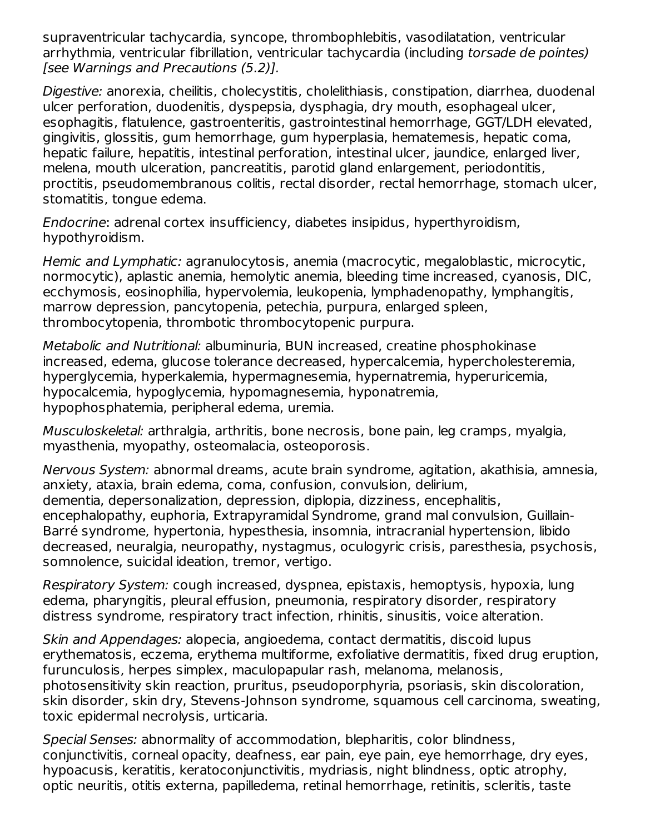supraventricular tachycardia, syncope, thrombophlebitis, vasodilatation, ventricular arrhythmia, ventricular fibrillation, ventricular tachycardia (including torsade de pointes) [see Warnings and Precautions (5.2)].

Digestive: anorexia, cheilitis, cholecystitis, cholelithiasis, constipation, diarrhea, duodenal ulcer perforation, duodenitis, dyspepsia, dysphagia, dry mouth, esophageal ulcer, esophagitis, flatulence, gastroenteritis, gastrointestinal hemorrhage, GGT/LDH elevated, gingivitis, glossitis, gum hemorrhage, gum hyperplasia, hematemesis, hepatic coma, hepatic failure, hepatitis, intestinal perforation, intestinal ulcer, jaundice, enlarged liver, melena, mouth ulceration, pancreatitis, parotid gland enlargement, periodontitis, proctitis, pseudomembranous colitis, rectal disorder, rectal hemorrhage, stomach ulcer, stomatitis, tongue edema.

Endocrine: adrenal cortex insufficiency, diabetes insipidus, hyperthyroidism, hypothyroidism.

Hemic and Lymphatic: agranulocytosis, anemia (macrocytic, megaloblastic, microcytic, normocytic), aplastic anemia, hemolytic anemia, bleeding time increased, cyanosis, DIC, ecchymosis, eosinophilia, hypervolemia, leukopenia, lymphadenopathy, lymphangitis, marrow depression, pancytopenia, petechia, purpura, enlarged spleen, thrombocytopenia, thrombotic thrombocytopenic purpura.

Metabolic and Nutritional: albuminuria, BUN increased, creatine phosphokinase increased, edema, glucose tolerance decreased, hypercalcemia, hypercholesteremia, hyperglycemia, hyperkalemia, hypermagnesemia, hypernatremia, hyperuricemia, hypocalcemia, hypoglycemia, hypomagnesemia, hyponatremia, hypophosphatemia, peripheral edema, uremia.

Musculoskeletal: arthralgia, arthritis, bone necrosis, bone pain, leg cramps, myalgia, myasthenia, myopathy, osteomalacia, osteoporosis.

Nervous System: abnormal dreams, acute brain syndrome, agitation, akathisia, amnesia, anxiety, ataxia, brain edema, coma, confusion, convulsion, delirium, dementia, depersonalization, depression, diplopia, dizziness, encephalitis, encephalopathy, euphoria, Extrapyramidal Syndrome, grand mal convulsion, Guillain-Barré syndrome, hypertonia, hypesthesia, insomnia, intracranial hypertension, libido decreased, neuralgia, neuropathy, nystagmus, oculogyric crisis, paresthesia, psychosis, somnolence, suicidal ideation, tremor, vertigo.

Respiratory System: cough increased, dyspnea, epistaxis, hemoptysis, hypoxia, lung edema, pharyngitis, pleural effusion, pneumonia, respiratory disorder, respiratory distress syndrome, respiratory tract infection, rhinitis, sinusitis, voice alteration.

Skin and Appendages: alopecia, angioedema, contact dermatitis, discoid lupus erythematosis, eczema, erythema multiforme, exfoliative dermatitis, fixed drug eruption, furunculosis, herpes simplex, maculopapular rash, melanoma, melanosis, photosensitivity skin reaction, pruritus, pseudoporphyria, psoriasis, skin discoloration, skin disorder, skin dry, Stevens-Johnson syndrome, squamous cell carcinoma, sweating, toxic epidermal necrolysis, urticaria.

Special Senses: abnormality of accommodation, blepharitis, color blindness, conjunctivitis, corneal opacity, deafness, ear pain, eye pain, eye hemorrhage, dry eyes, hypoacusis, keratitis, keratoconjunctivitis, mydriasis, night blindness, optic atrophy, optic neuritis, otitis externa, papilledema, retinal hemorrhage, retinitis, scleritis, taste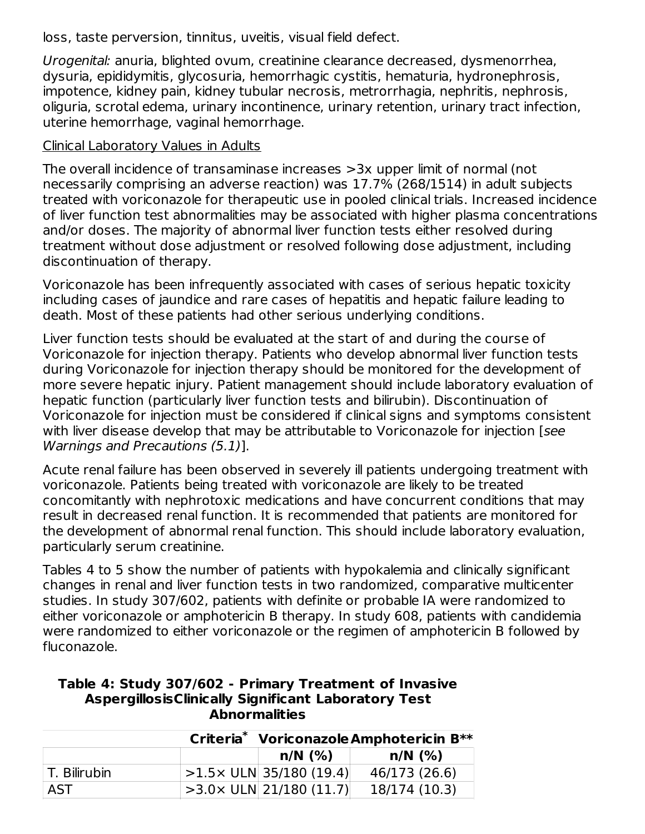loss, taste perversion, tinnitus, uveitis, visual field defect.

Urogenital: anuria, blighted ovum, creatinine clearance decreased, dysmenorrhea, dysuria, epididymitis, glycosuria, hemorrhagic cystitis, hematuria, hydronephrosis, impotence, kidney pain, kidney tubular necrosis, metrorrhagia, nephritis, nephrosis, oliguria, scrotal edema, urinary incontinence, urinary retention, urinary tract infection, uterine hemorrhage, vaginal hemorrhage.

#### Clinical Laboratory Values in Adults

The overall incidence of transaminase increases >3x upper limit of normal (not necessarily comprising an adverse reaction) was 17.7% (268/1514) in adult subjects treated with voriconazole for therapeutic use in pooled clinical trials. Increased incidence of liver function test abnormalities may be associated with higher plasma concentrations and/or doses. The majority of abnormal liver function tests either resolved during treatment without dose adjustment or resolved following dose adjustment, including discontinuation of therapy.

Voriconazole has been infrequently associated with cases of serious hepatic toxicity including cases of jaundice and rare cases of hepatitis and hepatic failure leading to death. Most of these patients had other serious underlying conditions.

Liver function tests should be evaluated at the start of and during the course of Voriconazole for injection therapy. Patients who develop abnormal liver function tests during Voriconazole for injection therapy should be monitored for the development of more severe hepatic injury. Patient management should include laboratory evaluation of hepatic function (particularly liver function tests and bilirubin). Discontinuation of Voriconazole for injection must be considered if clinical signs and symptoms consistent with liver disease develop that may be attributable to Voriconazole for injection [see Warnings and Precautions (5.1)].

Acute renal failure has been observed in severely ill patients undergoing treatment with voriconazole. Patients being treated with voriconazole are likely to be treated concomitantly with nephrotoxic medications and have concurrent conditions that may result in decreased renal function. It is recommended that patients are monitored for the development of abnormal renal function. This should include laboratory evaluation, particularly serum creatinine.

Tables 4 to 5 show the number of patients with hypokalemia and clinically significant changes in renal and liver function tests in two randomized, comparative multicenter studies. In study 307/602, patients with definite or probable IA were randomized to either voriconazole or amphotericin B therapy. In study 608, patients with candidemia were randomized to either voriconazole or the regimen of amphotericin B followed by fluconazole.

#### **Table 4: Study 307/602 - Primary Treatment of Invasive AspergillosisClinically Significant Laboratory Test Abnormalities**

|              |                                    | Criteria* Voriconazole Amphotericin B** |
|--------------|------------------------------------|-----------------------------------------|
|              | $n/N$ (%)                          | $n/N$ (%)                               |
| T. Bilirubin | $ >1.5\times$ ULN 35/180 (19.4)    | 46/173 (26.6)                           |
| <b>AST</b>   | $  > 3.0 \times$ ULN 21/180 (11.7) | 18/174 (10.3)                           |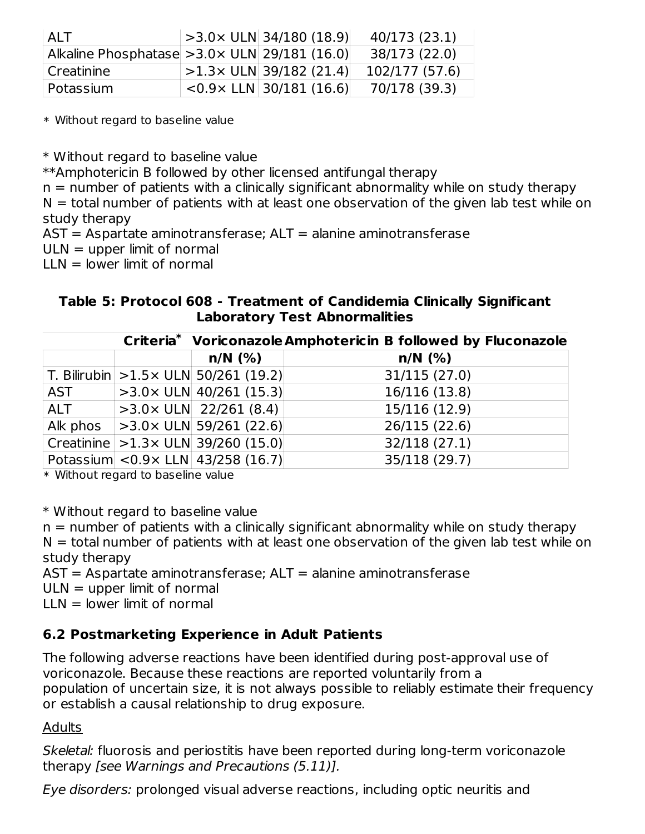| <b>ALT</b>                                          | $>3.0\times$ ULN 34/180 (18.9)      | 40/173 (23.1)  |
|-----------------------------------------------------|-------------------------------------|----------------|
| Alkaline Phosphatase $>3.0\times$ ULN 29/181 (16.0) |                                     | 38/173 (22.0)  |
| l Creatinine                                        | $>1.3\times$ ULN 39/182 (21.4)      | 102/177 (57.6) |
| Potassium                                           | $<$ 0.9 $\times$ LLN  30/181 (16.6) | 70/178 (39.3)  |

\* Without regard to baseline value

\* Without regard to baseline value

\*\*Amphotericin B followed by other licensed antifungal therapy

 $n =$  number of patients with a clinically significant abnormality while on study therapy  $N =$  total number of patients with at least one observation of the given lab test while on

study therapy

AST = Aspartate aminotransferase; ALT = alanine aminotransferase

 $ULN = upper$  limit of normal

 $LLN =$  lower limit of normal

#### **Table 5: Protocol 608 - Treatment of Candidemia Clinically Significant Laboratory Test Abnormalities**

|            |                                                | Criteria* Voriconazole Amphotericin B followed by Fluconazole |
|------------|------------------------------------------------|---------------------------------------------------------------|
|            | $n/N$ (%)                                      | $n/N$ (%)                                                     |
|            | $T$ . Bilirubin $>1.5\times$ ULN 50/261 (19.2) | 31/115(27.0)                                                  |
| <b>AST</b> | $>3.0\times$ ULN 40/261 (15.3)                 | 16/116 (13.8)                                                 |
| <b>ALT</b> | $>3.0\times$ ULN 22/261 (8.4)                  | 15/116 (12.9)                                                 |
|            | Alk phos $  > 3.0 \times$ ULN 59/261 (22.6)    | 26/115(22.6)                                                  |
|            | Creatinine $ >1.3\times$ ULN 39/260 (15.0)     | 32/118(27.1)                                                  |
|            | Potassium <0.9x LLN 43/258 (16.7)              | 35/118 (29.7)                                                 |

 $\ast\,$  Without regard to baseline value

\* Without regard to baseline value

n = number of patients with a clinically significant abnormality while on study therapy  $N =$  total number of patients with at least one observation of the given lab test while on study therapy

AST = Aspartate aminotransferase; ALT = alanine aminotransferase

 $ULN =$  upper limit of normal

 $LIN =$  lower limit of normal

### **6.2 Postmarketing Experience in Adult Patients**

The following adverse reactions have been identified during post-approval use of voriconazole. Because these reactions are reported voluntarily from a population of uncertain size, it is not always possible to reliably estimate their frequency or establish a causal relationship to drug exposure.

### Adults

Skeletal: fluorosis and periostitis have been reported during long-term voriconazole therapy [see Warnings and Precautions (5.11)].

Eye disorders: prolonged visual adverse reactions, including optic neuritis and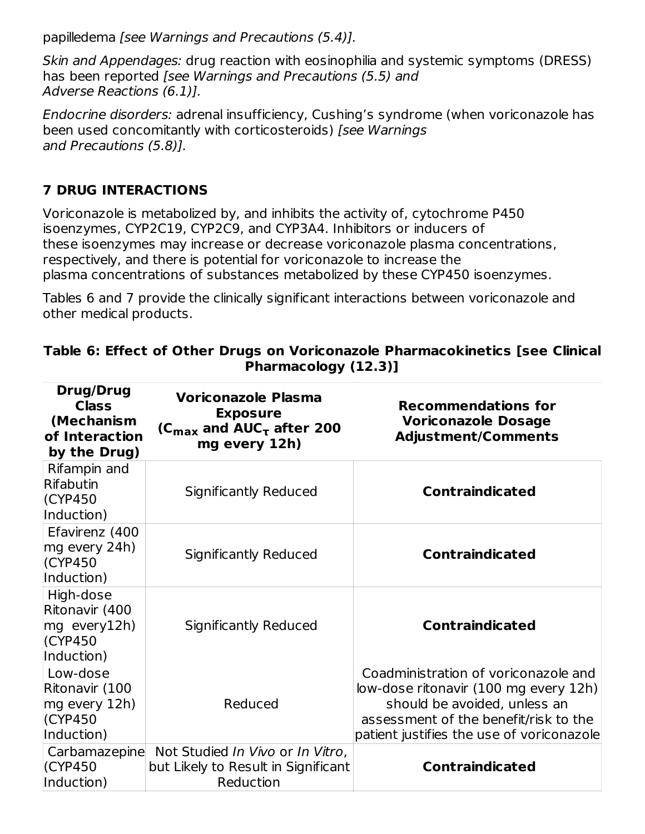papilledema [see Warnings and Precautions (5.4)].

Skin and Appendages: drug reaction with eosinophilia and systemic symptoms (DRESS) has been reported [see Warnings and Precautions (5.5) and Adverse Reactions (6.1)].

Endocrine disorders: adrenal insufficiency, Cushing's syndrome (when voriconazole has been used concomitantly with corticosteroids) [see Warnings] and Precautions (5.8)].

### **7 DRUG INTERACTIONS**

Voriconazole is metabolized by, and inhibits the activity of, cytochrome P450 isoenzymes, CYP2C19, CYP2C9, and CYP3A4. Inhibitors or inducers of these isoenzymes may increase or decrease voriconazole plasma concentrations, respectively, and there is potential for voriconazole to increase the plasma concentrations of substances metabolized by these CYP450 isoenzymes.

Tables 6 and 7 provide the clinically significant interactions between voriconazole and other medical products.

| <b>Drug/Drug</b><br><b>Class</b><br>(Mechanism<br>of Interaction<br>by the Drug) | <b>Voriconazole Plasma</b><br><b>Exposure</b><br>( $C_{\text{max}}$ and AUC <sub>T</sub> after 200<br>mg every 12h) | <b>Recommendations for</b><br><b>Voriconazole Dosage</b><br><b>Adjustment/Comments</b>                                                                                                              |
|----------------------------------------------------------------------------------|---------------------------------------------------------------------------------------------------------------------|-----------------------------------------------------------------------------------------------------------------------------------------------------------------------------------------------------|
| Rifampin and<br>Rifabutin<br>$ $ (CYP450<br>Induction)                           | Significantly Reduced                                                                                               | <b>Contraindicated</b>                                                                                                                                                                              |
| Efavirenz (400<br>mg every 24h)<br>$ $ (CYP450<br>Induction)                     | Significantly Reduced                                                                                               | <b>Contraindicated</b>                                                                                                                                                                              |
| High-dose<br>Ritonavir (400<br>$mg$ every12h)<br>$ $ (CYP450<br>Induction)       | Significantly Reduced                                                                                               | <b>Contraindicated</b>                                                                                                                                                                              |
| Low-dose<br>Ritonavir (100<br>$mg$ every 12h)<br>$ $ (CYP450<br>Induction)       | Reduced                                                                                                             | Coadministration of voriconazole and<br>low-dose ritonavir (100 mg every 12h)<br>should be avoided, unless an<br>assessment of the benefit/risk to the<br>patient justifies the use of voriconazole |
| Carbamazepine<br><b>(CYP450)</b><br>Induction)                                   | Not Studied In Vivo or In Vitro,<br>but Likely to Result in Significant<br>Reduction                                | <b>Contraindicated</b>                                                                                                                                                                              |

#### **Table 6: Effect of Other Drugs on Voriconazole Pharmacokinetics [see Clinical Pharmacology (12.3)]**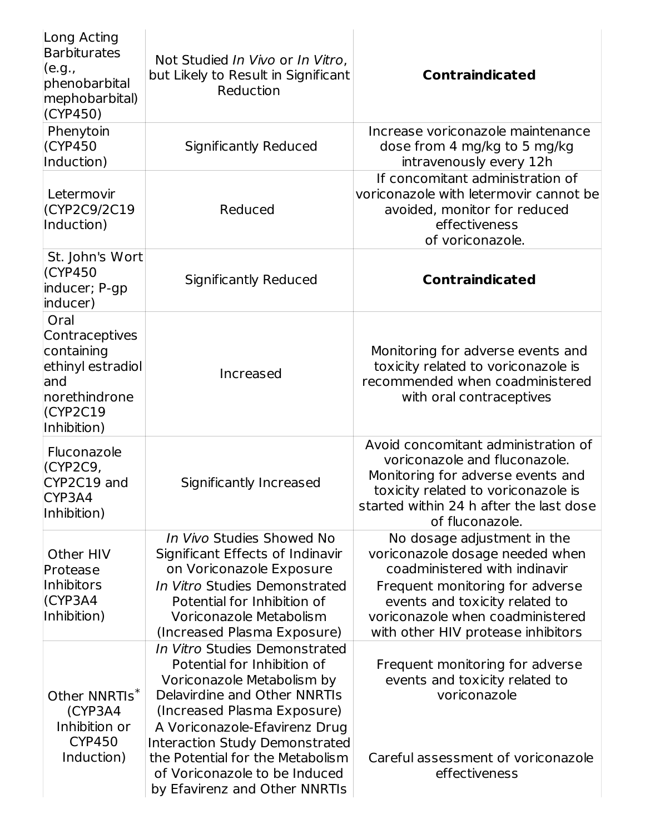| Long Acting<br>Barbiturates<br>(e.g.,<br>phenobarbital<br>mephobarbital)<br>(CYP450)<br>Phenytoin<br>$ $ (CYP450 | Not Studied In Vivo or In Vitro,<br>but Likely to Result in Significant<br>Reduction<br><b>Significantly Reduced</b>                                                                                                                                                                                                                      | <b>Contraindicated</b><br>Increase voriconazole maintenance<br>dose from 4 mg/kg to 5 mg/kg                                                                                                                                                    |
|------------------------------------------------------------------------------------------------------------------|-------------------------------------------------------------------------------------------------------------------------------------------------------------------------------------------------------------------------------------------------------------------------------------------------------------------------------------------|------------------------------------------------------------------------------------------------------------------------------------------------------------------------------------------------------------------------------------------------|
| Induction)                                                                                                       |                                                                                                                                                                                                                                                                                                                                           | intravenously every 12h                                                                                                                                                                                                                        |
| Letermovir<br>$ $ (CYP2C9/2C19<br>Induction)                                                                     | Reduced                                                                                                                                                                                                                                                                                                                                   | If concomitant administration of<br>voriconazole with letermovir cannot be<br>avoided, monitor for reduced<br>effectiveness<br>of voriconazole.                                                                                                |
| St. John's Wort<br>(CYP450<br>inducer; P-gp<br>inducer)<br>Oral                                                  | Significantly Reduced                                                                                                                                                                                                                                                                                                                     | <b>Contraindicated</b>                                                                                                                                                                                                                         |
| Contraceptives<br>containing<br>ethinyl estradiol<br>land<br>norethindrone<br>$ $ (CYP2C19<br>Inhibition)        | Increased                                                                                                                                                                                                                                                                                                                                 | Monitoring for adverse events and<br>toxicity related to voriconazole is<br>recommended when coadministered<br>with oral contraceptives                                                                                                        |
| Fluconazole<br>(CYP2C9,<br>CYP2C19 and<br>CYP3A4<br>Inhibition)                                                  | Significantly Increased                                                                                                                                                                                                                                                                                                                   | Avoid concomitant administration of<br>voriconazole and fluconazole.<br>Monitoring for adverse events and<br>toxicity related to voriconazole is<br>started within 24 h after the last dose<br>of fluconazole.                                 |
| Other HIV<br>Protease<br>Inhibitors<br>CYP3A4<br>Inhibition)                                                     | In Vivo Studies Showed No<br>Significant Effects of Indinavir<br>on Voriconazole Exposure<br>In Vitro Studies Demonstrated<br>Potential for Inhibition of<br>Voriconazole Metabolism<br>(Increased Plasma Exposure)                                                                                                                       | No dosage adjustment in the<br>voriconazole dosage needed when<br>coadministered with indinavir<br>Frequent monitoring for adverse<br>events and toxicity related to<br>voriconazole when coadministered<br>with other HIV protease inhibitors |
| Other NNRTIs*<br>(CYP3A4<br>Inhibition or<br><b>CYP450</b><br>Induction)                                         | In Vitro Studies Demonstrated<br>Potential for Inhibition of<br>Voriconazole Metabolism by<br>Delavirdine and Other NNRTIS<br>(Increased Plasma Exposure)<br>A Voriconazole-Efavirenz Drug<br><b>Interaction Study Demonstrated</b><br>the Potential for the Metabolism<br>of Voriconazole to be Induced<br>by Efavirenz and Other NNRTIs | Frequent monitoring for adverse<br>events and toxicity related to<br>voriconazole<br>Careful assessment of voriconazole<br>effectiveness                                                                                                       |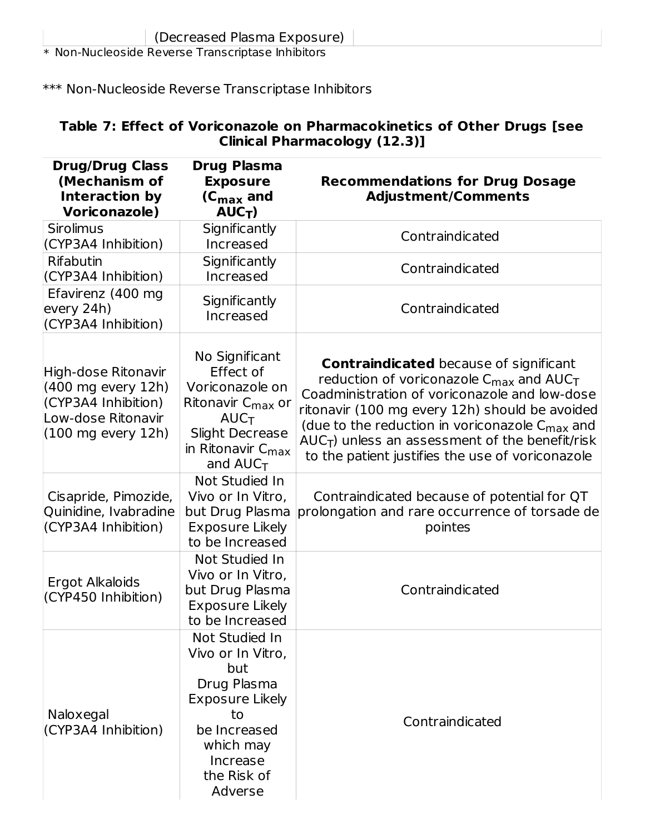(Decreased Plasma Exposure)

\* Non-Nucleoside Reverse Transcriptase Inhibitors

### \*\*\* Non-Nucleoside Reverse Transcriptase Inhibitors

#### **Table 7: Effect of Voriconazole on Pharmacokinetics of Other Drugs [see Clinical Pharmacology (12.3)]**

| <b>Drug/Drug Class</b><br>(Mechanism of<br>Interaction by<br><b>Voriconazole)</b>                                       | <b>Drug Plasma</b><br><b>Exposure</b><br>( $C_{\text{max}}$ and<br>AUC <sub>T</sub> )                                                                        | <b>Recommendations for Drug Dosage</b><br><b>Adjustment/Comments</b>                                                                                                                                                                                                                                                                                                                      |
|-------------------------------------------------------------------------------------------------------------------------|--------------------------------------------------------------------------------------------------------------------------------------------------------------|-------------------------------------------------------------------------------------------------------------------------------------------------------------------------------------------------------------------------------------------------------------------------------------------------------------------------------------------------------------------------------------------|
| <b>Sirolimus</b><br>(CYP3A4 Inhibition)                                                                                 | Significantly<br>Increased                                                                                                                                   | Contraindicated                                                                                                                                                                                                                                                                                                                                                                           |
| Rifabutin<br>(CYP3A4 Inhibition)                                                                                        | Significantly<br>Increased                                                                                                                                   | Contraindicated                                                                                                                                                                                                                                                                                                                                                                           |
| Efavirenz (400 mg<br>every 24h)<br>(CYP3A4 Inhibition)                                                                  | Significantly<br>Increased                                                                                                                                   | Contraindicated                                                                                                                                                                                                                                                                                                                                                                           |
| High-dose Ritonavir<br>(400 mg every 12h)<br>(CYP3A4 Inhibition)<br>Low-dose Ritonavir<br>$(100 \text{ mg every } 12h)$ | No Significant<br>Effect of<br>Voriconazole on<br>Ritonavir $C_{\text{max}}$ or<br>AUC<br>Slight Decrease<br>in Ritonavir C <sub>max</sub><br>and $AUC_T$    | <b>Contraindicated</b> because of significant<br>reduction of voriconazole $C_{\text{max}}$ and $\text{AUC}_T$<br>Coadministration of voriconazole and low-dose<br>ritonavir (100 mg every 12h) should be avoided<br>(due to the reduction in voriconazole C <sub>max</sub> and<br>$AUC_T$ ) unless an assessment of the benefit/risk<br>to the patient justifies the use of voriconazole |
| Cisapride, Pimozide,<br>Quinidine, Ivabradine<br>(CYP3A4 Inhibition)                                                    | Not Studied In<br>Vivo or In Vitro,<br>but Drug Plasma<br><b>Exposure Likely</b><br>to be Increased                                                          | Contraindicated because of potential for QT<br>prolongation and rare occurrence of torsade de<br>pointes                                                                                                                                                                                                                                                                                  |
| Ergot Alkaloids<br>(CYP450 Inhibition)                                                                                  | Not Studied In<br>Vivo or In Vitro,<br>but Drug Plasma<br><b>Exposure Likely</b><br>to be Increased                                                          | Contraindicated                                                                                                                                                                                                                                                                                                                                                                           |
| Naloxegal<br>(CYP3A4 Inhibition)                                                                                        | Not Studied In<br>Vivo or In Vitro,<br>but<br>Drug Plasma<br><b>Exposure Likely</b><br>to<br>be Increased<br>which may<br>Increase<br>the Risk of<br>Adverse | Contraindicated                                                                                                                                                                                                                                                                                                                                                                           |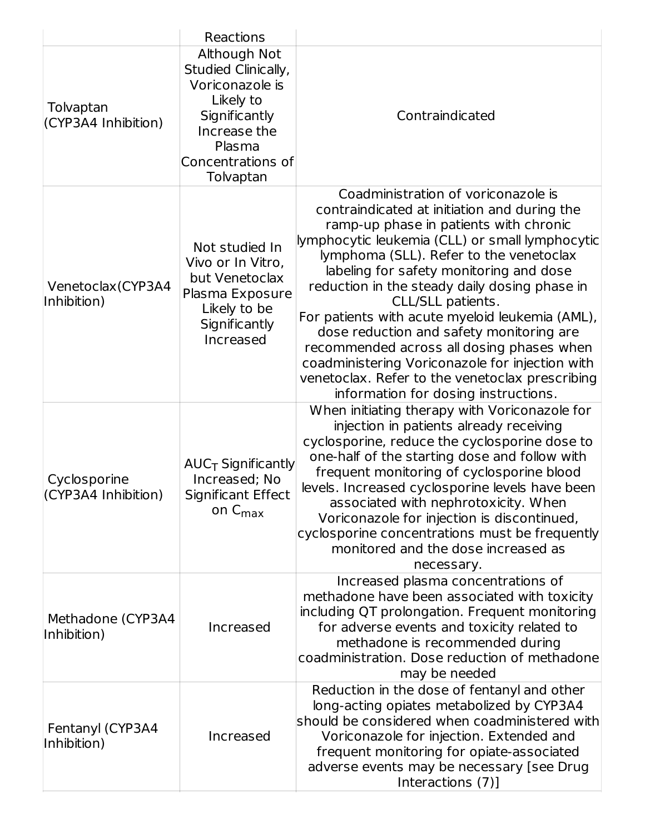|                                     | Reactions                                                                                                                                        |                                                                                                                                                                                                                                                                                                                                                                                                                                                                                                                                                                                                                                        |
|-------------------------------------|--------------------------------------------------------------------------------------------------------------------------------------------------|----------------------------------------------------------------------------------------------------------------------------------------------------------------------------------------------------------------------------------------------------------------------------------------------------------------------------------------------------------------------------------------------------------------------------------------------------------------------------------------------------------------------------------------------------------------------------------------------------------------------------------------|
| Tolvaptan<br>(CYP3A4 Inhibition)    | Although Not<br>Studied Clinically,<br>Voriconazole is<br>Likely to<br>Significantly<br>Increase the<br>Plasma<br>Concentrations of<br>Tolvaptan | Contraindicated                                                                                                                                                                                                                                                                                                                                                                                                                                                                                                                                                                                                                        |
| Venetoclax (CYP3A4<br>Inhibition)   | Not studied In<br>Vivo or In Vitro,<br>but Venetoclax<br>Plasma Exposure<br>Likely to be<br>Significantly<br>Increased                           | Coadministration of voriconazole is<br>contraindicated at initiation and during the<br>ramp-up phase in patients with chronic<br>lymphocytic leukemia (CLL) or small lymphocytic<br>lymphoma (SLL). Refer to the venetoclax<br>labeling for safety monitoring and dose<br>reduction in the steady daily dosing phase in<br>CLL/SLL patients.<br>For patients with acute myeloid leukemia (AML),<br>dose reduction and safety monitoring are<br>recommended across all dosing phases when<br>coadministering Voriconazole for injection with<br>venetoclax. Refer to the venetoclax prescribing<br>information for dosing instructions. |
| Cyclosporine<br>(CYP3A4 Inhibition) | $AUC$ <sub>T</sub> Significantly<br>Increased; No<br>Significant Effect<br>on $C_{\text{max}}$                                                   | When initiating therapy with Voriconazole for<br>injection in patients already receiving<br>cyclosporine, reduce the cyclosporine dose to<br>one-half of the starting dose and follow with<br>frequent monitoring of cyclosporine blood<br>levels. Increased cyclosporine levels have been<br>associated with nephrotoxicity. When<br>Voriconazole for injection is discontinued,<br>cyclosporine concentrations must be frequently<br>monitored and the dose increased as<br>necessary.                                                                                                                                               |
| Methadone (CYP3A4<br>Inhibition)    | Increased                                                                                                                                        | Increased plasma concentrations of<br>methadone have been associated with toxicity<br>including QT prolongation. Frequent monitoring<br>for adverse events and toxicity related to<br>methadone is recommended during<br>coadministration. Dose reduction of methadone<br>may be needed                                                                                                                                                                                                                                                                                                                                                |
| Fentanyl (CYP3A4<br>Inhibition)     | Increased                                                                                                                                        | Reduction in the dose of fentanyl and other<br>long-acting opiates metabolized by CYP3A4<br>should be considered when coadministered with<br>Voriconazole for injection. Extended and<br>frequent monitoring for opiate-associated<br>adverse events may be necessary [see Drug<br>Interactions (7)]                                                                                                                                                                                                                                                                                                                                   |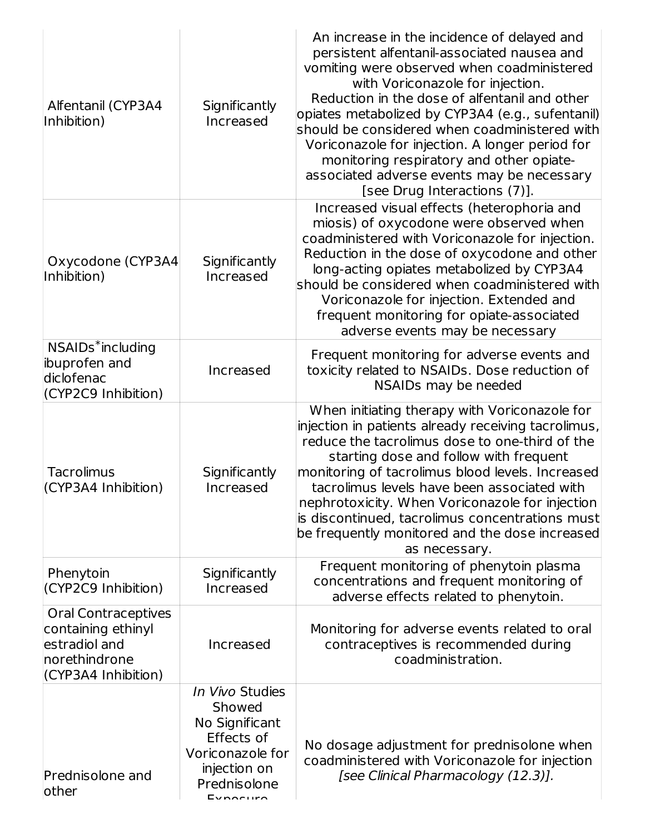| Alfentanil (CYP3A4<br>Inhibition)                                                                         | Significantly<br>Increased                                                                                                | An increase in the incidence of delayed and<br>persistent alfentanil-associated nausea and<br>vomiting were observed when coadministered<br>with Voriconazole for injection.<br>Reduction in the dose of alfentanil and other<br>opiates metabolized by CYP3A4 (e.g., sufentanil)<br>should be considered when coadministered with<br>Voriconazole for injection. A longer period for<br>monitoring respiratory and other opiate-<br>associated adverse events may be necessary<br>[see Drug Interactions (7)]. |
|-----------------------------------------------------------------------------------------------------------|---------------------------------------------------------------------------------------------------------------------------|-----------------------------------------------------------------------------------------------------------------------------------------------------------------------------------------------------------------------------------------------------------------------------------------------------------------------------------------------------------------------------------------------------------------------------------------------------------------------------------------------------------------|
| Oxycodone (CYP3A4<br>Inhibition)                                                                          | Significantly<br>Increased                                                                                                | Increased visual effects (heterophoria and<br>miosis) of oxycodone were observed when<br>coadministered with Voriconazole for injection.<br>Reduction in the dose of oxycodone and other<br>long-acting opiates metabolized by CYP3A4<br>should be considered when coadministered with<br>Voriconazole for injection. Extended and<br>frequent monitoring for opiate-associated<br>adverse events may be necessary                                                                                              |
| NSAIDs*including<br>ibuprofen and<br>diclofenac<br>(CYP2C9 Inhibition)                                    | Increased                                                                                                                 | Frequent monitoring for adverse events and<br>toxicity related to NSAIDs. Dose reduction of<br>NSAIDs may be needed                                                                                                                                                                                                                                                                                                                                                                                             |
| <b>Tacrolimus</b><br>(CYP3A4 Inhibition)                                                                  | Significantly<br>Increased                                                                                                | When initiating therapy with Voriconazole for<br>injection in patients already receiving tacrolimus,<br>reduce the tacrolimus dose to one-third of the<br>starting dose and follow with frequent<br>monitoring of tacrolimus blood levels. Increased<br>tacrolimus levels have been associated with<br>nephrotoxicity. When Voriconazole for injection<br>is discontinued, tacrolimus concentrations must<br>be frequently monitored and the dose increased<br>as necessary.                                    |
| Phenytoin<br>(CYP2C9 Inhibition)                                                                          | Significantly<br>Increased                                                                                                | Frequent monitoring of phenytoin plasma<br>concentrations and frequent monitoring of<br>adverse effects related to phenytoin.                                                                                                                                                                                                                                                                                                                                                                                   |
| <b>Oral Contraceptives</b><br>containing ethinyl<br>estradiol and<br>norethindrone<br>(CYP3A4 Inhibition) | Increased                                                                                                                 | Monitoring for adverse events related to oral<br>contraceptives is recommended during<br>coadministration.                                                                                                                                                                                                                                                                                                                                                                                                      |
| Prednisolone and<br>other                                                                                 | In Vivo Studies<br>Showed<br>No Significant<br>Effects of<br>Voriconazole for<br>injection on<br>Prednisolone<br>Evnacura | No dosage adjustment for prednisolone when<br>coadministered with Voriconazole for injection<br>[see Clinical Pharmacology (12.3)].                                                                                                                                                                                                                                                                                                                                                                             |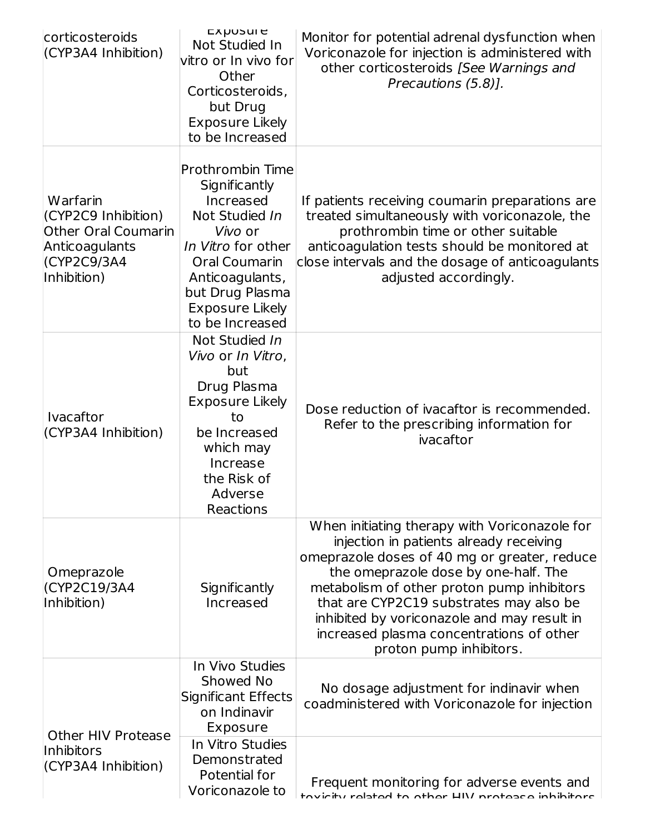| corticosteroids<br>(CYP3A4 Inhibition)                                                                                   | EXPUSULE<br>Not Studied In<br>vitro or In vivo for<br>Other<br>Corticosteroids,<br>but Drug<br><b>Exposure Likely</b><br>to be Increased                                                                     | Monitor for potential adrenal dysfunction when<br>Voriconazole for injection is administered with<br>other corticosteroids [See Warnings and<br>Precautions (5.8)].                                                                                                                                                                                                                             |
|--------------------------------------------------------------------------------------------------------------------------|--------------------------------------------------------------------------------------------------------------------------------------------------------------------------------------------------------------|-------------------------------------------------------------------------------------------------------------------------------------------------------------------------------------------------------------------------------------------------------------------------------------------------------------------------------------------------------------------------------------------------|
| <b>Warfarin</b><br>(CYP2C9 Inhibition)<br><b>Other Oral Coumarin</b><br>Anticoagulants<br>$ $ (CYP2C9/3A4<br>Inhibition) | Prothrombin Time<br>Significantly<br>Increased<br>Not Studied In<br><i>Vivo</i> or<br>In Vitro for other<br>Oral Coumarin<br>Anticoagulants,<br>but Drug Plasma<br><b>Exposure Likely</b><br>to be Increased | If patients receiving coumarin preparations are<br>treated simultaneously with voriconazole, the<br>prothrombin time or other suitable<br>anticoagulation tests should be monitored at<br>close intervals and the dosage of anticoagulants<br>adjusted accordingly.                                                                                                                             |
| Ivacaftor<br>(CYP3A4 Inhibition)                                                                                         | Not Studied In<br>Vivo or In Vitro,<br>but<br>Drug Plasma<br><b>Exposure Likely</b><br>to<br>be Increased<br>which may<br>Increase<br>the Risk of<br>Adverse<br>Reactions                                    | Dose reduction of ivacaftor is recommended.<br>Refer to the prescribing information for<br>ivacaftor                                                                                                                                                                                                                                                                                            |
| Omeprazole<br>(CYP2C19/3A4<br>Inhibition)                                                                                | Significantly<br>Increased                                                                                                                                                                                   | When initiating therapy with Voriconazole for<br>injection in patients already receiving<br>omeprazole doses of 40 mg or greater, reduce<br>the omeprazole dose by one-half. The<br>metabolism of other proton pump inhibitors<br>that are CYP2C19 substrates may also be<br>inhibited by voriconazole and may result in<br>increased plasma concentrations of other<br>proton pump inhibitors. |
| <b>Other HIV Protease</b>                                                                                                | In Vivo Studies<br>Showed No<br><b>Significant Effects</b><br>on Indinavir<br>Exposure                                                                                                                       | No dosage adjustment for indinavir when<br>coadministered with Voriconazole for injection                                                                                                                                                                                                                                                                                                       |
| Inhibitors<br>(CYP3A4 Inhibition)                                                                                        | In Vitro Studies<br>Demonstrated<br>Potential for<br>Voriconazole to                                                                                                                                         | Frequent monitoring for adverse events and<br>tovicity related to other HIV protesce inhibitore                                                                                                                                                                                                                                                                                                 |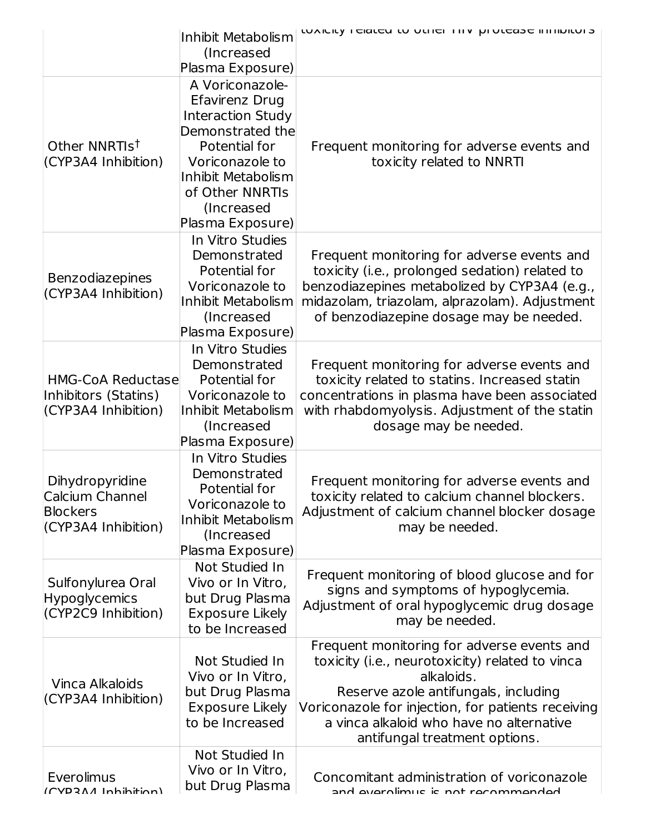|                           | Inhibit Metabolism                    | נטאונונץ וכומנכע נט טנווכו וווז p טנכסטכ וווווווטונטו ט |
|---------------------------|---------------------------------------|---------------------------------------------------------|
|                           | (Increased                            |                                                         |
|                           | Plasma Exposure)                      |                                                         |
|                           | A Voriconazole-                       |                                                         |
|                           | Efavirenz Drug                        |                                                         |
|                           | Interaction Study                     |                                                         |
|                           | Demonstrated the                      |                                                         |
| Other NNRTIs <sup>t</sup> | Potential for                         | Frequent monitoring for adverse events and              |
| (CYP3A4 Inhibition)       | Voriconazole to                       | toxicity related to NNRTI                               |
|                           | Inhibit Metabolism                    |                                                         |
|                           | of Other NNRTIs                       |                                                         |
|                           | (Increased                            |                                                         |
|                           | Plasma Exposure)                      |                                                         |
|                           | In Vitro Studies                      |                                                         |
|                           | Demonstrated                          | Frequent monitoring for adverse events and              |
| Benzodiazepines           | Potential for                         | toxicity (i.e., prolonged sedation) related to          |
| (CYP3A4 Inhibition)       | Voriconazole to                       | benzodiazepines metabolized by CYP3A4 (e.g.,            |
|                           | Inhibit Metabolism                    | midazolam, triazolam, alprazolam). Adjustment           |
|                           | (Increased                            | of benzodiazepine dosage may be needed.                 |
|                           | Plasma Exposure)                      |                                                         |
|                           | In Vitro Studies                      |                                                         |
|                           | Demonstrated                          | Frequent monitoring for adverse events and              |
| <b>HMG-CoA Reductase</b>  | Potential for                         | toxicity related to statins. Increased statin           |
| Inhibitors (Statins)      | Voriconazole to                       | concentrations in plasma have been associated           |
| (CYP3A4 Inhibition)       | Inhibit Metabolism                    | with rhabdomyolysis. Adjustment of the statin           |
|                           | (Increased)                           | dosage may be needed.                                   |
|                           | Plasma Exposure)                      |                                                         |
|                           | In Vitro Studies                      |                                                         |
| Dihydropyridine           | Demonstrated                          | Frequent monitoring for adverse events and              |
| Calcium Channel           | Potential for                         | toxicity related to calcium channel blockers.           |
| <b>Blockers</b>           | Voriconazole to<br>Inhibit Metabolism | Adjustment of calcium channel blocker dosage            |
| (CYP3A4 Inhibition)       | (Increased                            | may be needed.                                          |
|                           | Plasma Exposure)                      |                                                         |
|                           | Not Studied In                        |                                                         |
| Sulfonylurea Oral         | Vivo or In Vitro,                     | Frequent monitoring of blood glucose and for            |
| <b>Hypoglycemics</b>      | but Drug Plasma                       | signs and symptoms of hypoglycemia.                     |
| (CYP2C9 Inhibition)       | <b>Exposure Likely</b>                | Adjustment of oral hypoglycemic drug dosage             |
|                           | to be Increased                       | may be needed.                                          |
|                           |                                       | Frequent monitoring for adverse events and              |
|                           | Not Studied In                        | toxicity (i.e., neurotoxicity) related to vinca         |
|                           | Vivo or In Vitro,                     | alkaloids.                                              |
| Vinca Alkaloids           | but Drug Plasma                       | Reserve azole antifungals, including                    |
| (CYP3A4 Inhibition)       | <b>Exposure Likely</b>                | Voriconazole for injection, for patients receiving      |
|                           | to be Increased                       | a vinca alkaloid who have no alternative                |
|                           |                                       | antifungal treatment options.                           |
|                           | Not Studied In                        |                                                         |
| Everolimus                | Vivo or In Vitro,                     | Concomitant administration of voriconazole              |
| (CVD3 AA Inhihition)      | but Drug Plasma                       | and avarnlimus is not racommandad                       |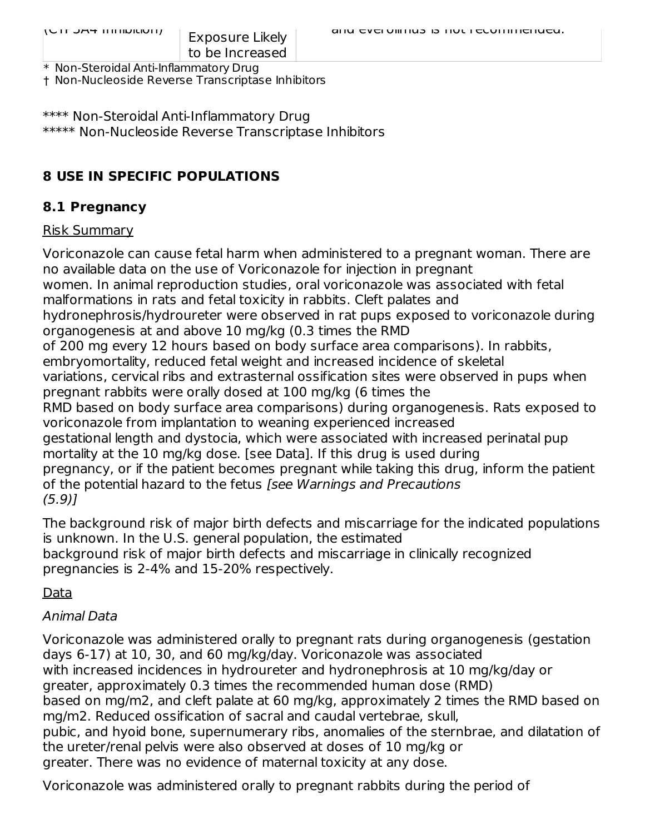\* Non-Steroidal Anti-Inflammatory Drug † Non-Nucleoside Reverse Transcriptase Inhibitors

\*\*\*\* Non-Steroidal Anti-Inflammatory Drug \*\*\*\*\* Non-Nucleoside Reverse Transcriptase Inhibitors

### **8 USE IN SPECIFIC POPULATIONS**

#### **8.1 Pregnancy**

#### Risk Summary

Voriconazole can cause fetal harm when administered to a pregnant woman. There are no available data on the use of Voriconazole for injection in pregnant women. In animal reproduction studies, oral voriconazole was associated with fetal malformations in rats and fetal toxicity in rabbits. Cleft palates and hydronephrosis/hydroureter were observed in rat pups exposed to voriconazole during organogenesis at and above 10 mg/kg (0.3 times the RMD of 200 mg every 12 hours based on body surface area comparisons). In rabbits, embryomortality, reduced fetal weight and increased incidence of skeletal variations, cervical ribs and extrasternal ossification sites were observed in pups when pregnant rabbits were orally dosed at 100 mg/kg (6 times the RMD based on body surface area comparisons) during organogenesis. Rats exposed to voriconazole from implantation to weaning experienced increased gestational length and dystocia, which were associated with increased perinatal pup mortality at the 10 mg/kg dose. [see Data]. If this drug is used during pregnancy, or if the patient becomes pregnant while taking this drug, inform the patient of the potential hazard to the fetus [see Warnings and Precautions (5.9)]

The background risk of major birth defects and miscarriage for the indicated populations is unknown. In the U.S. general population, the estimated background risk of major birth defects and miscarriage in clinically recognized pregnancies is 2-4% and 15-20% respectively.

#### Data

#### Animal Data

Voriconazole was administered orally to pregnant rats during organogenesis (gestation days 6-17) at 10, 30, and 60 mg/kg/day. Voriconazole was associated with increased incidences in hydroureter and hydronephrosis at 10 mg/kg/day or greater, approximately 0.3 times the recommended human dose (RMD) based on mg/m2, and cleft palate at 60 mg/kg, approximately 2 times the RMD based on mg/m2. Reduced ossification of sacral and caudal vertebrae, skull, pubic, and hyoid bone, supernumerary ribs, anomalies of the sternbrae, and dilatation of the ureter/renal pelvis were also observed at doses of 10 mg/kg or greater. There was no evidence of maternal toxicity at any dose.

Voriconazole was administered orally to pregnant rabbits during the period of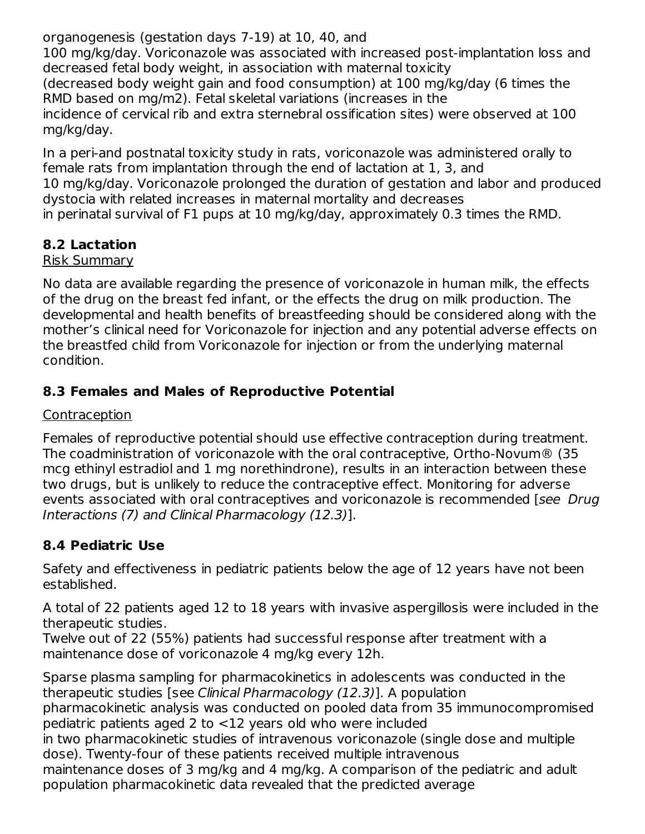organogenesis (gestation days 7-19) at 10, 40, and 100 mg/kg/day. Voriconazole was associated with increased post-implantation loss and decreased fetal body weight, in association with maternal toxicity (decreased body weight gain and food consumption) at 100 mg/kg/day (6 times the RMD based on mg/m2). Fetal skeletal variations (increases in the incidence of cervical rib and extra sternebral ossification sites) were observed at 100 mg/kg/day.

In a peri-and postnatal toxicity study in rats, voriconazole was administered orally to female rats from implantation through the end of lactation at 1, 3, and 10 mg/kg/day. Voriconazole prolonged the duration of gestation and labor and produced dystocia with related increases in maternal mortality and decreases in perinatal survival of F1 pups at 10 mg/kg/day, approximately 0.3 times the RMD.

### **8.2 Lactation**

#### Risk Summary

No data are available regarding the presence of voriconazole in human milk, the effects of the drug on the breast fed infant, or the effects the drug on milk production. The developmental and health benefits of breastfeeding should be considered along with the mother's clinical need for Voriconazole for injection and any potential adverse effects on the breastfed child from Voriconazole for injection or from the underlying maternal condition.

### **8.3 Females and Males of Reproductive Potential**

### Contraception

Females of reproductive potential should use effective contraception during treatment. The coadministration of voriconazole with the oral contraceptive, Ortho-Novum® (35 mcg ethinyl estradiol and 1 mg norethindrone), results in an interaction between these two drugs, but is unlikely to reduce the contraceptive effect. Monitoring for adverse events associated with oral contraceptives and voriconazole is recommended [see Drug Interactions (7) and Clinical Pharmacology (12.3)].

# **8.4 Pediatric Use**

Safety and effectiveness in pediatric patients below the age of 12 years have not been established.

A total of 22 patients aged 12 to 18 years with invasive aspergillosis were included in the therapeutic studies.

Twelve out of 22 (55%) patients had successful response after treatment with a maintenance dose of voriconazole 4 mg/kg every 12h.

Sparse plasma sampling for pharmacokinetics in adolescents was conducted in the therapeutic studies [see Clinical Pharmacology (12.3)]. A population pharmacokinetic analysis was conducted on pooled data from 35 immunocompromised pediatric patients aged 2 to <12 years old who were included in two pharmacokinetic studies of intravenous voriconazole (single dose and multiple dose). Twenty-four of these patients received multiple intravenous maintenance doses of 3 mg/kg and 4 mg/kg. A comparison of the pediatric and adult population pharmacokinetic data revealed that the predicted average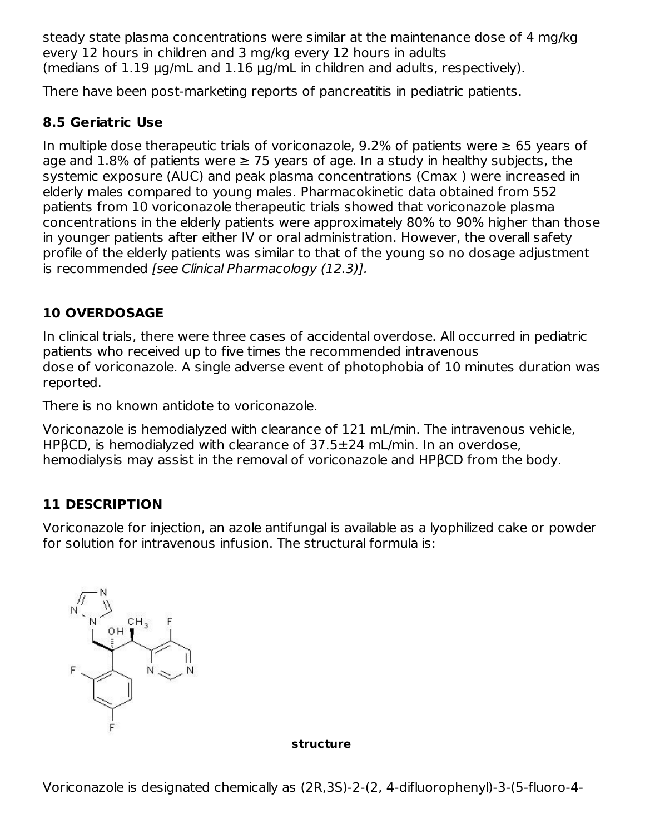steady state plasma concentrations were similar at the maintenance dose of 4 mg/kg every 12 hours in children and 3 mg/kg every 12 hours in adults (medians of 1.19 μg/mL and 1.16 μg/mL in children and adults, respectively).

There have been post-marketing reports of pancreatitis in pediatric patients.

### **8.5 Geriatric Use**

In multiple dose therapeutic trials of voriconazole, 9.2% of patients were  $\geq 65$  years of age and 1.8% of patients were  $\geq$  75 years of age. In a study in healthy subjects, the systemic exposure (AUC) and peak plasma concentrations (Cmax ) were increased in elderly males compared to young males. Pharmacokinetic data obtained from 552 patients from 10 voriconazole therapeutic trials showed that voriconazole plasma concentrations in the elderly patients were approximately 80% to 90% higher than those in younger patients after either IV or oral administration. However, the overall safety profile of the elderly patients was similar to that of the young so no dosage adjustment is recommended [see Clinical Pharmacology (12.3)].

# **10 OVERDOSAGE**

In clinical trials, there were three cases of accidental overdose. All occurred in pediatric patients who received up to five times the recommended intravenous dose of voriconazole. A single adverse event of photophobia of 10 minutes duration was reported.

There is no known antidote to voriconazole.

Voriconazole is hemodialyzed with clearance of 121 mL/min. The intravenous vehicle, HPβCD, is hemodialyzed with clearance of 37.5±24 mL/min. In an overdose, hemodialysis may assist in the removal of voriconazole and HPβCD from the body.

# **11 DESCRIPTION**

Voriconazole for injection, an azole antifungal is available as a lyophilized cake or powder for solution for intravenous infusion. The structural formula is:



**structure**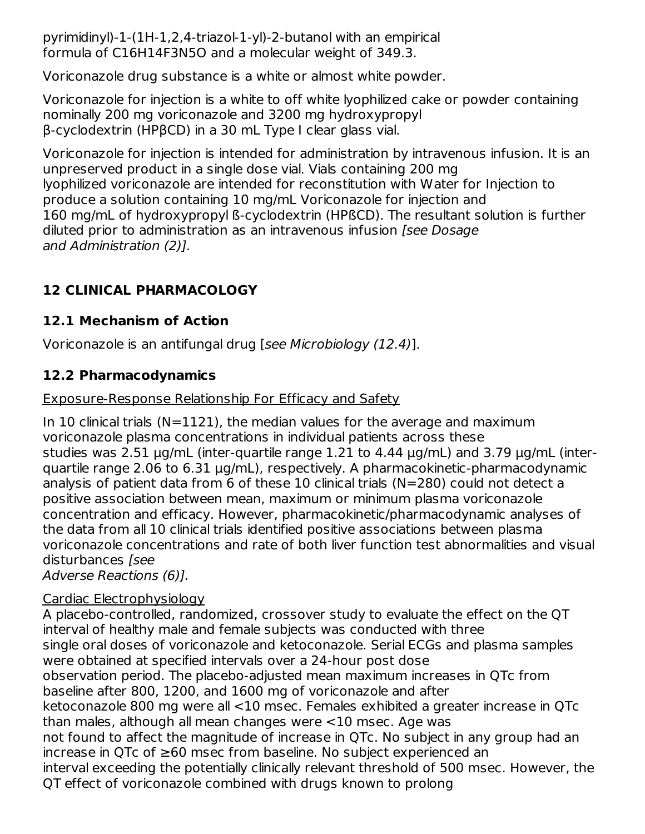pyrimidinyl)-1-(1H-1,2,4-triazol-1-yl)-2-butanol with an empirical formula of C16H14F3N5O and a molecular weight of 349.3.

Voriconazole drug substance is a white or almost white powder.

Voriconazole for injection is a white to off white lyophilized cake or powder containing nominally 200 mg voriconazole and 3200 mg hydroxypropyl β-cyclodextrin (HPβCD) in a 30 mL Type I clear glass vial.

Voriconazole for injection is intended for administration by intravenous infusion. It is an unpreserved product in a single dose vial. Vials containing 200 mg lyophilized voriconazole are intended for reconstitution with Water for Injection to produce a solution containing 10 mg/mL Voriconazole for injection and 160 mg/mL of hydroxypropyl ß-cyclodextrin (HPßCD). The resultant solution is further diluted prior to administration as an intravenous infusion [see Dosage] and Administration (2)].

# **12 CLINICAL PHARMACOLOGY**

### **12.1 Mechanism of Action**

Voriconazole is an antifungal drug [see Microbiology (12.4)].

### **12.2 Pharmacodynamics**

### Exposure-Response Relationship For Efficacy and Safety

In 10 clinical trials ( $N=1121$ ), the median values for the average and maximum voriconazole plasma concentrations in individual patients across these studies was 2.51 μg/mL (inter-quartile range 1.21 to 4.44 μg/mL) and 3.79 μg/mL (interquartile range 2.06 to 6.31 μg/mL), respectively. A pharmacokinetic-pharmacodynamic analysis of patient data from 6 of these 10 clinical trials (N=280) could not detect a positive association between mean, maximum or minimum plasma voriconazole concentration and efficacy. However, pharmacokinetic/pharmacodynamic analyses of the data from all 10 clinical trials identified positive associations between plasma voriconazole concentrations and rate of both liver function test abnormalities and visual disturbances *[see*]

Adverse Reactions (6)].

### Cardiac Electrophysiology

A placebo-controlled, randomized, crossover study to evaluate the effect on the QT interval of healthy male and female subjects was conducted with three single oral doses of voriconazole and ketoconazole. Serial ECGs and plasma samples were obtained at specified intervals over a 24-hour post dose observation period. The placebo-adjusted mean maximum increases in QTc from baseline after 800, 1200, and 1600 mg of voriconazole and after ketoconazole 800 mg were all <10 msec. Females exhibited a greater increase in QTc than males, although all mean changes were <10 msec. Age was not found to affect the magnitude of increase in QTc. No subject in any group had an increase in QTc of ≥60 msec from baseline. No subject experienced an interval exceeding the potentially clinically relevant threshold of 500 msec. However, the QT effect of voriconazole combined with drugs known to prolong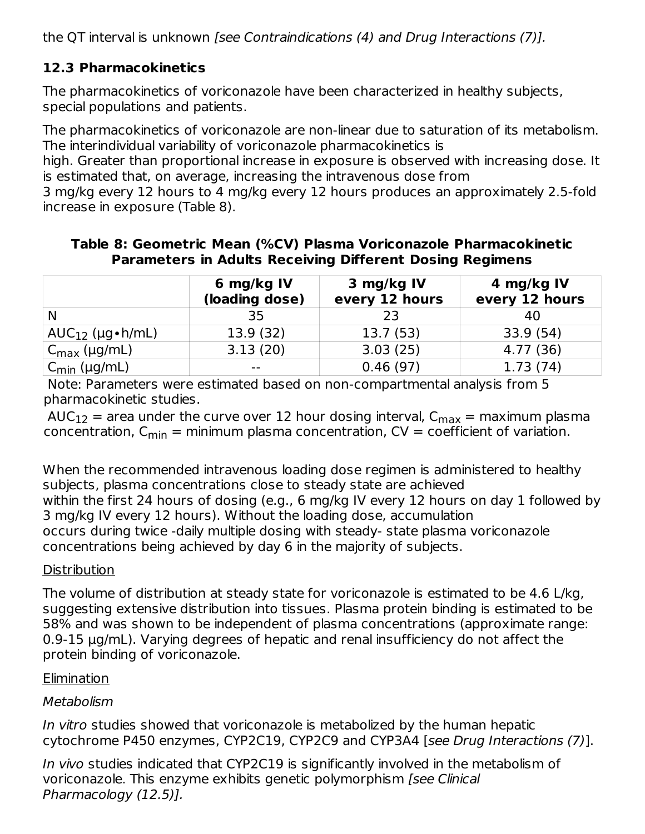the QT interval is unknown [see Contraindications (4) and Drug Interactions (7)].

### **12.3 Pharmacokinetics**

The pharmacokinetics of voriconazole have been characterized in healthy subjects, special populations and patients.

The pharmacokinetics of voriconazole are non-linear due to saturation of its metabolism. The interindividual variability of voriconazole pharmacokinetics is

high. Greater than proportional increase in exposure is observed with increasing dose. It is estimated that, on average, increasing the intravenous dose from

3 mg/kg every 12 hours to 4 mg/kg every 12 hours produces an approximately 2.5-fold increase in exposure (Table 8).

### **Table 8: Geometric Mean (%CV) Plasma Voriconazole Pharmacokinetic Parameters in Adults Receiving Different Dosing Regimens**

|                          | 6 mg/kg IV<br>(loading dose) | 3 mg/kg IV<br>every 12 hours | 4 mg/kg IV<br>every 12 hours |
|--------------------------|------------------------------|------------------------------|------------------------------|
| N                        | 35                           | 23                           | 40                           |
| $AUC_{12}$ (µg • h/mL)   | 13.9 (32)                    | 13.7(53)                     | 33.9 (54)                    |
| $C_{\text{max}}$ (µg/mL) | 3.13(20)                     | 3.03(25)                     | 4.77 (36)                    |
| $C_{\text{min}}$ (µg/mL) | $- -$                        | 0.46(97)                     | 1.73(74)                     |

Note: Parameters were estimated based on non-compartmental analysis from 5 pharmacokinetic studies.

AUC $_{12}=$  area under the curve over 12 hour dosing interval, C $_{\sf max}=$  maximum plasma concentration,  ${\sf C}_{\sf min}$  = minimum plasma concentration, CV = coefficient of variation.

When the recommended intravenous loading dose regimen is administered to healthy subjects, plasma concentrations close to steady state are achieved within the first 24 hours of dosing (e.g., 6 mg/kg IV every 12 hours on day 1 followed by 3 mg/kg IV every 12 hours). Without the loading dose, accumulation occurs during twice -daily multiple dosing with steady- state plasma voriconazole concentrations being achieved by day 6 in the majority of subjects.

### **Distribution**

The volume of distribution at steady state for voriconazole is estimated to be 4.6 L/kg, suggesting extensive distribution into tissues. Plasma protein binding is estimated to be 58% and was shown to be independent of plasma concentrations (approximate range: 0.9-15 µg/mL). Varying degrees of hepatic and renal insufficiency do not affect the protein binding of voriconazole.

### Elimination

### **Metabolism**

In vitro studies showed that voriconazole is metabolized by the human hepatic cytochrome P450 enzymes, CYP2C19, CYP2C9 and CYP3A4 [see Drug Interactions (7)].

In vivo studies indicated that CYP2C19 is significantly involved in the metabolism of voriconazole. This enzyme exhibits genetic polymorphism [see Clinical Pharmacology (12.5)].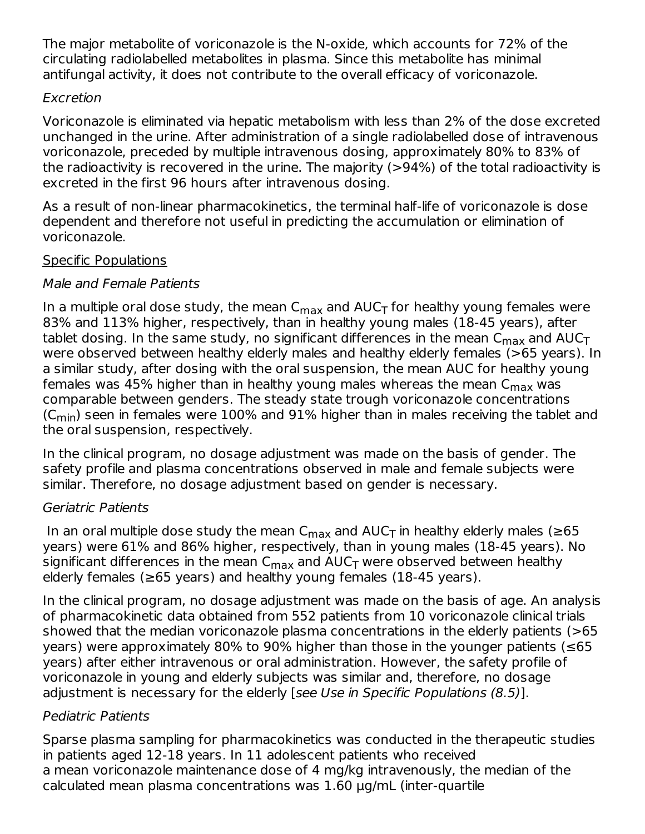The major metabolite of voriconazole is the N-oxide, which accounts for 72% of the circulating radiolabelled metabolites in plasma. Since this metabolite has minimal antifungal activity, it does not contribute to the overall efficacy of voriconazole.

#### Excretion

Voriconazole is eliminated via hepatic metabolism with less than 2% of the dose excreted unchanged in the urine. After administration of a single radiolabelled dose of intravenous voriconazole, preceded by multiple intravenous dosing, approximately 80% to 83% of the radioactivity is recovered in the urine. The majority (>94%) of the total radioactivity is excreted in the first 96 hours after intravenous dosing.

As a result of non-linear pharmacokinetics, the terminal half-life of voriconazole is dose dependent and therefore not useful in predicting the accumulation or elimination of voriconazole.

#### Specific Populations

### Male and Female Patients

In a multiple oral dose study, the mean  ${\sf C}_{\sf max}$  and  $\sf AUC_{\sf T}$  for healthy young females were 83% and 113% higher, respectively, than in healthy young males (18-45 years), after tablet dosing. In the same study, no significant differences in the mean  $\mathsf{C}_{\mathsf{max}}$  and  $\mathsf{AUC}_\mathsf{T}$ were observed between healthy elderly males and healthy elderly females (>65 years). In a similar study, after dosing with the oral suspension, the mean AUC for healthy young females was 45% higher than in healthy young males whereas the mean  ${\sf C}_{\sf max}$  was comparable between genders. The steady state trough voriconazole concentrations (C<sub>min</sub>) seen in females were  $100\%$  and  $91\%$  higher than in males receiving the tablet and the oral suspension, respectively.

In the clinical program, no dosage adjustment was made on the basis of gender. The safety profile and plasma concentrations observed in male and female subjects were similar. Therefore, no dosage adjustment based on gender is necessary.

### Geriatric Patients

In an oral multiple dose study the mean  $C_{\sf max}$  and  $\sf AUC_{\sf T}$  in healthy elderly males (≥65 years) were 61% and 86% higher, respectively, than in young males (18-45 years). No significant differences in the mean  ${\sf C}_{\sf max}$  and  $\sf AUC_{\sf T}$  were observed between healthy elderly females ( $\geq 65$  years) and healthy young females (18-45 years).

In the clinical program, no dosage adjustment was made on the basis of age. An analysis of pharmacokinetic data obtained from 552 patients from 10 voriconazole clinical trials showed that the median voriconazole plasma concentrations in the elderly patients (>65 years) were approximately 80% to 90% higher than those in the younger patients ( $\leq 65$ years) after either intravenous or oral administration. However, the safety profile of voriconazole in young and elderly subjects was similar and, therefore, no dosage adjustment is necessary for the elderly [see Use in Specific Populations (8.5)].

### Pediatric Patients

Sparse plasma sampling for pharmacokinetics was conducted in the therapeutic studies in patients aged 12-18 years. In 11 adolescent patients who received a mean voriconazole maintenance dose of 4 mg/kg intravenously, the median of the calculated mean plasma concentrations was 1.60 μg/mL (inter-quartile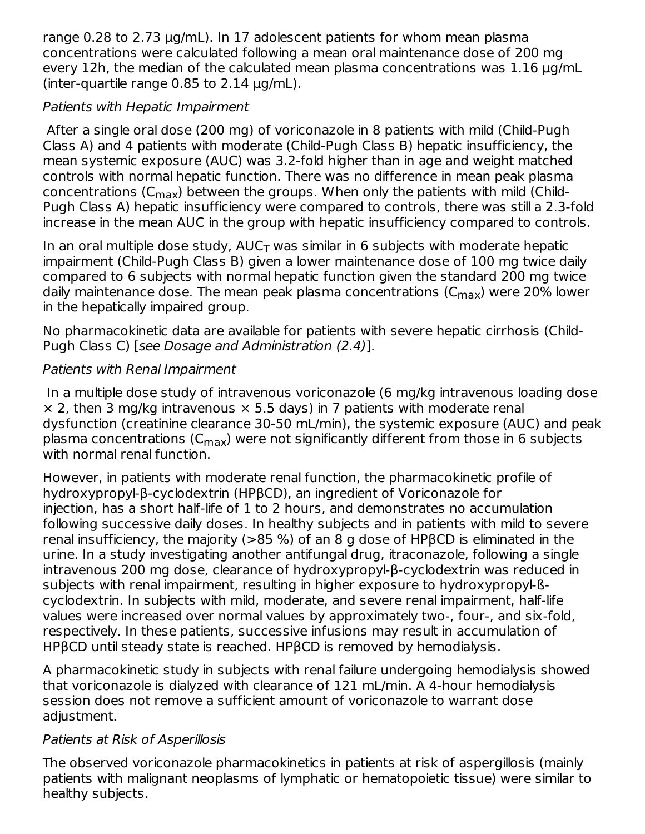range 0.28 to 2.73 μg/mL). In 17 adolescent patients for whom mean plasma concentrations were calculated following a mean oral maintenance dose of 200 mg every 12h, the median of the calculated mean plasma concentrations was 1.16 μg/mL (inter-quartile range 0.85 to 2.14 μg/mL).

### Patients with Hepatic Impairment

After a single oral dose (200 mg) of voriconazole in 8 patients with mild (Child-Pugh Class A) and 4 patients with moderate (Child-Pugh Class B) hepatic insufficiency, the mean systemic exposure (AUC) was 3.2-fold higher than in age and weight matched controls with normal hepatic function. There was no difference in mean peak plasma concentrations (C<sub>max</sub>) between the groups. When only the patients with mild (Child-Pugh Class A) hepatic insufficiency were compared to controls, there was still a 2.3-fold increase in the mean AUC in the group with hepatic insufficiency compared to controls.

In an oral multiple dose study,  $\mathsf{AUC}_\mathsf{T}$  was similar in 6 subjects with moderate hepatic impairment (Child-Pugh Class B) given a lower maintenance dose of 100 mg twice daily compared to 6 subjects with normal hepatic function given the standard 200 mg twice daily maintenance dose. The mean peak plasma concentrations (C<sub>max</sub>) were 20% lower in the hepatically impaired group.

No pharmacokinetic data are available for patients with severe hepatic cirrhosis (Child-Pugh Class C) [see Dosage and Administration (2.4)].

### Patients with Renal Impairment

In a multiple dose study of intravenous voriconazole (6 mg/kg intravenous loading dose  $\times$  2, then 3 mg/kg intravenous  $\times$  5.5 days) in 7 patients with moderate renal dysfunction (creatinine clearance 30-50 mL/min), the systemic exposure (AUC) and peak plasma concentrations (C<sub>max</sub>) were not significantly different from those in 6 subjects with normal renal function.

However, in patients with moderate renal function, the pharmacokinetic profile of hydroxypropyl-β-cyclodextrin (HPβCD), an ingredient of Voriconazole for injection, has a short half-life of 1 to 2 hours, and demonstrates no accumulation following successive daily doses. In healthy subjects and in patients with mild to severe renal insufficiency, the majority (>85 %) of an 8 g dose of HPβCD is eliminated in the urine. In a study investigating another antifungal drug, itraconazole, following a single intravenous 200 mg dose, clearance of hydroxypropyl-β-cyclodextrin was reduced in subjects with renal impairment, resulting in higher exposure to hydroxypropyl-ßcyclodextrin. In subjects with mild, moderate, and severe renal impairment, half-life values were increased over normal values by approximately two-, four-, and six-fold, respectively. In these patients, successive infusions may result in accumulation of HPβCD until steady state is reached. HPβCD is removed by hemodialysis.

A pharmacokinetic study in subjects with renal failure undergoing hemodialysis showed that voriconazole is dialyzed with clearance of 121 mL/min. A 4-hour hemodialysis session does not remove a sufficient amount of voriconazole to warrant dose adjustment.

### Patients at Risk of Asperillosis

The observed voriconazole pharmacokinetics in patients at risk of aspergillosis (mainly patients with malignant neoplasms of lymphatic or hematopoietic tissue) were similar to healthy subjects.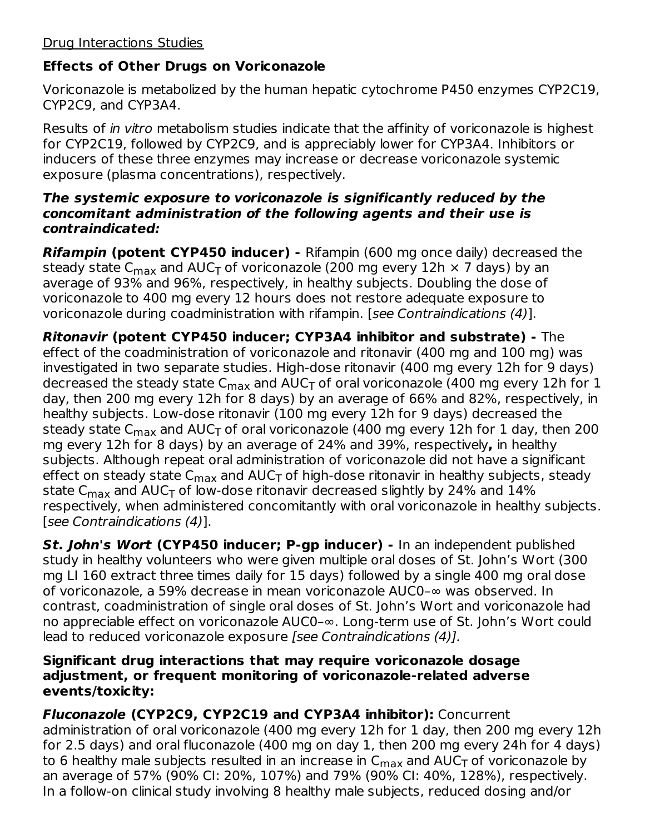### **Effects of Other Drugs on Voriconazole**

Voriconazole is metabolized by the human hepatic cytochrome P450 enzymes CYP2C19, CYP2C9, and CYP3A4.

Results of in vitro metabolism studies indicate that the affinity of voriconazole is highest for CYP2C19, followed by CYP2C9, and is appreciably lower for CYP3A4. Inhibitors or inducers of these three enzymes may increase or decrease voriconazole systemic exposure (plasma concentrations), respectively.

#### **The systemic exposure to voriconazole is significantly reduced by the concomitant administration of the following agents and their use is contraindicated:**

**Rifampin (potent CYP450 inducer) -** Rifampin (600 mg once daily) decreased the steady state C<sub>max</sub> and AUC<sub>T</sub> of voriconazole (200 mg every 12h  $\times$  7 days) by an average of 93% and 96%, respectively, in healthy subjects. Doubling the dose of voriconazole to 400 mg every 12 hours does not restore adequate exposure to voriconazole during coadministration with rifampin. [see Contraindications (4)].

**Ritonavir (potent CYP450 inducer; CYP3A4 inhibitor and substrate) -** The effect of the coadministration of voriconazole and ritonavir (400 mg and 100 mg) was investigated in two separate studies. High-dose ritonavir (400 mg every 12h for 9 days) decreased the steady state C<sub>max</sub> and AUC<sub>T</sub> of oral voriconazole (400 mg every 12h for 1 day, then 200 mg every 12h for 8 days) by an average of 66% and 82%, respectively, in healthy subjects. Low-dose ritonavir (100 mg every 12h for 9 days) decreased the steady state C<sub>max</sub> and AUC<sub>T</sub> of oral voriconazole (400 mg every 12h for 1 day, then 200 mg every 12h for 8 days) by an average of 24% and 39%, respectively**,** in healthy subjects. Although repeat oral administration of voriconazole did not have a significant effect on steady state C<sub>max</sub> and AUC<sub>T</sub> of high-dose ritonavir in healthy subjects, steady state C $_{\sf max}$  and AUC $_{\sf T}$  of low-dose ritonavir decreased slightly by 24% and 14% respectively, when administered concomitantly with oral voriconazole in healthy subjects. [see Contraindications (4)].

**St. John's Wort (CYP450 inducer; P-gp inducer) -** In an independent published study in healthy volunteers who were given multiple oral doses of St. John's Wort (300 mg LI 160 extract three times daily for 15 days) followed by a single 400 mg oral dose of voriconazole, a 59% decrease in mean voriconazole AUC0–∞ was observed. In contrast, coadministration of single oral doses of St. John's Wort and voriconazole had no appreciable effect on voriconazole AUC0–∞. Long-term use of St. John's Wort could lead to reduced voriconazole exposure [see Contraindications (4)].

#### **Significant drug interactions that may require voriconazole dosage adjustment, or frequent monitoring of voriconazole-related adverse events/toxicity:**

**Fluconazole (CYP2C9, CYP2C19 and CYP3A4 inhibitor):** Concurrent administration of oral voriconazole (400 mg every 12h for 1 day, then 200 mg every 12h for 2.5 days) and oral fluconazole (400 mg on day 1, then 200 mg every 24h for 4 days) to 6 healthy male subjects resulted in an increase in  $\mathsf{C}_{\mathsf{max}}$  and  $\mathsf{AUC}_{\mathsf{T}}$  of voriconazole by an average of 57% (90% CI: 20%, 107%) and 79% (90% CI: 40%, 128%), respectively. In a follow-on clinical study involving 8 healthy male subjects, reduced dosing and/or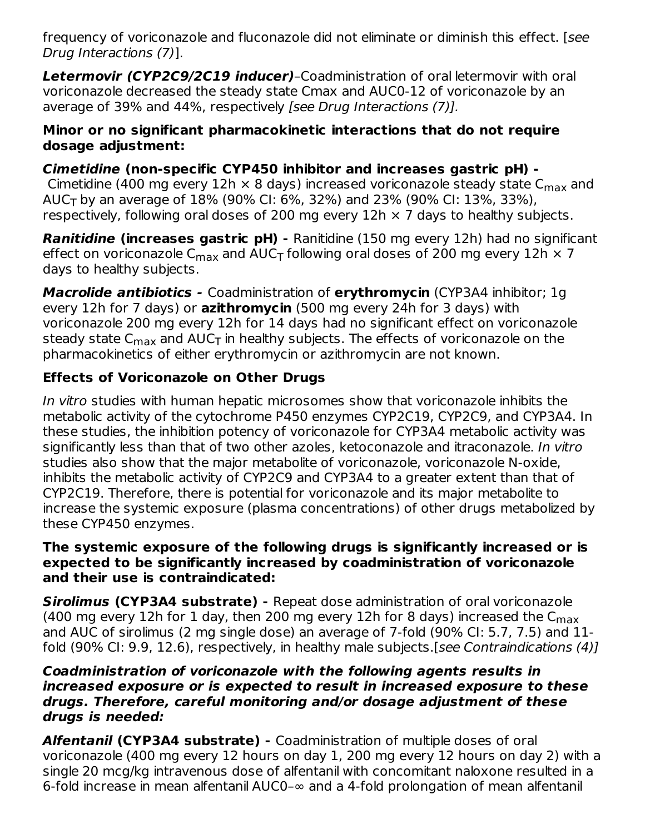frequency of voriconazole and fluconazole did not eliminate or diminish this effect. [see Drug Interactions (7)].

**Letermovir (CYP2C9/2C19 inducer)**–Coadministration of oral letermovir with oral voriconazole decreased the steady state Cmax and AUC0-12 of voriconazole by an average of 39% and 44%, respectively [see Drug Interactions (7)].

#### **Minor or no significant pharmacokinetic interactions that do not require dosage adjustment:**

**Cimetidine (non-specific CYP450 inhibitor and increases gastric pH) -** Cimetidine (400 mg every  $12h \times 8$  days) increased voriconazole steady state  $C_{\sf max}$  and AUC<sub>T</sub> by an average of  $18\%$  (90% CI: 6%, 32%) and 23% (90% CI: 13%, 33%), respectively, following oral doses of 200 mg every  $12h \times 7$  days to healthy subjects.

**Ranitidine (increases gastric pH) -** Ranitidine (150 mg every 12h) had no significant effect on voriconazole C $_{\sf max}$  and AUC $_{\sf T}$  following oral doses of 200 mg every 12h  $\times$  7 days to healthy subjects.

**Macrolide antibiotics -** Coadministration of **erythromycin** (CYP3A4 inhibitor; 1g every 12h for 7 days) or **azithromycin** (500 mg every 24h for 3 days) with voriconazole 200 mg every 12h for 14 days had no significant effect on voriconazole steady state C $_{\sf max}$  and AUC $_{\sf T}$  in healthy subjects. The effects of voriconazole on the pharmacokinetics of either erythromycin or azithromycin are not known.

### **Effects of Voriconazole on Other Drugs**

In vitro studies with human hepatic microsomes show that voriconazole inhibits the metabolic activity of the cytochrome P450 enzymes CYP2C19, CYP2C9, and CYP3A4. In these studies, the inhibition potency of voriconazole for CYP3A4 metabolic activity was significantly less than that of two other azoles, ketoconazole and itraconazole. In vitro studies also show that the major metabolite of voriconazole, voriconazole N-oxide, inhibits the metabolic activity of CYP2C9 and CYP3A4 to a greater extent than that of CYP2C19. Therefore, there is potential for voriconazole and its major metabolite to increase the systemic exposure (plasma concentrations) of other drugs metabolized by these CYP450 enzymes.

#### **The systemic exposure of the following drugs is significantly increased or is expected to be significantly increased by coadministration of voriconazole and their use is contraindicated:**

**Sirolimus (CYP3A4 substrate) -** Repeat dose administration of oral voriconazole (400 mg every  $12$ h for  $1$  day, then 200 mg every  $12$ h for 8 days) increased the C $_{\sf max}$ and AUC of sirolimus (2 mg single dose) an average of 7-fold (90% CI: 5.7, 7.5) and 11 fold (90% CI: 9.9, 12.6), respectively, in healthy male subjects.[see Contraindications (4)]

#### **Coadministration of voriconazole with the following agents results in increased exposure or is expected to result in increased exposure to these drugs. Therefore, careful monitoring and/or dosage adjustment of these drugs is needed:**

**Alfentanil (CYP3A4 substrate) -** Coadministration of multiple doses of oral voriconazole (400 mg every 12 hours on day 1, 200 mg every 12 hours on day 2) with a single 20 mcg/kg intravenous dose of alfentanil with concomitant naloxone resulted in a 6-fold increase in mean alfentanil AUC0–∞ and a 4-fold prolongation of mean alfentanil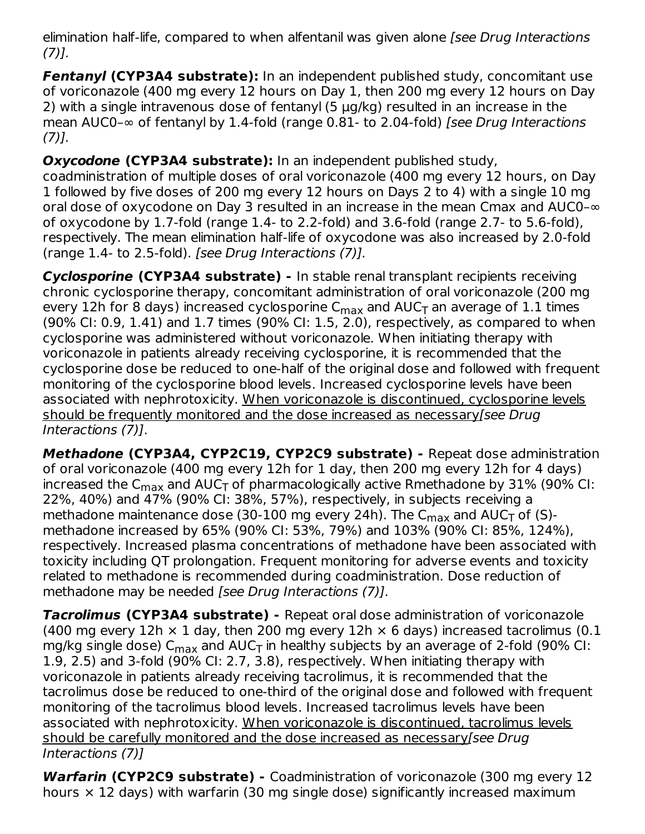elimination half-life, compared to when alfentanil was given alone [see Drug Interactions  $(7)$ ].

**Fentanyl (CYP3A4 substrate):** In an independent published study, concomitant use of voriconazole (400 mg every 12 hours on Day 1, then 200 mg every 12 hours on Day 2) with a single intravenous dose of fentanyl (5 μg/kg) resulted in an increase in the mean AUC0-∞ of fentanyl by 1.4-fold (range 0.81- to 2.04-fold) [see Drug Interactions  $(7)$ ].

### **Oxycodone (CYP3A4 substrate):** In an independent published study,

coadministration of multiple doses of oral voriconazole (400 mg every 12 hours, on Day 1 followed by five doses of 200 mg every 12 hours on Days 2 to 4) with a single 10 mg oral dose of oxycodone on Day 3 resulted in an increase in the mean Cmax and AUC0–∞ of oxycodone by 1.7-fold (range 1.4- to 2.2-fold) and 3.6-fold (range 2.7- to 5.6-fold), respectively. The mean elimination half-life of oxycodone was also increased by 2.0-fold (range 1.4- to 2.5-fold). [see Drug Interactions (7)].

**Cyclosporine (CYP3A4 substrate) -** In stable renal transplant recipients receiving chronic cyclosporine therapy, concomitant administration of oral voriconazole (200 mg every 12h for 8 days) increased cyclosporine C $_{\sf max}$  and AUC $_{\sf T}$  an average of 1.1 times (90% CI: 0.9, 1.41) and 1.7 times (90% CI: 1.5, 2.0), respectively, as compared to when cyclosporine was administered without voriconazole. When initiating therapy with voriconazole in patients already receiving cyclosporine, it is recommended that the cyclosporine dose be reduced to one-half of the original dose and followed with frequent monitoring of the cyclosporine blood levels. Increased cyclosporine levels have been associated with nephrotoxicity. When voriconazole is discontinued, cyclosporine levels should be frequently monitored and the dose increased as necessary[see Drug Interactions (7)].

**Methadone (CYP3A4, CYP2C19, CYP2C9 substrate) -** Repeat dose administration of oral voriconazole (400 mg every 12h for 1 day, then 200 mg every 12h for 4 days) increased the C $_{\sf max}$  and AUC $_{\sf T}$  of pharmacologically active Rmethadone by 31% (90% CI: 22%, 40%) and 47% (90% CI: 38%, 57%), respectively, in subjects receiving a methadone maintenance dose (30-100 mg every 24h). The C $_{\sf max}$  and AUC $_{\sf T}$  of (S)methadone increased by 65% (90% CI: 53%, 79%) and 103% (90% CI: 85%, 124%), respectively. Increased plasma concentrations of methadone have been associated with toxicity including QT prolongation. Frequent monitoring for adverse events and toxicity related to methadone is recommended during coadministration. Dose reduction of methadone may be needed [see Drug Interactions (7)].

**Tacrolimus (CYP3A4 substrate) -** Repeat oral dose administration of voriconazole (400 mg every 12h  $\times$  1 day, then 200 mg every 12h  $\times$  6 days) increased tacrolimus (0.1 mg/kg single dose)  $\mathsf{C}_{\mathsf{max}}$  and  $\mathsf{AUC}_{\mathsf{T}}$  in healthy subjects by an average of 2-fold (90% CI: 1.9, 2.5) and 3-fold (90% CI: 2.7, 3.8), respectively. When initiating therapy with voriconazole in patients already receiving tacrolimus, it is recommended that the tacrolimus dose be reduced to one-third of the original dose and followed with frequent monitoring of the tacrolimus blood levels. Increased tacrolimus levels have been associated with nephrotoxicity. When voriconazole is discontinued, tacrolimus levels should be carefully monitored and the dose increased as necessary [see Drug] Interactions (7)]

**Warfarin (CYP2C9 substrate) -** Coadministration of voriconazole (300 mg every 12 hours  $\times$  12 days) with warfarin (30 mg single dose) significantly increased maximum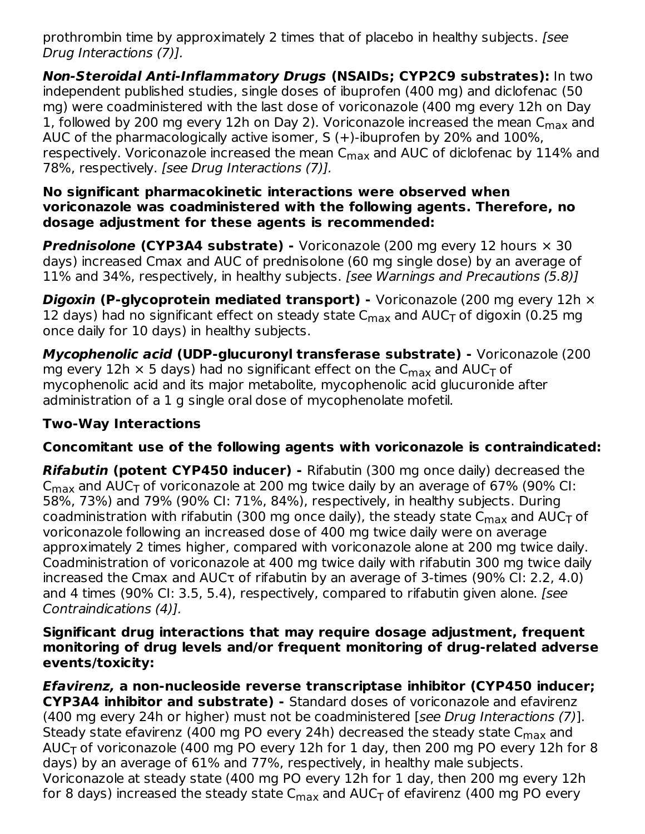prothrombin time by approximately 2 times that of placebo in healthy subjects. [see Drug Interactions (7)].

**Non-Steroidal Anti-Inflammatory Drugs (NSAIDs; CYP2C9 substrates):** In two independent published studies, single doses of ibuprofen (400 mg) and diclofenac (50 mg) were coadministered with the last dose of voriconazole (400 mg every 12h on Day 1, followed by 200 mg every 12h on Day 2). Voriconazole increased the mean  ${\sf C}_{\sf max}$  and AUC of the pharmacologically active isomer, S (+)-ibuprofen by 20% and 100%, respectively. Voriconazole increased the mean  $\mathsf{C}_{\mathsf{max}}$  and AUC of diclofenac by  $114\%$  and 78%, respectively. [see Drug Interactions (7)].

#### **No significant pharmacokinetic interactions were observed when voriconazole was coadministered with the following agents. Therefore, no dosage adjustment for these agents is recommended:**

**Prednisolone (CYP3A4 substrate) -** Voriconazole (200 mg every 12 hours × 30 days) increased Cmax and AUC of prednisolone (60 mg single dose) by an average of 11% and 34%, respectively, in healthy subjects. [see Warnings and Precautions (5.8)]

**Digoxin (P-glycoprotein mediated transport) -** Voriconazole (200 mg every 12h × 12 days) had no significant effect on steady state  $\mathsf{C}_{\mathsf{max}}$  and  $\mathsf{AUC}_{\mathsf{T}}$  of digoxin (0.25 mg once daily for 10 days) in healthy subjects.

**Mycophenolic acid (UDP-glucuronyl transferase substrate) -** Voriconazole (200 mg every  $12\text{h}\times 5$  days) had no significant effect on the  $\textsf{C}_{\textsf{max}}$  and  $\textsf{AUC}_{\textsf{T}}$  of mycophenolic acid and its major metabolite, mycophenolic acid glucuronide after administration of a 1 g single oral dose of mycophenolate mofetil.

### **Two-Way Interactions**

### **Concomitant use of the following agents with voriconazole is contraindicated:**

**Rifabutin (potent CYP450 inducer) -** Rifabutin (300 mg once daily) decreased the  $\mathsf{C}_{\mathsf{max}}$  and AUC $_\mathsf{T}$  of voriconazole at 200 mg twice daily by an average of 67% (90% CI: 58%, 73%) and 79% (90% CI: 71%, 84%), respectively, in healthy subjects. During coadministration with rifabutin (300 mg once daily), the steady state  ${\sf C}_{\sf max}$  and  ${\sf AUC}_{\sf T}$  of voriconazole following an increased dose of 400 mg twice daily were on average approximately 2 times higher, compared with voriconazole alone at 200 mg twice daily. Coadministration of voriconazole at 400 mg twice daily with rifabutin 300 mg twice daily increased the Cmax and AUCτ of rifabutin by an average of 3-times (90% CI: 2.2, 4.0) and 4 times (90% CI: 3.5, 5.4), respectively, compared to rifabutin given alone. [see Contraindications (4)].

#### **Significant drug interactions that may require dosage adjustment, frequent monitoring of drug levels and/or frequent monitoring of drug-related adverse events/toxicity:**

**Efavirenz, a non-nucleoside reverse transcriptase inhibitor (CYP450 inducer; CYP3A4 inhibitor and substrate) -** Standard doses of voriconazole and efavirenz (400 mg every 24h or higher) must not be coadministered [see Drug Interactions (7)]. Steady state efavirenz (400 mg PO every 24h) decreased the steady state  ${\sf C}_{\sf max}$  and AUC<sub>T</sub> of voriconazole (400 mg PO every 12h for 1 day, then 200 mg PO every 12h for 8 days) by an average of 61% and 77%, respectively, in healthy male subjects. Voriconazole at steady state (400 mg PO every 12h for 1 day, then 200 mg every 12h for 8 days) increased the steady state C $_{\sf max}$  and AUC $_{\sf T}$  of efavirenz (400 mg PO every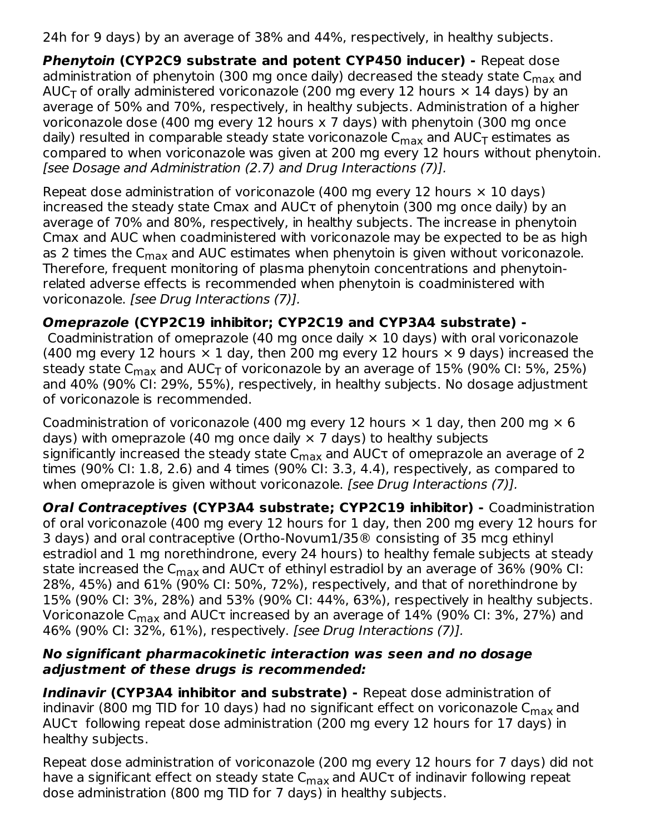24h for 9 days) by an average of 38% and 44%, respectively, in healthy subjects.

**Phenytoin (CYP2C9 substrate and potent CYP450 inducer) -** Repeat dose administration of phenytoin (300 mg once daily) decreased the steady state C<sub>max</sub> and AUC<sub>T</sub> of orally administered voriconazole (200 mg every 12 hours  $\times$  14 days) by an average of 50% and 70%, respectively, in healthy subjects. Administration of a higher voriconazole dose (400 mg every 12 hours x 7 days) with phenytoin (300 mg once daily) resulted in comparable steady state voriconazole  ${\sf C}_{\sf max}$  and  $\sf AUC_{\sf T}$  estimates as compared to when voriconazole was given at 200 mg every 12 hours without phenytoin. [see Dosage and Administration (2.7) and Drug Interactions (7)].

Repeat dose administration of voriconazole (400 mg every 12 hours  $\times$  10 days) increased the steady state Cmax and AUCτ of phenytoin (300 mg once daily) by an average of 70% and 80%, respectively, in healthy subjects. The increase in phenytoin Cmax and AUC when coadministered with voriconazole may be expected to be as high as 2 times the C<sub>max</sub> and AUC estimates when phenytoin is given without voriconazole. Therefore, frequent monitoring of plasma phenytoin concentrations and phenytoinrelated adverse effects is recommended when phenytoin is coadministered with voriconazole. [see Drug Interactions (7)].

### **Omeprazole (CYP2C19 inhibitor; CYP2C19 and CYP3A4 substrate) -**

Coadministration of omeprazole (40 mg once daily  $\times$  10 days) with oral voriconazole (400 mg every 12 hours  $\times$  1 day, then 200 mg every 12 hours  $\times$  9 days) increased the steady state C<sub>max</sub> and AUC<sub>T</sub> of voriconazole by an average of  $15\%$  (90% CI: 5%, 25%) and 40% (90% CI: 29%, 55%), respectively, in healthy subjects. No dosage adjustment of voriconazole is recommended.

Coadministration of voriconazole (400 mg every 12 hours  $\times$  1 day, then 200 mg  $\times$  6 days) with omeprazole (40 mg once daily  $\times$  7 days) to healthy subjects significantly increased the steady state  $\mathsf{C}_{\mathsf{max}}$  and AUC $\tau$  of omeprazole an average of 2 times (90% CI: 1.8, 2.6) and 4 times (90% CI: 3.3, 4.4), respectively, as compared to when omeprazole is given without voriconazole. [see Drug Interactions (7)].

**Oral Contraceptives (CYP3A4 substrate; CYP2C19 inhibitor) -** Coadministration of oral voriconazole (400 mg every 12 hours for 1 day, then 200 mg every 12 hours for 3 days) and oral contraceptive (Ortho-Novum1/35® consisting of 35 mcg ethinyl estradiol and 1 mg norethindrone, every 24 hours) to healthy female subjects at steady state increased the C<sub>max</sub> and AUC $\tau$  of ethinyl estradiol by an average of 36% (90% CI: 28%, 45%) and 61% (90% CI: 50%, 72%), respectively, and that of norethindrone by 15% (90% CI: 3%, 28%) and 53% (90% CI: 44%, 63%), respectively in healthy subjects. Voriconazole C $_{\sf max}$  and AUC $\tau$  increased by an average of  $14\%$  (90% CI: 3%, 27%) and 46% (90% CI: 32%, 61%), respectively. [see Drug Interactions (7)].

#### **No significant pharmacokinetic interaction was seen and no dosage adjustment of these drugs is recommended:**

**Indinavir (CYP3A4 inhibitor and substrate) -** Repeat dose administration of indinavir (800 mg TID for 10 days) had no significant effect on voriconazole  $\mathsf{C}_{\mathsf{max}}$ and AUCτ following repeat dose administration (200 mg every 12 hours for 17 days) in healthy subjects.

Repeat dose administration of voriconazole (200 mg every 12 hours for 7 days) did not have a significant effect on steady state  $\mathsf{C}_{\mathsf{max}}$  and AUC $\tau$  of indinavir following repeat dose administration (800 mg TID for 7 days) in healthy subjects.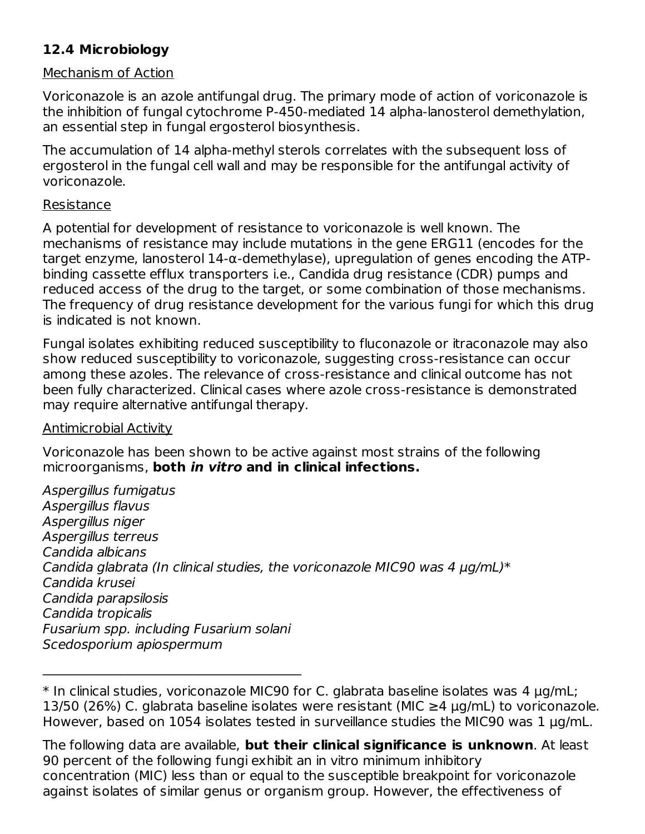### **12.4 Microbiology**

#### Mechanism of Action

Voriconazole is an azole antifungal drug. The primary mode of action of voriconazole is the inhibition of fungal cytochrome P-450-mediated 14 alpha-lanosterol demethylation, an essential step in fungal ergosterol biosynthesis.

The accumulation of 14 alpha-methyl sterols correlates with the subsequent loss of ergosterol in the fungal cell wall and may be responsible for the antifungal activity of voriconazole.

#### Resistance

A potential for development of resistance to voriconazole is well known. The mechanisms of resistance may include mutations in the gene ERG11 (encodes for the target enzyme, lanosterol 14-α-demethylase), upregulation of genes encoding the ATPbinding cassette efflux transporters i.e., Candida drug resistance (CDR) pumps and reduced access of the drug to the target, or some combination of those mechanisms. The frequency of drug resistance development for the various fungi for which this drug is indicated is not known.

Fungal isolates exhibiting reduced susceptibility to fluconazole or itraconazole may also show reduced susceptibility to voriconazole, suggesting cross-resistance can occur among these azoles. The relevance of cross-resistance and clinical outcome has not been fully characterized. Clinical cases where azole cross-resistance is demonstrated may require alternative antifungal therapy.

### Antimicrobial Activity

 $\mathcal{L}_\text{max}$  , and the set of the set of the set of the set of the set of the set of the set of the set of the set of the set of the set of the set of the set of the set of the set of the set of the set of the set of the

Voriconazole has been shown to be active against most strains of the following microorganisms, **both in vitro and in clinical infections.**

Aspergillus fumigatus Aspergillus flavus Aspergillus niger Aspergillus terreus Candida albicans Candida glabrata (In clinical studies, the voriconazole MIC90 was 4  $\mu$ g/mL)\* Candida krusei Candida parapsilosis Candida tropicalis Fusarium spp. including Fusarium solani Scedosporium apiospermum

<sup>\*</sup> In clinical studies, voriconazole MIC90 for C. glabrata baseline isolates was 4 μg/mL; 13/50 (26%) C. glabrata baseline isolates were resistant (MIC  $\geq$ 4 µg/mL) to voriconazole. However, based on 1054 isolates tested in surveillance studies the MIC90 was 1 μg/mL.

The following data are available, **but their clinical significance is unknown**. At least 90 percent of the following fungi exhibit an in vitro minimum inhibitory concentration (MIC) less than or equal to the susceptible breakpoint for voriconazole against isolates of similar genus or organism group. However, the effectiveness of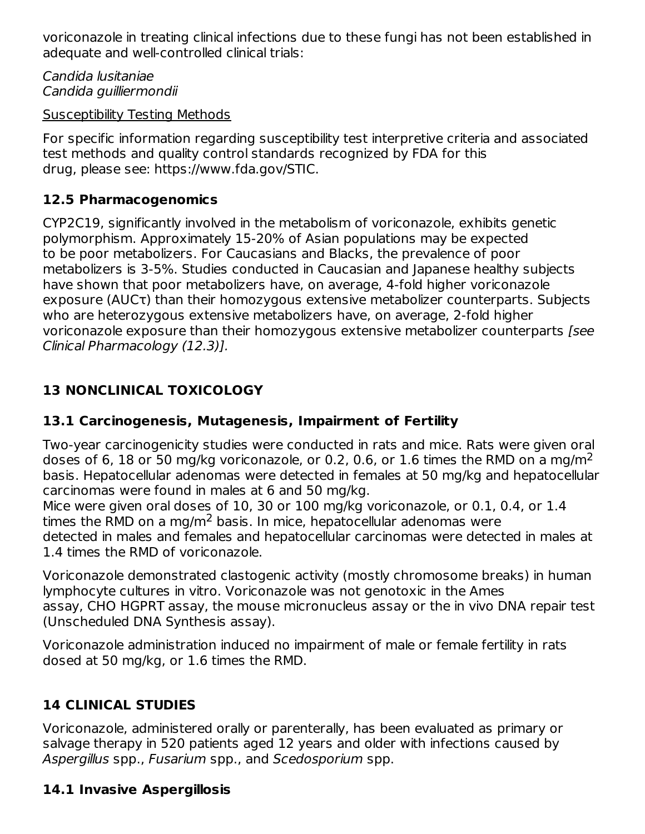voriconazole in treating clinical infections due to these fungi has not been established in adequate and well-controlled clinical trials:

Candida lusitaniae Candida guilliermondii

Susceptibility Testing Methods

For specific information regarding susceptibility test interpretive criteria and associated test methods and quality control standards recognized by FDA for this drug, please see: https://www.fda.gov/STIC.

### **12.5 Pharmacogenomics**

CYP2C19, significantly involved in the metabolism of voriconazole, exhibits genetic polymorphism. Approximately 15-20% of Asian populations may be expected to be poor metabolizers. For Caucasians and Blacks, the prevalence of poor metabolizers is 3-5%. Studies conducted in Caucasian and Japanese healthy subjects have shown that poor metabolizers have, on average, 4-fold higher voriconazole exposure ( $AUC\tau$ ) than their homozygous extensive metabolizer counterparts. Subjects who are heterozygous extensive metabolizers have, on average, 2-fold higher voriconazole exposure than their homozygous extensive metabolizer counterparts [see Clinical Pharmacology (12.3)].

# **13 NONCLINICAL TOXICOLOGY**

# **13.1 Carcinogenesis, Mutagenesis, Impairment of Fertility**

Two-year carcinogenicity studies were conducted in rats and mice. Rats were given oral doses of 6, 18 or 50 mg/kg voriconazole, or 0.2, 0.6, or 1.6 times the RMD on a mg/m<sup>2</sup> basis. Hepatocellular adenomas were detected in females at 50 mg/kg and hepatocellular carcinomas were found in males at 6 and 50 mg/kg.

Mice were given oral doses of 10, 30 or 100 mg/kg voriconazole, or 0.1, 0.4, or 1.4 times the RMD on a mg/m $^2$  basis. In mice, hepatocellular adenomas were detected in males and females and hepatocellular carcinomas were detected in males at 1.4 times the RMD of voriconazole.

Voriconazole demonstrated clastogenic activity (mostly chromosome breaks) in human lymphocyte cultures in vitro. Voriconazole was not genotoxic in the Ames assay, CHO HGPRT assay, the mouse micronucleus assay or the in vivo DNA repair test (Unscheduled DNA Synthesis assay).

Voriconazole administration induced no impairment of male or female fertility in rats dosed at 50 mg/kg, or 1.6 times the RMD.

# **14 CLINICAL STUDIES**

Voriconazole, administered orally or parenterally, has been evaluated as primary or salvage therapy in 520 patients aged 12 years and older with infections caused by Aspergillus spp., Fusarium spp., and Scedosporium spp.

# **14.1 Invasive Aspergillosis**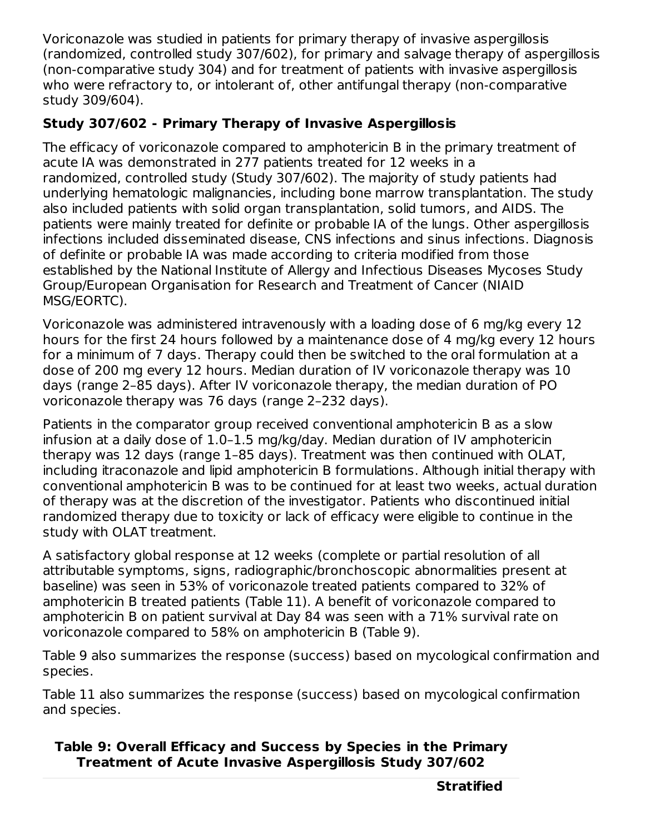Voriconazole was studied in patients for primary therapy of invasive aspergillosis (randomized, controlled study 307/602), for primary and salvage therapy of aspergillosis (non-comparative study 304) and for treatment of patients with invasive aspergillosis who were refractory to, or intolerant of, other antifungal therapy (non-comparative study 309/604).

### **Study 307/602 - Primary Therapy of Invasive Aspergillosis**

The efficacy of voriconazole compared to amphotericin B in the primary treatment of acute IA was demonstrated in 277 patients treated for 12 weeks in a randomized, controlled study (Study 307/602). The majority of study patients had underlying hematologic malignancies, including bone marrow transplantation. The study also included patients with solid organ transplantation, solid tumors, and AIDS. The patients were mainly treated for definite or probable IA of the lungs. Other aspergillosis infections included disseminated disease, CNS infections and sinus infections. Diagnosis of definite or probable IA was made according to criteria modified from those established by the National Institute of Allergy and Infectious Diseases Mycoses Study Group/European Organisation for Research and Treatment of Cancer (NIAID MSG/EORTC).

Voriconazole was administered intravenously with a loading dose of 6 mg/kg every 12 hours for the first 24 hours followed by a maintenance dose of 4 mg/kg every 12 hours for a minimum of 7 days. Therapy could then be switched to the oral formulation at a dose of 200 mg every 12 hours. Median duration of IV voriconazole therapy was 10 days (range 2–85 days). After IV voriconazole therapy, the median duration of PO voriconazole therapy was 76 days (range 2–232 days).

Patients in the comparator group received conventional amphotericin B as a slow infusion at a daily dose of 1.0–1.5 mg/kg/day. Median duration of IV amphotericin therapy was 12 days (range 1–85 days). Treatment was then continued with OLAT, including itraconazole and lipid amphotericin B formulations. Although initial therapy with conventional amphotericin B was to be continued for at least two weeks, actual duration of therapy was at the discretion of the investigator. Patients who discontinued initial randomized therapy due to toxicity or lack of efficacy were eligible to continue in the study with OLAT treatment.

A satisfactory global response at 12 weeks (complete or partial resolution of all attributable symptoms, signs, radiographic/bronchoscopic abnormalities present at baseline) was seen in 53% of voriconazole treated patients compared to 32% of amphotericin B treated patients (Table 11). A benefit of voriconazole compared to amphotericin B on patient survival at Day 84 was seen with a 71% survival rate on voriconazole compared to 58% on amphotericin B (Table 9).

Table 9 also summarizes the response (success) based on mycological confirmation and species.

Table 11 also summarizes the response (success) based on mycological confirmation and species.

**Table 9: Overall Efficacy and Success by Species in the Primary Treatment of Acute Invasive Aspergillosis Study 307/602**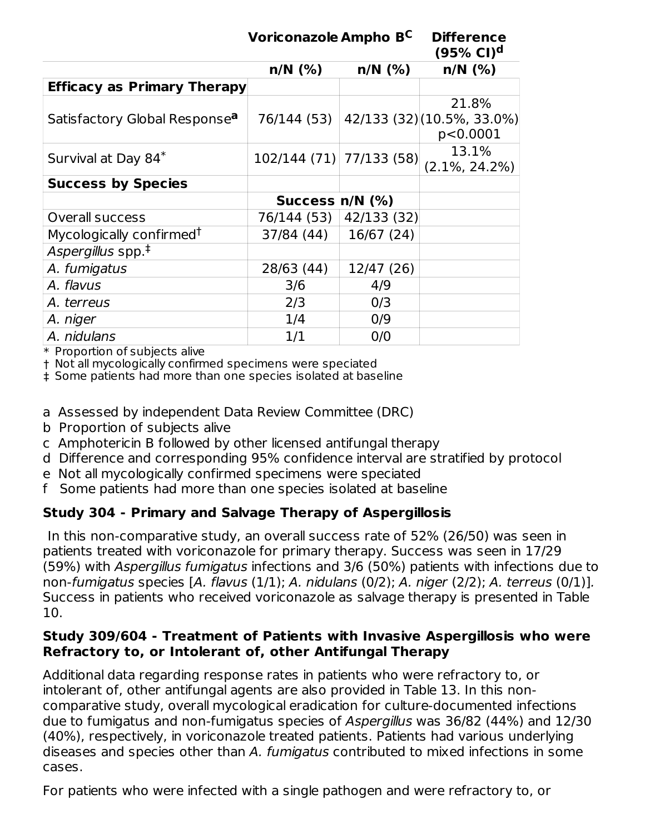|                                           | Voriconazole Ampho BC     | <b>Difference</b><br>(95% Cl) <sup>d</sup> |                                                 |
|-------------------------------------------|---------------------------|--------------------------------------------|-------------------------------------------------|
|                                           | $n/N$ (%)                 | $n/N$ (%)                                  | $n/N$ (%)                                       |
| <b>Efficacy as Primary Therapy</b>        |                           |                                            |                                                 |
| Satisfactory Global Response <sup>a</sup> | 76/144 (53)               |                                            | 21.8%<br>42/133 (32) (10.5%, 33.0%)<br>p<0.0001 |
| Survival at Day 84*                       | $102/144(71)$ 77/133 (58) |                                            | 13.1%<br>$(2.1\%, 24.2\%)$                      |
| <b>Success by Species</b>                 |                           |                                            |                                                 |
|                                           | Success $n/N$ (%)         |                                            |                                                 |
| Overall success                           | 76/144 (53)               | 42/133 (32)                                |                                                 |
| Mycologically confirmed <sup>†</sup>      | 37/84 (44)                | 16/67 (24)                                 |                                                 |
| Aspergillus spp. <sup>‡</sup>             |                           |                                            |                                                 |
| A. fumigatus                              | 28/63 (44)                | 12/47 (26)                                 |                                                 |
| A. flavus                                 | 3/6                       | 4/9                                        |                                                 |
| A. terreus                                | 2/3                       | 0/3                                        |                                                 |
| A. niger                                  | 1/4                       | 0/9                                        |                                                 |
| A. nidulans                               | 1/1                       | 0/0                                        |                                                 |

\* Proportion of subjects alive

† Not all mycologically confirmed specimens were speciated

‡ Some patients had more than one species isolated at baseline

- a Assessed by independent Data Review Committee (DRC)
- b Proportion of subjects alive
- c Amphotericin B followed by other licensed antifungal therapy
- d Difference and corresponding 95% confidence interval are stratified by protocol
- e Not all mycologically confirmed specimens were speciated
- f Some patients had more than one species isolated at baseline

### **Study 304 - Primary and Salvage Therapy of Aspergillosis**

In this non-comparative study, an overall success rate of 52% (26/50) was seen in patients treated with voriconazole for primary therapy. Success was seen in 17/29 (59%) with Aspergillus fumigatus infections and 3/6 (50%) patients with infections due to non-fumigatus species [A. flavus (1/1); A. nidulans (0/2); A. niger (2/2); A. terreus (0/1)]. Success in patients who received voriconazole as salvage therapy is presented in Table 10.

#### **Study 309/604 - Treatment of Patients with Invasive Aspergillosis who were Refractory to, or Intolerant of, other Antifungal Therapy**

Additional data regarding response rates in patients who were refractory to, or intolerant of, other antifungal agents are also provided in Table 13. In this noncomparative study, overall mycological eradication for culture-documented infections due to fumigatus and non-fumigatus species of Aspergillus was 36/82 (44%) and 12/30 (40%), respectively, in voriconazole treated patients. Patients had various underlying diseases and species other than A. fumigatus contributed to mixed infections in some cases.

For patients who were infected with a single pathogen and were refractory to, or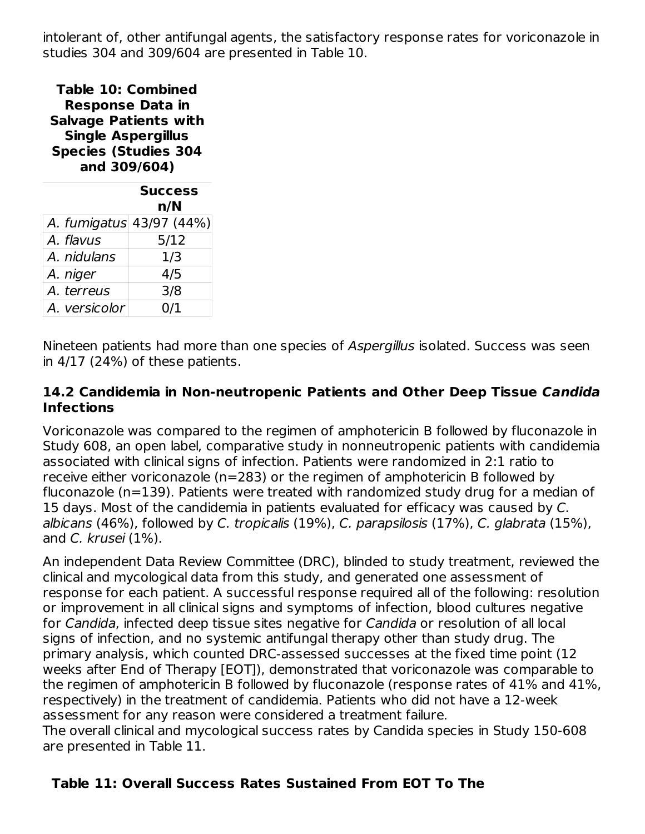intolerant of, other antifungal agents, the satisfactory response rates for voriconazole in studies 304 and 309/604 are presented in Table 10.

**Table 10: Combined Response Data in Salvage Patients with Single Aspergillus Species (Studies 304 and 309/604)**

|               | <b>Success</b><br>n/N    |
|---------------|--------------------------|
|               | A. fumigatus 43/97 (44%) |
| A. flavus     | 5/12                     |
| A. nidulans   | 1/3                      |
| A. niger      | 4/5                      |
| A. terreus    | 3/8                      |
| A. versicolor | 0/1                      |

Nineteen patients had more than one species of Aspergillus isolated. Success was seen in 4/17 (24%) of these patients.

#### **14.2 Candidemia in Non-neutropenic Patients and Other Deep Tissue Candida Infections**

Voriconazole was compared to the regimen of amphotericin B followed by fluconazole in Study 608, an open label, comparative study in nonneutropenic patients with candidemia associated with clinical signs of infection. Patients were randomized in 2:1 ratio to receive either voriconazole (n=283) or the regimen of amphotericin B followed by fluconazole (n=139). Patients were treated with randomized study drug for a median of 15 days. Most of the candidemia in patients evaluated for efficacy was caused by C. albicans (46%), followed by C. tropicalis (19%), C. parapsilosis (17%), C. glabrata (15%), and C. krusei (1%).

An independent Data Review Committee (DRC), blinded to study treatment, reviewed the clinical and mycological data from this study, and generated one assessment of response for each patient. A successful response required all of the following: resolution or improvement in all clinical signs and symptoms of infection, blood cultures negative for Candida, infected deep tissue sites negative for Candida or resolution of all local signs of infection, and no systemic antifungal therapy other than study drug. The primary analysis, which counted DRC-assessed successes at the fixed time point (12 weeks after End of Therapy [EOT]), demonstrated that voriconazole was comparable to the regimen of amphotericin B followed by fluconazole (response rates of 41% and 41%, respectively) in the treatment of candidemia. Patients who did not have a 12-week assessment for any reason were considered a treatment failure.

The overall clinical and mycological success rates by Candida species in Study 150-608 are presented in Table 11.

### **Table 11: Overall Success Rates Sustained From EOT To The**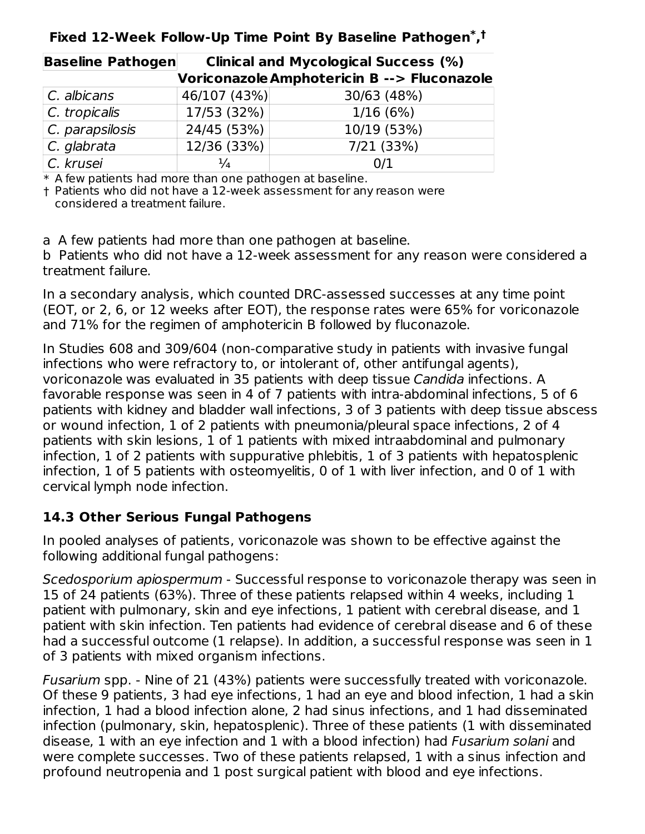| <b>Baseline Pathogen</b>                    | <b>Clinical and Mycological Success (%)</b> |             |  |  |
|---------------------------------------------|---------------------------------------------|-------------|--|--|
| Voriconazole Amphotericin B --> Fluconazole |                                             |             |  |  |
| $C.$ albicans                               | 46/107 (43%)                                | 30/63 (48%) |  |  |
| $C.$ tropicalis                             | 17/53 (32%)                                 | 1/16(6%)    |  |  |
| $C.$ parapsilosis                           | 24/45 (53%)                                 | 10/19 (53%) |  |  |
| $C.$ glabrata                               | 12/36 (33%)                                 | 7/21 (33%)  |  |  |
| C. krusei                                   | $\frac{1}{4}$                               | 0/1         |  |  |

**Fixed 12-Week Follow-Up Time Point By Baseline Pathogen , \* †**

 $\ast$  A few patients had more than one pathogen at baseline.

† Patients who did not have a 12-week assessment for any reason were considered a treatment failure.

a A few patients had more than one pathogen at baseline.

b Patients who did not have a 12-week assessment for any reason were considered a treatment failure.

In a secondary analysis, which counted DRC-assessed successes at any time point (EOT, or 2, 6, or 12 weeks after EOT), the response rates were 65% for voriconazole and 71% for the regimen of amphotericin B followed by fluconazole.

In Studies 608 and 309/604 (non-comparative study in patients with invasive fungal infections who were refractory to, or intolerant of, other antifungal agents), voriconazole was evaluated in 35 patients with deep tissue Candida infections. A favorable response was seen in 4 of 7 patients with intra-abdominal infections, 5 of 6 patients with kidney and bladder wall infections, 3 of 3 patients with deep tissue abscess or wound infection, 1 of 2 patients with pneumonia/pleural space infections, 2 of 4 patients with skin lesions, 1 of 1 patients with mixed intraabdominal and pulmonary infection, 1 of 2 patients with suppurative phlebitis, 1 of 3 patients with hepatosplenic infection, 1 of 5 patients with osteomyelitis, 0 of 1 with liver infection, and 0 of 1 with cervical lymph node infection.

### **14.3 Other Serious Fungal Pathogens**

In pooled analyses of patients, voriconazole was shown to be effective against the following additional fungal pathogens:

Scedosporium apiospermum - Successful response to voriconazole therapy was seen in 15 of 24 patients (63%). Three of these patients relapsed within 4 weeks, including 1 patient with pulmonary, skin and eye infections, 1 patient with cerebral disease, and 1 patient with skin infection. Ten patients had evidence of cerebral disease and 6 of these had a successful outcome (1 relapse). In addition, a successful response was seen in 1 of 3 patients with mixed organism infections.

Fusarium spp. - Nine of 21 (43%) patients were successfully treated with voriconazole. Of these 9 patients, 3 had eye infections, 1 had an eye and blood infection, 1 had a skin infection, 1 had a blood infection alone, 2 had sinus infections, and 1 had disseminated infection (pulmonary, skin, hepatosplenic). Three of these patients (1 with disseminated disease, 1 with an eye infection and 1 with a blood infection) had Fusarium solani and were complete successes. Two of these patients relapsed, 1 with a sinus infection and profound neutropenia and 1 post surgical patient with blood and eye infections.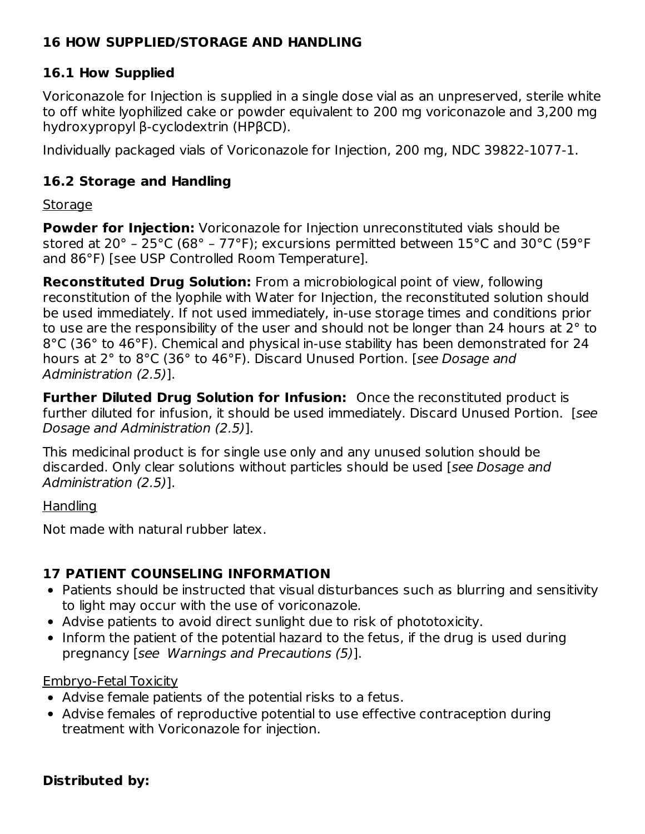### **16 HOW SUPPLIED/STORAGE AND HANDLING**

### **16.1 How Supplied**

Voriconazole for Injection is supplied in a single dose vial as an unpreserved, sterile white to off white lyophilized cake or powder equivalent to 200 mg voriconazole and 3,200 mg hydroxypropyl β-cyclodextrin (HPβCD).

Individually packaged vials of Voriconazole for Injection, 200 mg, NDC 39822-1077-1.

### **16.2 Storage and Handling**

#### **Storage**

**Powder for Injection:** Voriconazole for Injection unreconstituted vials should be stored at 20° – 25°C (68° – 77°F); excursions permitted between 15°C and 30°C (59°F and 86°F) [see USP Controlled Room Temperature].

**Reconstituted Drug Solution:** From a microbiological point of view, following reconstitution of the lyophile with Water for Injection, the reconstituted solution should be used immediately. If not used immediately, in-use storage times and conditions prior to use are the responsibility of the user and should not be longer than 24 hours at 2° to 8°C (36° to 46°F). Chemical and physical in-use stability has been demonstrated for 24 hours at 2° to 8°C (36° to 46°F). Discard Unused Portion. [see Dosage and Administration (2.5)].

**Further Diluted Drug Solution for Infusion:** Once the reconstituted product is further diluted for infusion, it should be used immediately. Discard Unused Portion. [see Dosage and Administration (2.5)].

This medicinal product is for single use only and any unused solution should be discarded. Only clear solutions without particles should be used [see Dosage and Administration (2.5)].

### **Handling**

Not made with natural rubber latex.

### **17 PATIENT COUNSELING INFORMATION**

- Patients should be instructed that visual disturbances such as blurring and sensitivity to light may occur with the use of voriconazole.
- Advise patients to avoid direct sunlight due to risk of phototoxicity.
- Inform the patient of the potential hazard to the fetus, if the drug is used during pregnancy [see Warnings and Precautions (5)].

### Embryo-Fetal Toxicity

- Advise female patients of the potential risks to a fetus.
- Advise females of reproductive potential to use effective contraception during treatment with Voriconazole for injection.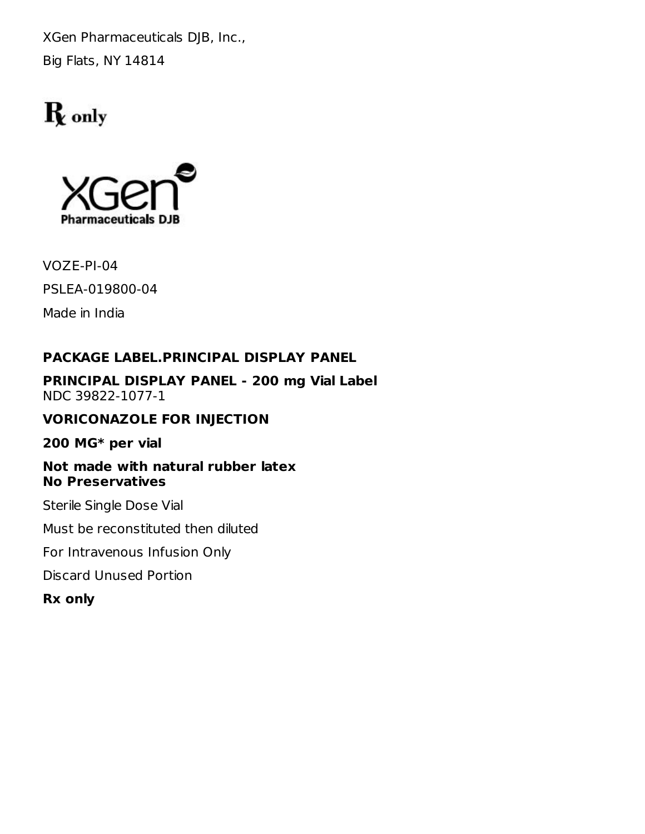XGen Pharmaceuticals DJB, Inc., Big Flats, NY 14814

# $\mathbf R$  only



VOZE-PI-04 PSLEA-019800-04

Made in India

### **PACKAGE LABEL.PRINCIPAL DISPLAY PANEL**

**PRINCIPAL DISPLAY PANEL - 200 mg Vial Label** NDC 39822-1077-1

### **VORICONAZOLE FOR INJECTION**

**200 MG\* per vial**

#### **Not made with natural rubber latex No Preservatives**

Sterile Single Dose Vial

Must be reconstituted then diluted

For Intravenous Infusion Only

Discard Unused Portion

**Rx only**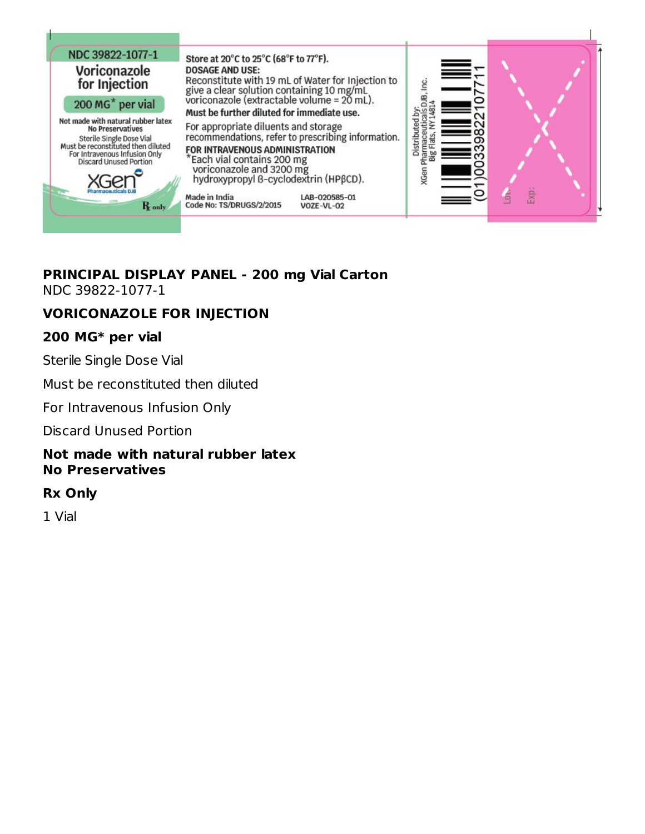

#### **PRINCIPAL DISPLAY PANEL - 200 mg Vial Carton** NDC 39822-1077-1

### **VORICONAZOLE FOR INJECTION**

### **200 MG\* per vial**

Sterile Single Dose Vial

Must be reconstituted then diluted

For Intravenous Infusion Only

Discard Unused Portion

#### **Not made with natural rubber latex No Preservatives**

#### **Rx Only**

1 Vial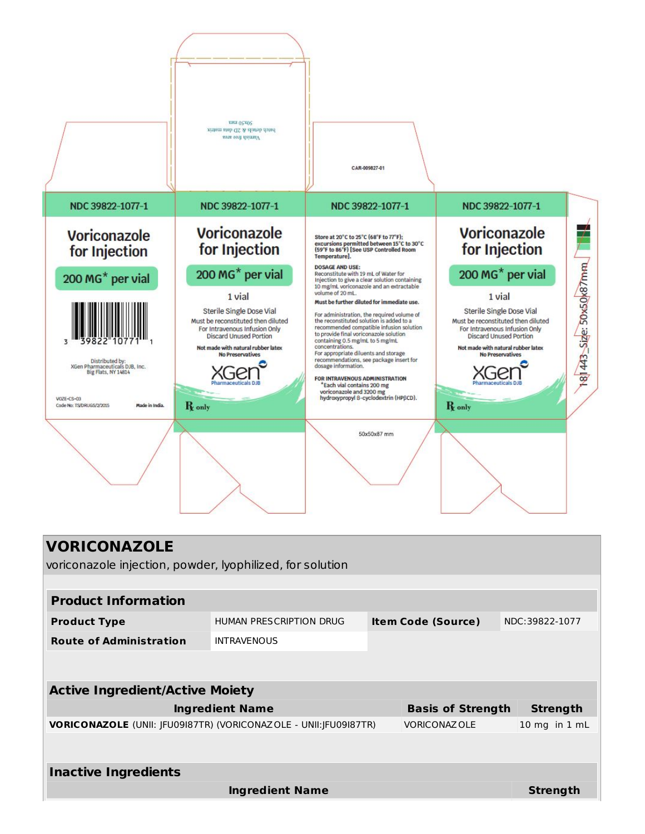

| <b>VORICONAZOLE</b>                                               |                         |  |                           |  |                   |
|-------------------------------------------------------------------|-------------------------|--|---------------------------|--|-------------------|
| voriconazole injection, powder, lyophilized, for solution         |                         |  |                           |  |                   |
|                                                                   |                         |  |                           |  |                   |
| <b>Product Information</b>                                        |                         |  |                           |  |                   |
| <b>Product Type</b>                                               | HUMAN PRESCRIPTION DRUG |  | <b>Item Code (Source)</b> |  | NDC:39822-1077    |
| <b>Route of Administration</b>                                    | <b>INTRAVENOUS</b>      |  |                           |  |                   |
|                                                                   |                         |  |                           |  |                   |
| <b>Active Ingredient/Active Moiety</b>                            |                         |  |                           |  |                   |
|                                                                   | <b>Ingredient Name</b>  |  | <b>Basis of Strength</b>  |  | <b>Strength</b>   |
| VORICONAZOLE (UNII: JFU09I87TR) (VORICONAZOLE - UNII: JFU09I87TR) |                         |  | <b>VORICONAZ OLE</b>      |  | $10$ mg in $1$ mL |
|                                                                   |                         |  |                           |  |                   |
| <b>Inactive Ingredients</b>                                       |                         |  |                           |  |                   |
|                                                                   | <b>Ingredient Name</b>  |  |                           |  | Strength          |